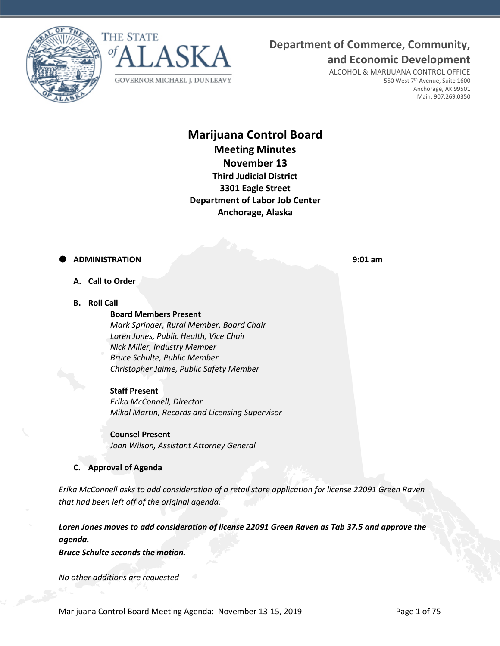



# **Department of Commerce, Community,**

**and Economic Development**

ALCOHOL & MARIJUANA CONTROL OFFICE 550 West 7<sup>th</sup> Avenue, Suite 1600 Anchorage, AK 99501 Main: 907.269.0350

# **Marijuana Control Board Meeting Minutes November 13 Third Judicial District 3301 Eagle Street Department of Labor Job Center Anchorage, Alaska**

# **ADMINISTRATION 9:01 am**

- **A. Call to Order**
- **B. Roll Call**

## **Board Members Present**

*Mark Springer, Rural Member, Board Chair Loren Jones, Public Health, Vice Chair Nick Miller, Industry Member Bruce Schulte, Public Member Christopher Jaime, Public Safety Member*

#### **Staff Present**

*Erika McConnell, Director Mikal Martin, Records and Licensing Supervisor*

**Counsel Present** *Joan Wilson, Assistant Attorney General*

# **C. Approval of Agenda**

*Erika McConnell asks to add consideration of a retail store application for license 22091 Green Raven that had been left off of the original agenda.*

*Loren Jones moves to add consideration of license 22091 Green Raven as Tab 37.5 and approve the agenda.* 

*Bruce Schulte seconds the motion.*

*No other additions are requested*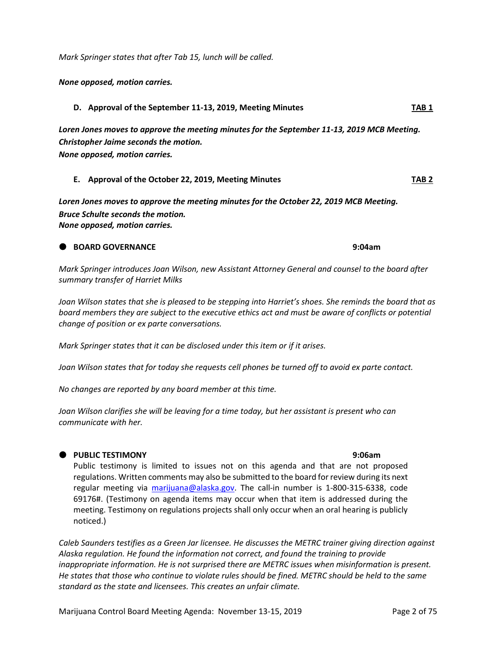*Mark Springer states that after Tab 15, lunch will be called.* 

*None opposed, motion carries.*

**D. Approval of the September 11-13, 2019, Meeting Minutes TAB 1**

*Loren Jones moves to approve the meeting minutes for the September 11-13, 2019 MCB Meeting. Christopher Jaime seconds the motion. None opposed, motion carries.*

#### **E. Approval of the October 22, 2019, Meeting Minutes TAB 2**

*Loren Jones moves to approve the meeting minutes for the October 22, 2019 MCB Meeting. Bruce Schulte seconds the motion. None opposed, motion carries.*

## **BOARD GOVERNANCE 9:04am**

*Mark Springer introduces Joan Wilson, new Assistant Attorney General and counsel to the board after summary transfer of Harriet Milks*

*Joan Wilson states that she is pleased to be stepping into Harriet's shoes. She reminds the board that as board members they are subject to the executive ethics act and must be aware of conflicts or potential change of position or ex parte conversations.* 

*Mark Springer states that it can be disclosed under this item or if it arises.*

*Joan Wilson states that for today she requests cell phones be turned off to avoid ex parte contact.* 

*No changes are reported by any board member at this time.* 

*Joan Wilson clarifies she will be leaving for a time today, but her assistant is present who can communicate with her.* 

#### **PUBLIC TESTIMONY 9:06am**

Public testimony is limited to issues not on this agenda and that are not proposed regulations. Written comments may also be submitted to the board for review during its next regular meeting via [marijuana@alaska.gov.](mailto:marijuana@alaska.gov) The call-in number is 1-800-315-6338, code 69176#. (Testimony on agenda items may occur when that item is addressed during the meeting. Testimony on regulations projects shall only occur when an oral hearing is publicly noticed.)

*Caleb Saunders testifies as a Green Jar licensee. He discusses the METRC trainer giving direction against Alaska regulation. He found the information not correct, and found the training to provide inappropriate information. He is not surprised there are METRC issues when misinformation is present. He states that those who continue to violate rules should be fined. METRC should be held to the same standard as the state and licensees. This creates an unfair climate.*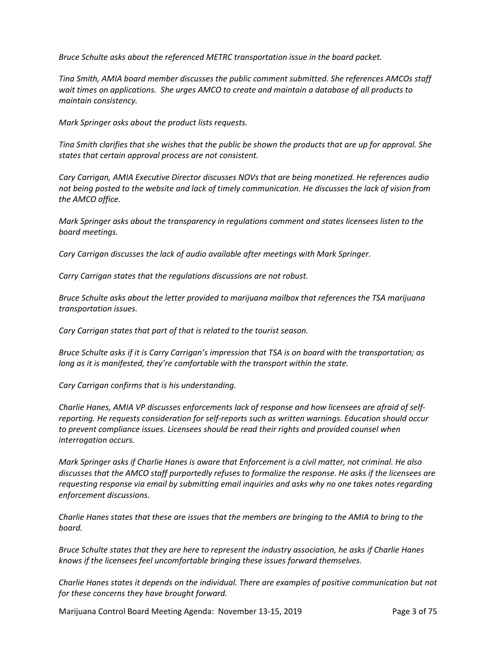*Bruce Schulte asks about the referenced METRC transportation issue in the board packet.* 

*Tina Smith, AMIA board member discusses the public comment submitted. She references AMCOs staff wait times on applications. She urges AMCO to create and maintain a database of all products to maintain consistency.* 

*Mark Springer asks about the product lists requests.* 

*Tina Smith clarifies that she wishes that the public be shown the products that are up for approval. She states that certain approval process are not consistent.*

*Cary Carrigan, AMIA Executive Director discusses NOVs that are being monetized. He references audio not being posted to the website and lack of timely communication. He discusses the lack of vision from the AMCO office.* 

*Mark Springer asks about the transparency in regulations comment and states licensees listen to the board meetings.* 

*Cary Carrigan discusses the lack of audio available after meetings with Mark Springer.*

*Carry Carrigan states that the regulations discussions are not robust.* 

*Bruce Schulte asks about the letter provided to marijuana mailbox that references the TSA marijuana transportation issues.* 

*Cary Carrigan states that part of that is related to the tourist season.* 

*Bruce Schulte asks if it is Carry Carrigan's impression that TSA is on board with the transportation; as long as it is manifested, they're comfortable with the transport within the state.* 

*Cary Carrigan confirms that is his understanding.* 

*Charlie Hanes, AMIA VP discusses enforcements lack of response and how licensees are afraid of selfreporting. He requests consideration for self-reports such as written warnings. Education should occur to prevent compliance issues. Licensees should be read their rights and provided counsel when interrogation occurs.* 

*Mark Springer asks if Charlie Hanes is aware that Enforcement is a civil matter, not criminal. He also discusses that the AMCO staff purportedly refuses to formalize the response. He asks if the licensees are requesting response via email by submitting email inquiries and asks why no one takes notes regarding enforcement discussions.* 

*Charlie Hanes states that these are issues that the members are bringing to the AMIA to bring to the board.* 

*Bruce Schulte states that they are here to represent the industry association, he asks if Charlie Hanes knows if the licensees feel uncomfortable bringing these issues forward themselves.*

*Charlie Hanes states it depends on the individual. There are examples of positive communication but not for these concerns they have brought forward.* 

Marijuana Control Board Meeting Agenda: November 13-15, 2019 Page 3 of 75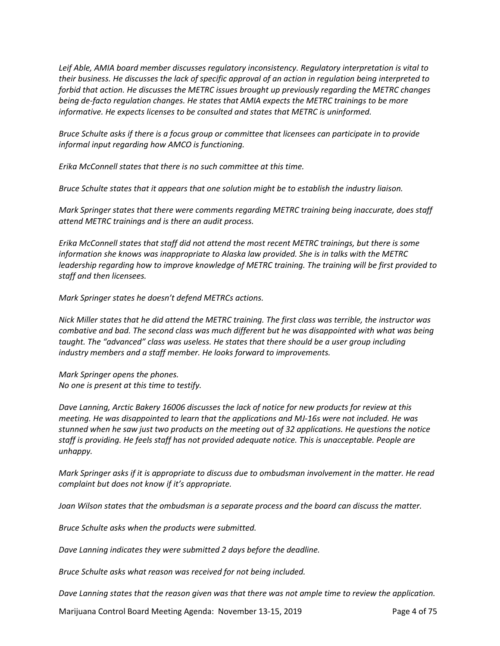*Leif Able, AMIA board member discusses regulatory inconsistency. Regulatory interpretation is vital to their business. He discusses the lack of specific approval of an action in regulation being interpreted to forbid that action. He discusses the METRC issues brought up previously regarding the METRC changes being de-facto regulation changes. He states that AMIA expects the METRC trainings to be more informative. He expects licenses to be consulted and states that METRC is uninformed.* 

*Bruce Schulte asks if there is a focus group or committee that licensees can participate in to provide informal input regarding how AMCO is functioning.* 

*Erika McConnell states that there is no such committee at this time.* 

*Bruce Schulte states that it appears that one solution might be to establish the industry liaison.* 

*Mark Springer states that there were comments regarding METRC training being inaccurate, does staff attend METRC trainings and is there an audit process.* 

*Erika McConnell states that staff did not attend the most recent METRC trainings, but there is some information she knows was inappropriate to Alaska law provided. She is in talks with the METRC leadership regarding how to improve knowledge of METRC training. The training will be first provided to staff and then licensees.* 

*Mark Springer states he doesn't defend METRCs actions.* 

*Nick Miller states that he did attend the METRC training. The first class was terrible, the instructor was combative and bad. The second class was much different but he was disappointed with what was being taught. The "advanced" class was useless. He states that there should be a user group including industry members and a staff member. He looks forward to improvements.* 

*Mark Springer opens the phones. No one is present at this time to testify.* 

*Dave Lanning, Arctic Bakery 16006 discusses the lack of notice for new products for review at this meeting. He was disappointed to learn that the applications and MJ-16s were not included. He was stunned when he saw just two products on the meeting out of 32 applications. He questions the notice staff is providing. He feels staff has not provided adequate notice. This is unacceptable. People are unhappy.* 

*Mark Springer asks if it is appropriate to discuss due to ombudsman involvement in the matter. He read complaint but does not know if it's appropriate.*

*Joan Wilson states that the ombudsman is a separate process and the board can discuss the matter.* 

*Bruce Schulte asks when the products were submitted.*

*Dave Lanning indicates they were submitted 2 days before the deadline.* 

*Bruce Schulte asks what reason was received for not being included.*

*Dave Lanning states that the reason given was that there was not ample time to review the application.*

Marijuana Control Board Meeting Agenda: November 13-15, 2019 Page 4 of 75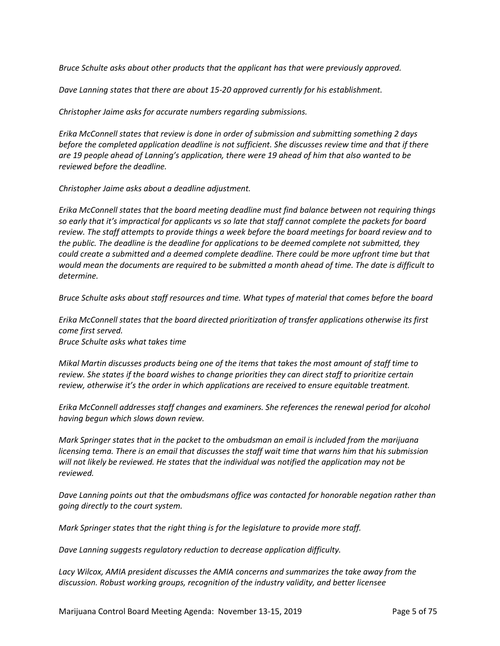*Bruce Schulte asks about other products that the applicant has that were previously approved.*

*Dave Lanning states that there are about 15-20 approved currently for his establishment.* 

*Christopher Jaime asks for accurate numbers regarding submissions.* 

*Erika McConnell states that review is done in order of submission and submitting something 2 days before the completed application deadline is not sufficient. She discusses review time and that if there are 19 people ahead of Lanning's application, there were 19 ahead of him that also wanted to be reviewed before the deadline.* 

*Christopher Jaime asks about a deadline adjustment.* 

*Erika McConnell states that the board meeting deadline must find balance between not requiring things so early that it's impractical for applicants vs so late that staff cannot complete the packets for board review. The staff attempts to provide things a week before the board meetings for board review and to the public. The deadline is the deadline for applications to be deemed complete not submitted, they could create a submitted and a deemed complete deadline. There could be more upfront time but that would mean the documents are required to be submitted a month ahead of time. The date is difficult to determine.* 

*Bruce Schulte asks about staff resources and time. What types of material that comes before the board* 

*Erika McConnell states that the board directed prioritization of transfer applications otherwise its first come first served.* 

*Bruce Schulte asks what takes time* 

*Mikal Martin discusses products being one of the items that takes the most amount of staff time to review. She states if the board wishes to change priorities they can direct staff to prioritize certain review, otherwise it's the order in which applications are received to ensure equitable treatment.* 

*Erika McConnell addresses staff changes and examiners. She references the renewal period for alcohol having begun which slows down review.* 

*Mark Springer states that in the packet to the ombudsman an email is included from the marijuana licensing tema. There is an email that discusses the staff wait time that warns him that his submission will not likely be reviewed. He states that the individual was notified the application may not be reviewed.* 

*Dave Lanning points out that the ombudsmans office was contacted for honorable negation rather than going directly to the court system.* 

*Mark Springer states that the right thing is for the legislature to provide more staff.*

*Dave Lanning suggests regulatory reduction to decrease application difficulty.* 

*Lacy Wilcox, AMIA president discusses the AMIA concerns and summarizes the take away from the discussion. Robust working groups, recognition of the industry validity, and better licensee*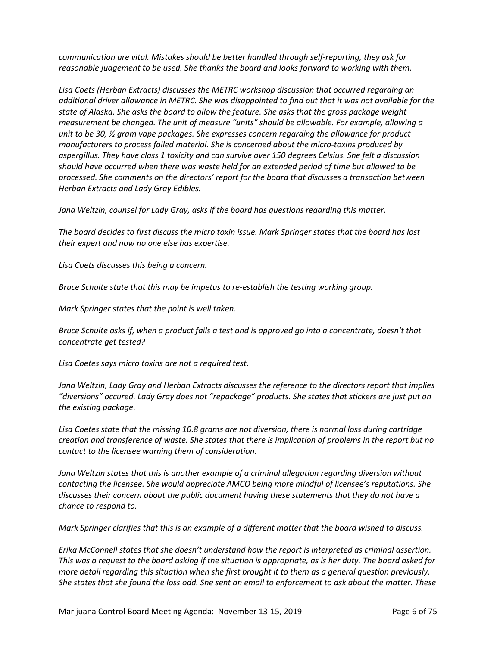*communication are vital. Mistakes should be better handled through self-reporting, they ask for reasonable judgement to be used. She thanks the board and looks forward to working with them.* 

*Lisa Coets (Herban Extracts) discusses the METRC workshop discussion that occurred regarding an additional driver allowance in METRC. She was disappointed to find out that it was not available for the state of Alaska. She asks the board to allow the feature. She asks that the gross package weight measurement be changed. The unit of measure "units" should be allowable. For example, allowing a unit to be 30, ½ gram vape packages. She expresses concern regarding the allowance for product manufacturers to process failed material. She is concerned about the micro-toxins produced by aspergillus. They have class 1 toxicity and can survive over 150 degrees Celsius. She felt a discussion should have occurred when there was waste held for an extended period of time but allowed to be processed. She comments on the directors' report for the board that discusses a transaction between Herban Extracts and Lady Gray Edibles.* 

*Jana Weltzin, counsel for Lady Gray, asks if the board has questions regarding this matter.* 

*The board decides to first discuss the micro toxin issue. Mark Springer states that the board has lost their expert and now no one else has expertise.* 

*Lisa Coets discusses this being a concern.* 

*Bruce Schulte state that this may be impetus to re-establish the testing working group.* 

*Mark Springer states that the point is well taken.* 

*Bruce Schulte asks if, when a product fails a test and is approved go into a concentrate, doesn't that concentrate get tested?*

*Lisa Coetes says micro toxins are not a required test.*

*Jana Weltzin, Lady Gray and Herban Extracts discusses the reference to the directors report that implies "diversions" occured. Lady Gray does not "repackage" products. She states that stickers are just put on the existing package.*

*Lisa Coetes state that the missing 10.8 grams are not diversion, there is normal loss during cartridge creation and transference of waste. She states that there is implication of problems in the report but no contact to the licensee warning them of consideration.*

*Jana Weltzin states that this is another example of a criminal allegation regarding diversion without contacting the licensee. She would appreciate AMCO being more mindful of licensee's reputations. She discusses their concern about the public document having these statements that they do not have a chance to respond to.*

*Mark Springer clarifies that this is an example of a different matter that the board wished to discuss.* 

*Erika McConnell states that she doesn't understand how the report is interpreted as criminal assertion. This was a request to the board asking if the situation is appropriate, as is her duty. The board asked for more detail regarding this situation when she first brought it to them as a general question previously. She states that she found the loss odd. She sent an email to enforcement to ask about the matter. These*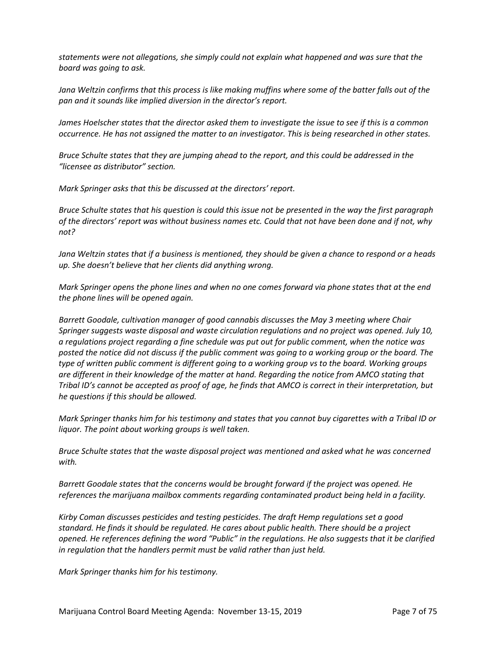*statements were not allegations, she simply could not explain what happened and was sure that the board was going to ask.* 

*Jana Weltzin confirms that this process is like making muffins where some of the batter falls out of the pan and it sounds like implied diversion in the director's report.* 

*James Hoelscher states that the director asked them to investigate the issue to see if this is a common occurrence. He has not assigned the matter to an investigator. This is being researched in other states.* 

*Bruce Schulte states that they are jumping ahead to the report, and this could be addressed in the "licensee as distributor" section.*

*Mark Springer asks that this be discussed at the directors' report.* 

*Bruce Schulte states that his question is could this issue not be presented in the way the first paragraph of the directors' report was without business names etc. Could that not have been done and if not, why not?*

*Jana Weltzin states that if a business is mentioned, they should be given a chance to respond or a heads up. She doesn't believe that her clients did anything wrong.* 

*Mark Springer opens the phone lines and when no one comes forward via phone states that at the end the phone lines will be opened again.* 

*Barrett Goodale, cultivation manager of good cannabis discusses the May 3 meeting where Chair Springer suggests waste disposal and waste circulation regulations and no project was opened. July 10, a regulations project regarding a fine schedule was put out for public comment, when the notice was posted the notice did not discuss if the public comment was going to a working group or the board. The type of written public comment is different going to a working group vs to the board. Working groups are different in their knowledge of the matter at hand. Regarding the notice from AMCO stating that Tribal ID's cannot be accepted as proof of age, he finds that AMCO is correct in their interpretation, but he questions if this should be allowed.* 

*Mark Springer thanks him for his testimony and states that you cannot buy cigarettes with a Tribal ID or liquor. The point about working groups is well taken.* 

*Bruce Schulte states that the waste disposal project was mentioned and asked what he was concerned with.* 

*Barrett Goodale states that the concerns would be brought forward if the project was opened. He references the marijuana mailbox comments regarding contaminated product being held in a facility.* 

*Kirby Coman discusses pesticides and testing pesticides. The draft Hemp regulations set a good standard. He finds it should be regulated. He cares about public health. There should be a project opened. He references defining the word "Public" in the regulations. He also suggests that it be clarified in regulation that the handlers permit must be valid rather than just held.*

*Mark Springer thanks him for his testimony.*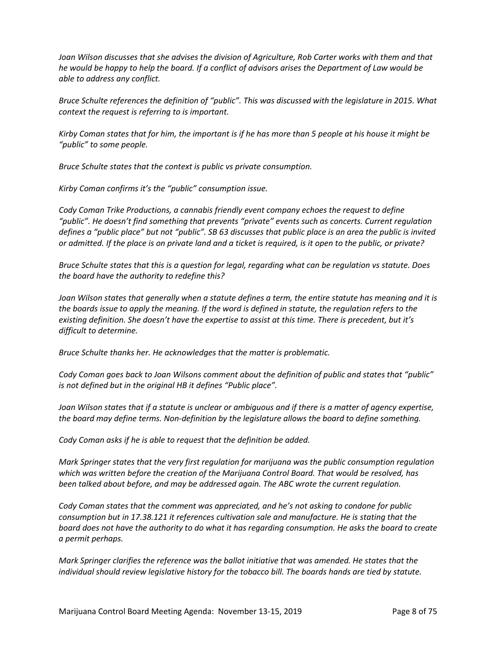*Joan Wilson discusses that she advises the division of Agriculture, Rob Carter works with them and that he would be happy to help the board. If a conflict of advisors arises the Department of Law would be able to address any conflict.* 

*Bruce Schulte references the definition of "public". This was discussed with the legislature in 2015. What context the request is referring to is important.*

*Kirby Coman states that for him, the important is if he has more than 5 people at his house it might be "public" to some people.* 

*Bruce Schulte states that the context is public vs private consumption.* 

*Kirby Coman confirms it's the "public" consumption issue.* 

*Cody Coman Trike Productions, a cannabis friendly event company echoes the request to define "public". He doesn't find something that prevents "private" events such as concerts. Current regulation defines a "public place" but not "public". SB 63 discusses that public place is an area the public is invited or admitted. If the place is on private land and a ticket is required, is it open to the public, or private?*

*Bruce Schulte states that this is a question for legal, regarding what can be regulation vs statute. Does the board have the authority to redefine this?*

*Joan Wilson states that generally when a statute defines a term, the entire statute has meaning and it is the boards issue to apply the meaning. If the word is defined in statute, the regulation refers to the existing definition. She doesn't have the expertise to assist at this time. There is precedent, but it's difficult to determine.* 

*Bruce Schulte thanks her. He acknowledges that the matter is problematic.* 

*Cody Coman goes back to Joan Wilsons comment about the definition of public and states that "public" is not defined but in the original HB it defines "Public place".* 

*Joan Wilson states that if a statute is unclear or ambiguous and if there is a matter of agency expertise, the board may define terms. Non-definition by the legislature allows the board to define something.* 

*Cody Coman asks if he is able to request that the definition be added.*

*Mark Springer states that the very first regulation for marijuana was the public consumption regulation which was written before the creation of the Marijuana Control Board. That would be resolved, has been talked about before, and may be addressed again. The ABC wrote the current regulation.* 

*Cody Coman states that the comment was appreciated, and he's not asking to condone for public consumption but in 17.38.121 it references cultivation sale and manufacture. He is stating that the board does not have the authority to do what it has regarding consumption. He asks the board to create a permit perhaps.* 

*Mark Springer clarifies the reference was the ballot initiative that was amended. He states that the individual should review legislative history for the tobacco bill. The boards hands are tied by statute.*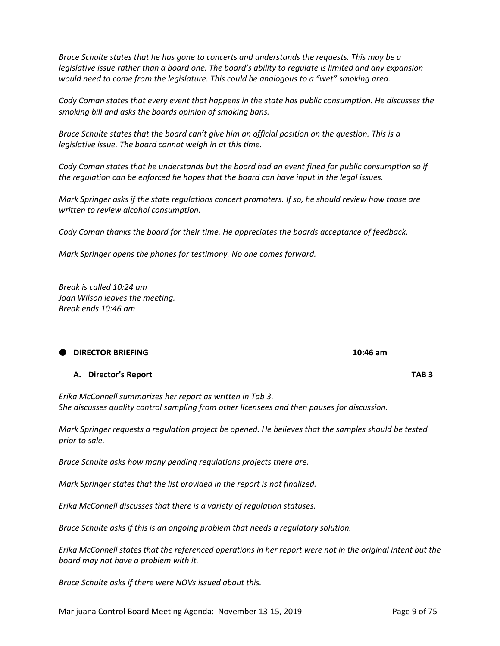Marijuana Control Board Meeting Agenda: November 13-15, 2019 Page 9 of 75

*Bruce Schulte states that he has gone to concerts and understands the requests. This may be a legislative issue rather than a board one. The board's ability to regulate is limited and any expansion would need to come from the legislature. This could be analogous to a "wet" smoking area.* 

*Cody Coman states that every event that happens in the state has public consumption. He discusses the smoking bill and asks the boards opinion of smoking bans.* 

*Bruce Schulte states that the board can't give him an official position on the question. This is a legislative issue. The board cannot weigh in at this time.* 

*Cody Coman states that he understands but the board had an event fined for public consumption so if the regulation can be enforced he hopes that the board can have input in the legal issues.* 

*Mark Springer asks if the state regulations concert promoters. If so, he should review how those are written to review alcohol consumption.* 

*Cody Coman thanks the board for their time. He appreciates the boards acceptance of feedback.* 

*Mark Springer opens the phones for testimony. No one comes forward.* 

*Break is called 10:24 am Joan Wilson leaves the meeting. Break ends 10:46 am*

# **DIRECTOR BRIEFING 10:46 am**

### **A. Director's Report TAB 3**

*Erika McConnell summarizes her report as written in Tab 3. She discusses quality control sampling from other licensees and then pauses for discussion.* 

*Mark Springer requests a regulation project be opened. He believes that the samples should be tested prior to sale.*

*Bruce Schulte asks how many pending regulations projects there are.* 

*Mark Springer states that the list provided in the report is not finalized.*

*Erika McConnell discusses that there is a variety of regulation statuses.* 

*Bruce Schulte asks if this is an ongoing problem that needs a regulatory solution.*

*Erika McConnell states that the referenced operations in her report were not in the original intent but the board may not have a problem with it.* 

*Bruce Schulte asks if there were NOVs issued about this.*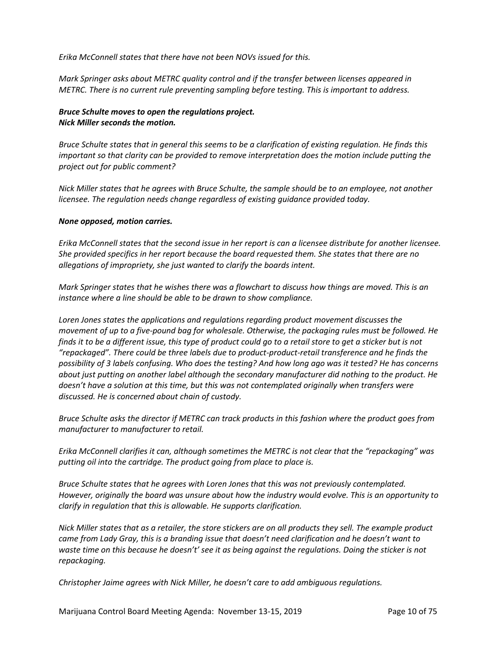*Erika McConnell states that there have not been NOVs issued for this.* 

*Mark Springer asks about METRC quality control and if the transfer between licenses appeared in METRC. There is no current rule preventing sampling before testing. This is important to address.* 

# *Bruce Schulte moves to open the regulations project. Nick Miller seconds the motion.*

*Bruce Schulte states that in general this seems to be a clarification of existing regulation. He finds this important so that clarity can be provided to remove interpretation does the motion include putting the project out for public comment?*

*Nick Miller states that he agrees with Bruce Schulte, the sample should be to an employee, not another licensee. The regulation needs change regardless of existing guidance provided today.* 

## *None opposed, motion carries.*

*Erika McConnell states that the second issue in her report is can a licensee distribute for another licensee. She provided specifics in her report because the board requested them. She states that there are no allegations of impropriety, she just wanted to clarify the boards intent.* 

*Mark Springer states that he wishes there was a flowchart to discuss how things are moved. This is an instance where a line should be able to be drawn to show compliance.* 

*Loren Jones states the applications and regulations regarding product movement discusses the movement of up to a five-pound bag for wholesale. Otherwise, the packaging rules must be followed. He* finds it to be a different issue, this type of product could go to a retail store to get a sticker but is not *"repackaged". There could be three labels due to product-product-retail transference and he finds the possibility of 3 labels confusing. Who does the testing? And how long ago was it tested? He has concerns about just putting on another label although the secondary manufacturer did nothing to the product. He doesn't have a solution at this time, but this was not contemplated originally when transfers were discussed. He is concerned about chain of custody.* 

*Bruce Schulte asks the director if METRC can track products in this fashion where the product goes from manufacturer to manufacturer to retail.* 

*Erika McConnell clarifies it can, although sometimes the METRC is not clear that the "repackaging" was putting oil into the cartridge. The product going from place to place is.* 

*Bruce Schulte states that he agrees with Loren Jones that this was not previously contemplated. However, originally the board was unsure about how the industry would evolve. This is an opportunity to clarify in regulation that this is allowable. He supports clarification.* 

*Nick Miller states that as a retailer, the store stickers are on all products they sell. The example product came from Lady Gray, this is a branding issue that doesn't need clarification and he doesn't want to waste time on this because he doesn't' see it as being against the regulations. Doing the sticker is not repackaging.* 

*Christopher Jaime agrees with Nick Miller, he doesn't care to add ambiguous regulations.*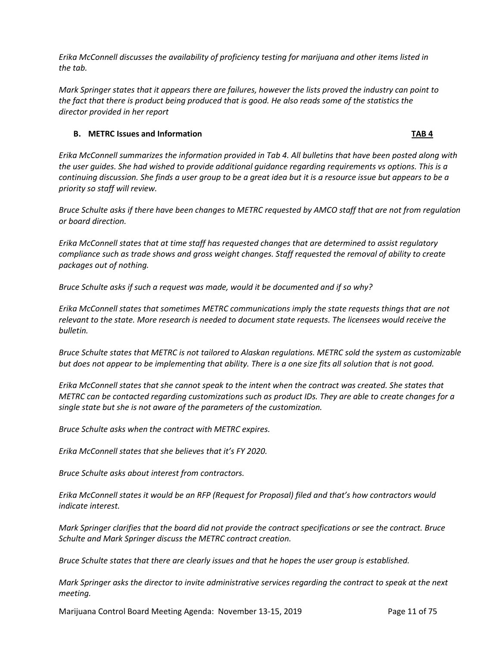*Erika McConnell discusses the availability of proficiency testing for marijuana and other items listed in the tab.* 

*Mark Springer states that it appears there are failures, however the lists proved the industry can point to the fact that there is product being produced that is good. He also reads some of the statistics the director provided in her report*

# **B. METRC Issues and Information TAB 4**

*Erika McConnell summarizes the information provided in Tab 4. All bulletins that have been posted along with the user guides. She had wished to provide additional guidance regarding requirements vs options. This is a continuing discussion. She finds a user group to be a great idea but it is a resource issue but appears to be a priority so staff will review.* 

*Bruce Schulte asks if there have been changes to METRC requested by AMCO staff that are not from regulation or board direction.* 

*Erika McConnell states that at time staff has requested changes that are determined to assist regulatory compliance such as trade shows and gross weight changes. Staff requested the removal of ability to create packages out of nothing.* 

*Bruce Schulte asks if such a request was made, would it be documented and if so why?*

*Erika McConnell states that sometimes METRC communications imply the state requests things that are not relevant to the state. More research is needed to document state requests. The licensees would receive the bulletin.* 

*Bruce Schulte states that METRC is not tailored to Alaskan regulations. METRC sold the system as customizable but does not appear to be implementing that ability. There is a one size fits all solution that is not good.* 

*Erika McConnell states that she cannot speak to the intent when the contract was created. She states that METRC can be contacted regarding customizations such as product IDs. They are able to create changes for a single state but she is not aware of the parameters of the customization.* 

*Bruce Schulte asks when the contract with METRC expires.*

*Erika McConnell states that she believes that it's FY 2020.*

*Bruce Schulte asks about interest from contractors.*

*Erika McConnell states it would be an RFP (Request for Proposal) filed and that's how contractors would indicate interest.*

*Mark Springer clarifies that the board did not provide the contract specifications or see the contract. Bruce Schulte and Mark Springer discuss the METRC contract creation.* 

*Bruce Schulte states that there are clearly issues and that he hopes the user group is established.* 

*Mark Springer asks the director to invite administrative services regarding the contract to speak at the next meeting.* 

Marijuana Control Board Meeting Agenda: November 13-15, 2019 Page 11 of 75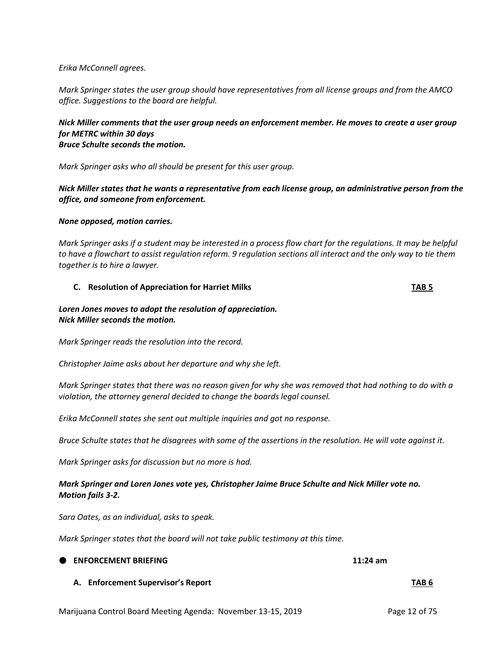## *Erika McConnell agrees.*

*Mark Springer states the user group should have representatives from all license groups and from the AMCO office. Suggestions to the board are helpful.* 

# *Nick Miller comments that the user group needs an enforcement member. He moves to create a user group for METRC within 30 days Bruce Schulte seconds the motion.*

*Mark Springer asks who all should be present for this user group.* 

*Nick Miller states that he wants a representative from each license group, an administrative person from the office, and someone from enforcement.* 

#### *None opposed, motion carries.*

*Mark Springer asks if a student may be interested in a process flow chart for the regulations. It may be helpful to have a flowchart to assist regulation reform. 9 regulation sections all interact and the only way to tie them together is to hire a lawyer.* 

#### **C. Resolution of Appreciation for Harriet Milks TAB 5**

# *Loren Jones moves to adopt the resolution of appreciation. Nick Miller seconds the motion.*

*Mark Springer reads the resolution into the record.* 

*Christopher Jaime asks about her departure and why she left.* 

*Mark Springer states that there was no reason given for why she was removed that had nothing to do with a violation, the attorney general decided to change the boards legal counsel.* 

*Erika McConnell states she sent out multiple inquiries and got no response.* 

*Bruce Schulte states that he disagrees with some of the assertions in the resolution. He will vote against it.* 

*Mark Springer asks for discussion but no more is had.* 

# *Mark Springer and Loren Jones vote yes, Christopher Jaime Bruce Schulte and Nick Miller vote no. Motion fails 3-2.*

*Sara Oates, as an individual, asks to speak.* 

*Mark Springer states that the board will not take public testimony at this time.* 

| <b>ENFORCEMENT BRIEFING</b> | $11:24$ am |
|-----------------------------|------------|
|                             |            |

**A. Enforcement Supervisor's Report TAB 6**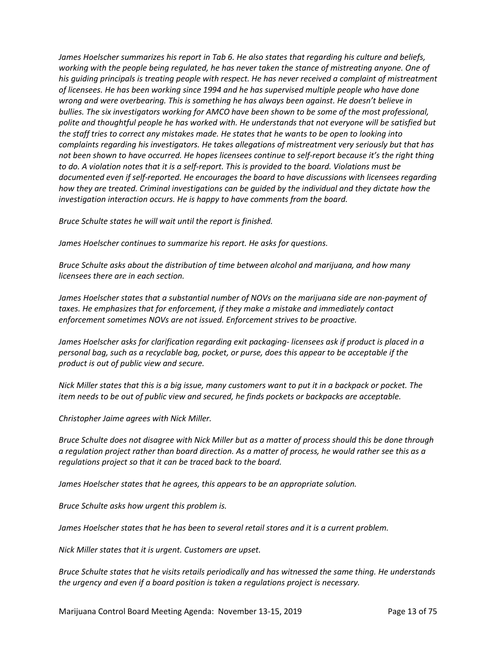*James Hoelscher summarizes his report in Tab 6. He also states that regarding his culture and beliefs, working with the people being regulated, he has never taken the stance of mistreating anyone. One of his guiding principals is treating people with respect. He has never received a complaint of mistreatment of licensees. He has been working since 1994 and he has supervised multiple people who have done wrong and were overbearing. This is something he has always been against. He doesn't believe in bullies. The six investigators working for AMCO have been shown to be some of the most professional, polite and thoughtful people he has worked with. He understands that not everyone will be satisfied but the staff tries to correct any mistakes made. He states that he wants to be open to looking into complaints regarding his investigators. He takes allegations of mistreatment very seriously but that has not been shown to have occurred. He hopes licensees continue to self-report because it's the right thing to do. A violation notes that it is a self-report. This is provided to the board. Violations must be documented even if self-reported. He encourages the board to have discussions with licensees regarding how they are treated. Criminal investigations can be guided by the individual and they dictate how the investigation interaction occurs. He is happy to have comments from the board.* 

*Bruce Schulte states he will wait until the report is finished.* 

*James Hoelscher continues to summarize his report. He asks for questions.* 

*Bruce Schulte asks about the distribution of time between alcohol and marijuana, and how many licensees there are in each section.* 

*James Hoelscher states that a substantial number of NOVs on the marijuana side are non-payment of taxes. He emphasizes that for enforcement, if they make a mistake and immediately contact enforcement sometimes NOVs are not issued. Enforcement strives to be proactive.* 

*James Hoelscher asks for clarification regarding exit packaging- licensees ask if product is placed in a personal bag, such as a recyclable bag, pocket, or purse, does this appear to be acceptable if the product is out of public view and secure.*

*Nick Miller states that this is a big issue, many customers want to put it in a backpack or pocket. The item needs to be out of public view and secured, he finds pockets or backpacks are acceptable.* 

*Christopher Jaime agrees with Nick Miller.*

*Bruce Schulte does not disagree with Nick Miller but as a matter of process should this be done through a regulation project rather than board direction. As a matter of process, he would rather see this as a regulations project so that it can be traced back to the board.* 

*James Hoelscher states that he agrees, this appears to be an appropriate solution.* 

*Bruce Schulte asks how urgent this problem is.* 

*James Hoelscher states that he has been to several retail stores and it is a current problem.* 

*Nick Miller states that it is urgent. Customers are upset.* 

*Bruce Schulte states that he visits retails periodically and has witnessed the same thing. He understands the urgency and even if a board position is taken a regulations project is necessary.*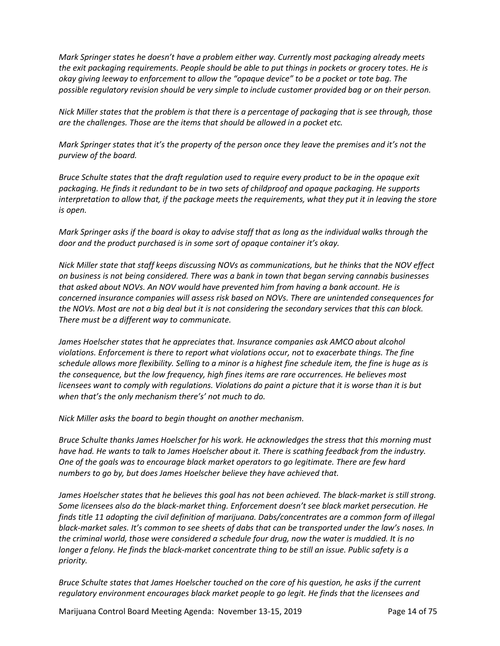*Mark Springer states he doesn't have a problem either way. Currently most packaging already meets the exit packaging requirements. People should be able to put things in pockets or grocery totes. He is okay giving leeway to enforcement to allow the "opaque device" to be a pocket or tote bag. The possible regulatory revision should be very simple to include customer provided bag or on their person.* 

*Nick Miller states that the problem is that there is a percentage of packaging that is see through, those are the challenges. Those are the items that should be allowed in a pocket etc.* 

*Mark Springer states that it's the property of the person once they leave the premises and it's not the purview of the board.* 

*Bruce Schulte states that the draft regulation used to require every product to be in the opaque exit packaging. He finds it redundant to be in two sets of childproof and opaque packaging. He supports interpretation to allow that, if the package meets the requirements, what they put it in leaving the store is open.*

*Mark Springer asks if the board is okay to advise staff that as long as the individual walks through the door and the product purchased is in some sort of opaque container it's okay.* 

*Nick Miller state that staff keeps discussing NOVs as communications, but he thinks that the NOV effect on business is not being considered. There was a bank in town that began serving cannabis businesses that asked about NOVs. An NOV would have prevented him from having a bank account. He is concerned insurance companies will assess risk based on NOVs. There are unintended consequences for the NOVs. Most are not a big deal but it is not considering the secondary services that this can block. There must be a different way to communicate.* 

*James Hoelscher states that he appreciates that. Insurance companies ask AMCO about alcohol violations. Enforcement is there to report what violations occur, not to exacerbate things. The fine schedule allows more flexibility. Selling to a minor is a highest fine schedule item, the fine is huge as is the consequence, but the low frequency, high fines items are rare occurrences. He believes most licensees want to comply with regulations. Violations do paint a picture that it is worse than it is but when that's the only mechanism there's' not much to do.* 

*Nick Miller asks the board to begin thought on another mechanism.* 

*Bruce Schulte thanks James Hoelscher for his work. He acknowledges the stress that this morning must have had. He wants to talk to James Hoelscher about it. There is scathing feedback from the industry. One of the goals was to encourage black market operators to go legitimate. There are few hard numbers to go by, but does James Hoelscher believe they have achieved that.* 

*James Hoelscher states that he believes this goal has not been achieved. The black-market is still strong. Some licensees also do the black-market thing. Enforcement doesn't see black market persecution. He finds title 11 adopting the civil definition of marijuana. Dabs/concentrates are a common form of illegal black-market sales. It's common to see sheets of dabs that can be transported under the law's noses. In the criminal world, those were considered a schedule four drug, now the water is muddied. It is no longer a felony. He finds the black-market concentrate thing to be still an issue. Public safety is a priority.* 

*Bruce Schulte states that James Hoelscher touched on the core of his question, he asks if the current regulatory environment encourages black market people to go legit. He finds that the licensees and* 

Marijuana Control Board Meeting Agenda: November 13-15, 2019 Page 14 of 75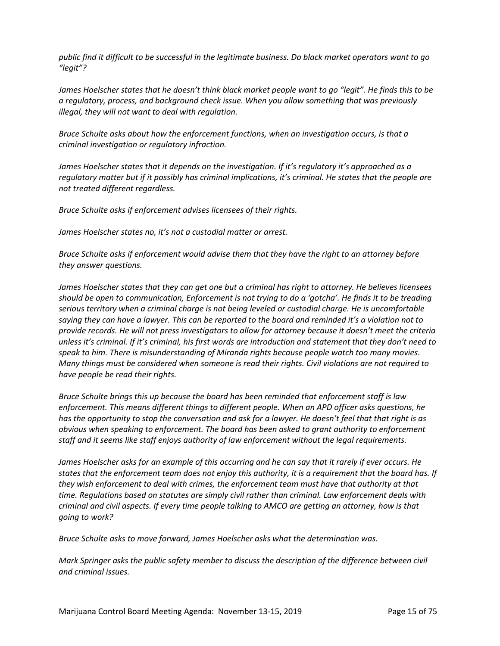*public find it difficult to be successful in the legitimate business. Do black market operators want to go "legit"?*

*James Hoelscher states that he doesn't think black market people want to go "legit". He finds this to be a regulatory, process, and background check issue. When you allow something that was previously illegal, they will not want to deal with regulation.* 

*Bruce Schulte asks about how the enforcement functions, when an investigation occurs, is that a criminal investigation or regulatory infraction.*

*James Hoelscher states that it depends on the investigation. If it's regulatory it's approached as a regulatory matter but if it possibly has criminal implications, it's criminal. He states that the people are not treated different regardless.* 

*Bruce Schulte asks if enforcement advises licensees of their rights.* 

*James Hoelscher states no, it's not a custodial matter or arrest.* 

*Bruce Schulte asks if enforcement would advise them that they have the right to an attorney before they answer questions.* 

*James Hoelscher states that they can get one but a criminal has right to attorney. He believes licensees should be open to communication, Enforcement is not trying to do a 'gotcha'. He finds it to be treading serious territory when a criminal charge is not being leveled or custodial charge. He is uncomfortable saying they can have a lawyer. This can be reported to the board and reminded it's a violation not to provide records. He will not press investigators to allow for attorney because it doesn't meet the criteria unless it's criminal. If it's criminal, his first words are introduction and statement that they don't need to speak to him. There is misunderstanding of Miranda rights because people watch too many movies. Many things must be considered when someone is read their rights. Civil violations are not required to have people be read their rights.* 

*Bruce Schulte brings this up because the board has been reminded that enforcement staff is law enforcement. This means different things to different people. When an APD officer asks questions, he has the opportunity to stop the conversation and ask for a lawyer. He doesn't feel that that right is as obvious when speaking to enforcement. The board has been asked to grant authority to enforcement staff and it seems like staff enjoys authority of law enforcement without the legal requirements.*

*James Hoelscher asks for an example of this occurring and he can say that it rarely if ever occurs. He states that the enforcement team does not enjoy this authority, it is a requirement that the board has. If they wish enforcement to deal with crimes, the enforcement team must have that authority at that time. Regulations based on statutes are simply civil rather than criminal. Law enforcement deals with criminal and civil aspects. If every time people talking to AMCO are getting an attorney, how is that going to work?*

*Bruce Schulte asks to move forward, James Hoelscher asks what the determination was.* 

*Mark Springer asks the public safety member to discuss the description of the difference between civil and criminal issues.*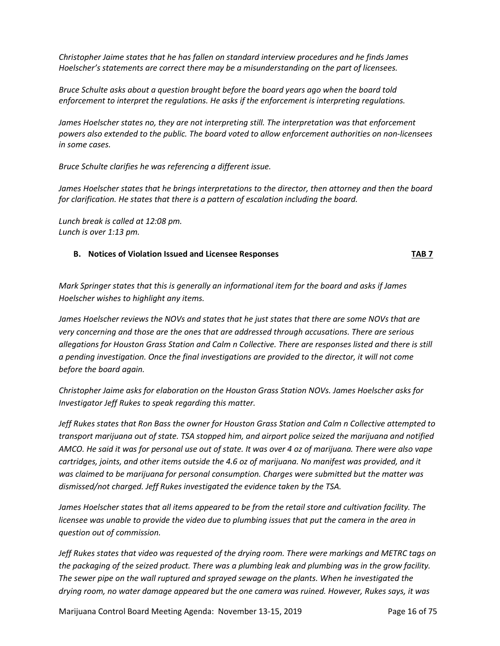*Christopher Jaime states that he has fallen on standard interview procedures and he finds James Hoelscher's statements are correct there may be a misunderstanding on the part of licensees.* 

*Bruce Schulte asks about a question brought before the board years ago when the board told enforcement to interpret the regulations. He asks if the enforcement is interpreting regulations.*

*James Hoelscher states no, they are not interpreting still. The interpretation was that enforcement powers also extended to the public. The board voted to allow enforcement authorities on non-licensees in some cases.* 

*Bruce Schulte clarifies he was referencing a different issue.* 

*James Hoelscher states that he brings interpretations to the director, then attorney and then the board for clarification. He states that there is a pattern of escalation including the board.* 

*Lunch break is called at 12:08 pm. Lunch is over 1:13 pm.* 

## **B. Notices of Violation Issued and Licensee Responses TAB 7**

*Mark Springer states that this is generally an informational item for the board and asks if James Hoelscher wishes to highlight any items.* 

*James Hoelscher reviews the NOVs and states that he just states that there are some NOVs that are very concerning and those are the ones that are addressed through accusations. There are serious allegations for Houston Grass Station and Calm n Collective. There are responses listed and there is still a pending investigation. Once the final investigations are provided to the director, it will not come before the board again.*

*Christopher Jaime asks for elaboration on the Houston Grass Station NOVs. James Hoelscher asks for Investigator Jeff Rukes to speak regarding this matter.* 

*Jeff Rukes states that Ron Bass the owner for Houston Grass Station and Calm n Collective attempted to transport marijuana out of state. TSA stopped him, and airport police seized the marijuana and notified AMCO. He said it was for personal use out of state. It was over 4 oz of marijuana. There were also vape cartridges, joints, and other items outside the 4.6 oz of marijuana. No manifest was provided, and it was claimed to be marijuana for personal consumption. Charges were submitted but the matter was dismissed/not charged. Jeff Rukes investigated the evidence taken by the TSA.* 

*James Hoelscher states that all items appeared to be from the retail store and cultivation facility. The licensee was unable to provide the video due to plumbing issues that put the camera in the area in question out of commission.* 

*Jeff Rukes states that video was requested of the drying room. There were markings and METRC tags on the packaging of the seized product. There was a plumbing leak and plumbing was in the grow facility. The sewer pipe on the wall ruptured and sprayed sewage on the plants. When he investigated the drying room, no water damage appeared but the one camera was ruined. However, Rukes says, it was* 

Marijuana Control Board Meeting Agenda: November 13-15, 2019 Page 16 of 75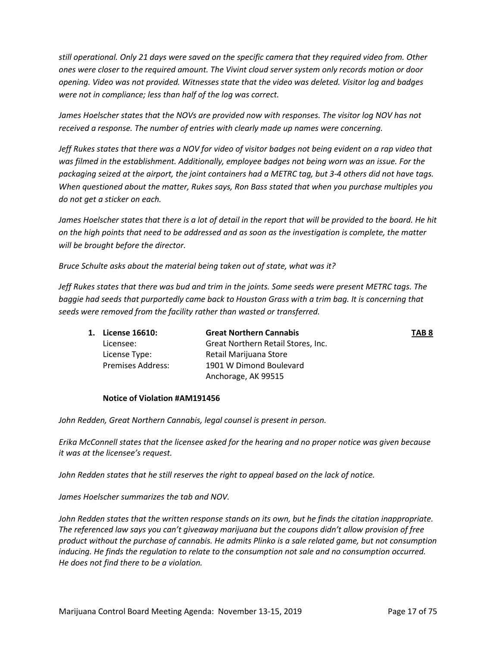*still operational. Only 21 days were saved on the specific camera that they required video from. Other ones were closer to the required amount. The Vivint cloud server system only records motion or door opening. Video was not provided. Witnesses state that the video was deleted. Visitor log and badges were not in compliance; less than half of the log was correct.* 

*James Hoelscher states that the NOVs are provided now with responses. The visitor log NOV has not received a response. The number of entries with clearly made up names were concerning.* 

*Jeff Rukes states that there was a NOV for video of visitor badges not being evident on a rap video that was filmed in the establishment. Additionally, employee badges not being worn was an issue. For the packaging seized at the airport, the joint containers had a METRC tag, but 3-4 others did not have tags. When questioned about the matter, Rukes says, Ron Bass stated that when you purchase multiples you do not get a sticker on each.*

*James Hoelscher states that there is a lot of detail in the report that will be provided to the board. He hit on the high points that need to be addressed and as soon as the investigation is complete, the matter will be brought before the director.* 

*Bruce Schulte asks about the material being taken out of state, what was it?*

*Jeff Rukes states that there was bud and trim in the joints. Some seeds were present METRC tags. The baggie had seeds that purportedly came back to Houston Grass with a trim bag. It is concerning that seeds were removed from the facility rather than wasted or transferred.* 

| 1. License 16610:        | <b>Great Northern Cannabis</b>     | TAB <sub>8</sub> |
|--------------------------|------------------------------------|------------------|
| Licensee:                | Great Northern Retail Stores, Inc. |                  |
| License Type:            | Retail Marijuana Store             |                  |
| <b>Premises Address:</b> | 1901 W Dimond Boulevard            |                  |
|                          | Anchorage, AK 99515                |                  |

#### **Notice of Violation #AM191456**

*John Redden, Great Northern Cannabis, legal counsel is present in person.* 

*Erika McConnell states that the licensee asked for the hearing and no proper notice was given because it was at the licensee's request.* 

*John Redden states that he still reserves the right to appeal based on the lack of notice.* 

*James Hoelscher summarizes the tab and NOV.* 

*John Redden states that the written response stands on its own, but he finds the citation inappropriate. The referenced law says you can't giveaway marijuana but the coupons didn't allow provision of free product without the purchase of cannabis. He admits Plinko is a sale related game, but not consumption inducing. He finds the regulation to relate to the consumption not sale and no consumption occurred. He does not find there to be a violation.*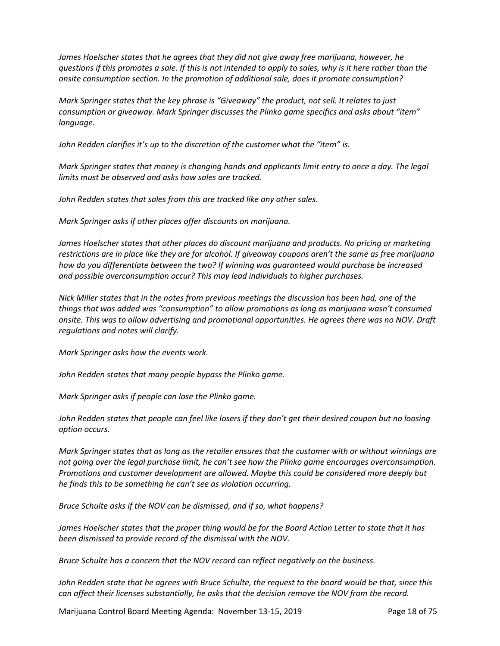*James Hoelscher states that he agrees that they did not give away free marijuana, however, he questions if this promotes a sale. If this is not intended to apply to sales, why is it here rather than the onsite consumption section. In the promotion of additional sale, does it promote consumption?*

*Mark Springer states that the key phrase is "Giveaway" the product, not sell. It relates to just consumption or giveaway. Mark Springer discusses the Plinko game specifics and asks about "item" language.* 

*John Redden clarifies it's up to the discretion of the customer what the "item" is.*

*Mark Springer states that money is changing hands and applicants limit entry to once a day. The legal limits must be observed and asks how sales are tracked.* 

*John Redden states that sales from this are tracked like any other sales.* 

*Mark Springer asks if other places offer discounts on marijuana.* 

*James Hoelscher states that other places do discount marijuana and products. No pricing or marketing restrictions are in place like they are for alcohol. If giveaway coupons aren't the same as free marijuana how do you differentiate between the two? If winning was guaranteed would purchase be increased and possible overconsumption occur? This may lead individuals to higher purchases.*

*Nick Miller states that in the notes from previous meetings the discussion has been had, one of the things that was added was "consumption" to allow promotions as long as marijuana wasn't consumed onsite. This was to allow advertising and promotional opportunities. He agrees there was no NOV. Draft regulations and notes will clarify.*

*Mark Springer asks how the events work.* 

*John Redden states that many people bypass the Plinko game.* 

*Mark Springer asks if people can lose the Plinko game.* 

*John Redden states that people can feel like losers if they don't get their desired coupon but no loosing option occurs.* 

*Mark Springer states that as long as the retailer ensures that the customer with or without winnings are not going over the legal purchase limit, he can't see how the Plinko game encourages overconsumption. Promotions and customer development are allowed. Maybe this could be considered more deeply but he finds this to be something he can't see as violation occurring.* 

*Bruce Schulte asks if the NOV can be dismissed, and if so, what happens?*

*James Hoelscher states that the proper thing would be for the Board Action Letter to state that it has been dismissed to provide record of the dismissal with the NOV.* 

*Bruce Schulte has a concern that the NOV record can reflect negatively on the business.* 

*John Redden state that he agrees with Bruce Schulte, the request to the board would be that, since this can affect their licenses substantially, he asks that the decision remove the NOV from the record.* 

Marijuana Control Board Meeting Agenda: November 13-15, 2019 Page 18 of 75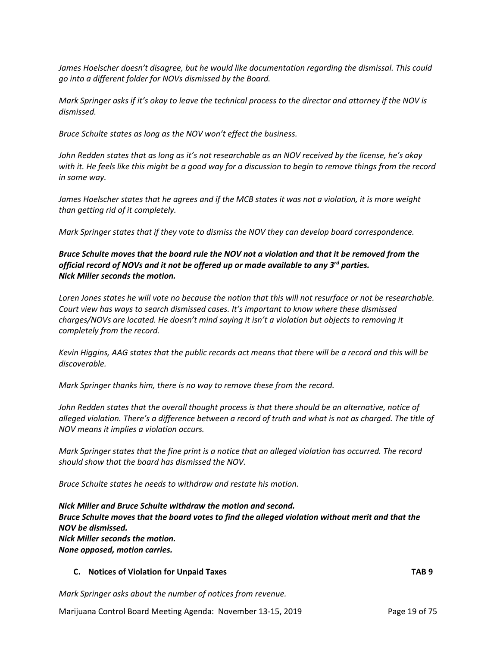*James Hoelscher doesn't disagree, but he would like documentation regarding the dismissal. This could go into a different folder for NOVs dismissed by the Board.* 

*Mark Springer asks if it's okay to leave the technical process to the director and attorney if the NOV is dismissed.* 

*Bruce Schulte states as long as the NOV won't effect the business.* 

*John Redden states that as long as it's not researchable as an NOV received by the license, he's okay with it. He feels like this might be a good way for a discussion to begin to remove things from the record in some way.* 

*James Hoelscher states that he agrees and if the MCB states it was not a violation, it is more weight than getting rid of it completely.* 

*Mark Springer states that if they vote to dismiss the NOV they can develop board correspondence.* 

# *Bruce Schulte moves that the board rule the NOV not a violation and that it be removed from the official record of NOVs and it not be offered up or made available to any 3rd parties. Nick Miller seconds the motion.*

*Loren Jones states he will vote no because the notion that this will not resurface or not be researchable. Court view has ways to search dismissed cases. It's important to know where these dismissed charges/NOVs are located. He doesn't mind saying it isn't a violation but objects to removing it completely from the record.*

*Kevin Higgins, AAG states that the public records act means that there will be a record and this will be discoverable.* 

*Mark Springer thanks him, there is no way to remove these from the record.* 

*John Redden states that the overall thought process is that there should be an alternative, notice of alleged violation. There's a difference between a record of truth and what is not as charged. The title of NOV means it implies a violation occurs.* 

*Mark Springer states that the fine print is a notice that an alleged violation has occurred. The record should show that the board has dismissed the NOV.* 

*Bruce Schulte states he needs to withdraw and restate his motion.* 

*Nick Miller and Bruce Schulte withdraw the motion and second. Bruce Schulte moves that the board votes to find the alleged violation without merit and that the NOV be dismissed. Nick Miller seconds the motion. None opposed, motion carries.* 

#### **C. Notices of Violation for Unpaid Taxes TAB 9**

*Mark Springer asks about the number of notices from revenue.*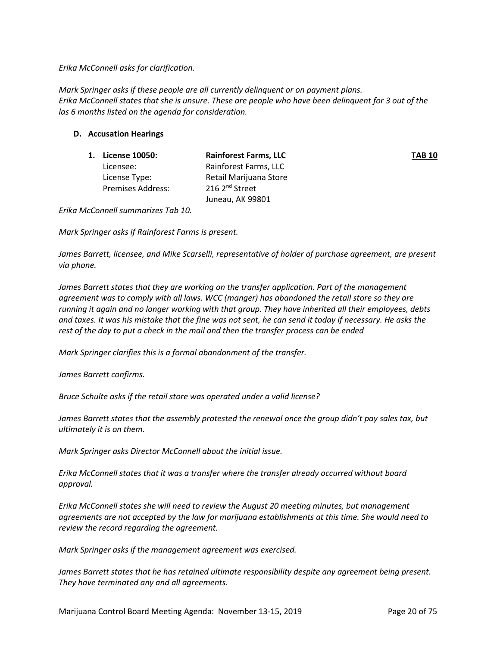*Erika McConnell asks for clarification.*

*Mark Springer asks if these people are all currently delinquent or on payment plans. Erika McConnell states that she is unsure. These are people who have been delinquent for 3 out of the las 6 months listed on the agenda for consideration.* 

# **D. Accusation Hearings**

| 1. | <b>License 10050:</b>    | <b>Rainforest Farms, LLC</b> | <b>TAB 10</b> |
|----|--------------------------|------------------------------|---------------|
|    | Licensee:                | Rainforest Farms, LLC        |               |
|    | License Type:            | Retail Marijuana Store       |               |
|    | <b>Premises Address:</b> | 216 2 <sup>nd</sup> Street   |               |
|    |                          | Juneau, AK 99801             |               |

*Erika McConnell summarizes Tab 10.*

*Mark Springer asks if Rainforest Farms is present.* 

*James Barrett, licensee, and Mike Scarselli, representative of holder of purchase agreement, are present via phone.* 

*James Barrett states that they are working on the transfer application. Part of the management agreement was to comply with all laws. WCC (manger) has abandoned the retail store so they are running it again and no longer working with that group. They have inherited all their employees, debts and taxes. It was his mistake that the fine was not sent, he can send it today if necessary. He asks the rest of the day to put a check in the mail and then the transfer process can be ended*

*Mark Springer clarifies this is a formal abandonment of the transfer.*

*James Barrett confirms.* 

*Bruce Schulte asks if the retail store was operated under a valid license?*

*James Barrett states that the assembly protested the renewal once the group didn't pay sales tax, but ultimately it is on them.* 

*Mark Springer asks Director McConnell about the initial issue.*

*Erika McConnell states that it was a transfer where the transfer already occurred without board approval.*

*Erika McConnell states she will need to review the August 20 meeting minutes, but management agreements are not accepted by the law for marijuana establishments at this time. She would need to review the record regarding the agreement.* 

*Mark Springer asks if the management agreement was exercised.* 

*James Barrett states that he has retained ultimate responsibility despite any agreement being present. They have terminated any and all agreements.*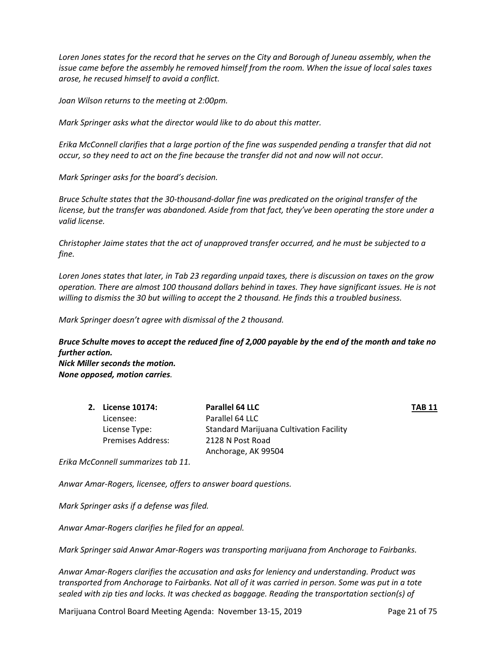*Loren Jones states for the record that he serves on the City and Borough of Juneau assembly, when the issue came before the assembly he removed himself from the room. When the issue of local sales taxes arose, he recused himself to avoid a conflict.* 

*Joan Wilson returns to the meeting at 2:00pm.* 

*Mark Springer asks what the director would like to do about this matter.*

*Erika McConnell clarifies that a large portion of the fine was suspended pending a transfer that did not occur, so they need to act on the fine because the transfer did not and now will not occur.* 

*Mark Springer asks for the board's decision.* 

*Bruce Schulte states that the 30-thousand-dollar fine was predicated on the original transfer of the license, but the transfer was abandoned. Aside from that fact, they've been operating the store under a valid license.* 

*Christopher Jaime states that the act of unapproved transfer occurred, and he must be subjected to a fine.* 

*Loren Jones states that later, in Tab 23 regarding unpaid taxes, there is discussion on taxes on the grow operation. There are almost 100 thousand dollars behind in taxes. They have significant issues. He is not willing to dismiss the 30 but willing to accept the 2 thousand. He finds this a troubled business.*

*Mark Springer doesn't agree with dismissal of the 2 thousand.* 

*Bruce Schulte moves to accept the reduced fine of 2,000 payable by the end of the month and take no further action. Nick Miller seconds the motion.* 

*None opposed, motion carries.* 

| 2. License 10174:        | Parallel 64 LLC                                | <b>TAB 11</b> |
|--------------------------|------------------------------------------------|---------------|
| Licensee:                | Parallel 64 LLC                                |               |
| License Type:            | <b>Standard Marijuana Cultivation Facility</b> |               |
| <b>Premises Address:</b> | 2128 N Post Road                               |               |
|                          | Anchorage, AK 99504                            |               |

*Erika McConnell summarizes tab 11.* 

*Anwar Amar-Rogers, licensee, offers to answer board questions.* 

*Mark Springer asks if a defense was filed.* 

*Anwar Amar-Rogers clarifies he filed for an appeal.*

*Mark Springer said Anwar Amar-Rogers was transporting marijuana from Anchorage to Fairbanks.* 

*Anwar Amar-Rogers clarifies the accusation and asks for leniency and understanding. Product was transported from Anchorage to Fairbanks. Not all of it was carried in person. Some was put in a tote sealed with zip ties and locks. It was checked as baggage. Reading the transportation section(s) of* 

Marijuana Control Board Meeting Agenda: November 13-15, 2019 Page 21 of 75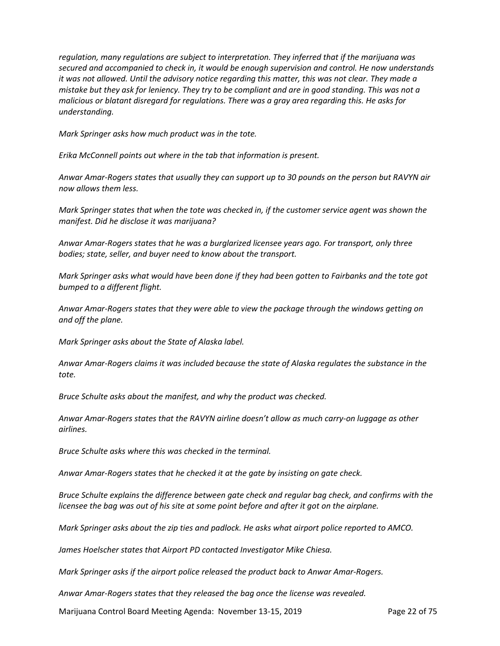*regulation, many regulations are subject to interpretation. They inferred that if the marijuana was secured and accompanied to check in, it would be enough supervision and control. He now understands it was not allowed. Until the advisory notice regarding this matter, this was not clear. They made a mistake but they ask for leniency. They try to be compliant and are in good standing. This was not a malicious or blatant disregard for regulations. There was a gray area regarding this. He asks for understanding.* 

*Mark Springer asks how much product was in the tote.* 

*Erika McConnell points out where in the tab that information is present.* 

*Anwar Amar-Rogers states that usually they can support up to 30 pounds on the person but RAVYN air now allows them less.* 

*Mark Springer states that when the tote was checked in, if the customer service agent was shown the manifest. Did he disclose it was marijuana?*

*Anwar Amar-Rogers states that he was a burglarized licensee years ago. For transport, only three bodies; state, seller, and buyer need to know about the transport.*

*Mark Springer asks what would have been done if they had been gotten to Fairbanks and the tote got bumped to a different flight.*

*Anwar Amar-Rogers states that they were able to view the package through the windows getting on and off the plane.*

*Mark Springer asks about the State of Alaska label.* 

*Anwar Amar-Rogers claims it was included because the state of Alaska regulates the substance in the tote.* 

*Bruce Schulte asks about the manifest, and why the product was checked.*

*Anwar Amar-Rogers states that the RAVYN airline doesn't allow as much carry-on luggage as other airlines.* 

*Bruce Schulte asks where this was checked in the terminal.*

*Anwar Amar-Rogers states that he checked it at the gate by insisting on gate check.* 

*Bruce Schulte explains the difference between gate check and regular bag check, and confirms with the licensee the bag was out of his site at some point before and after it got on the airplane.* 

*Mark Springer asks about the zip ties and padlock. He asks what airport police reported to AMCO.*

*James Hoelscher states that Airport PD contacted Investigator Mike Chiesa.* 

*Mark Springer asks if the airport police released the product back to Anwar Amar-Rogers.* 

*Anwar Amar-Rogers states that they released the bag once the license was revealed.* 

Marijuana Control Board Meeting Agenda: November 13-15, 2019 Page 22 of 75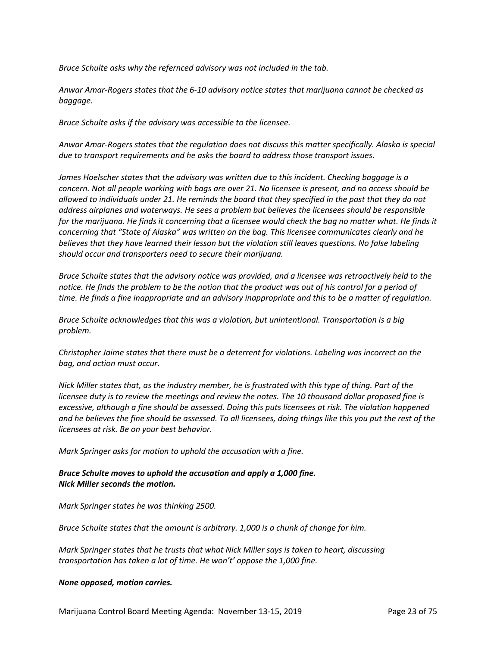*Bruce Schulte asks why the refernced advisory was not included in the tab.* 

*Anwar Amar-Rogers states that the 6-10 advisory notice states that marijuana cannot be checked as baggage.* 

*Bruce Schulte asks if the advisory was accessible to the licensee.* 

*Anwar Amar-Rogers states that the regulation does not discuss this matter specifically. Alaska is special due to transport requirements and he asks the board to address those transport issues.* 

*James Hoelscher states that the advisory was written due to this incident. Checking baggage is a concern. Not all people working with bags are over 21. No licensee is present, and no access should be allowed to individuals under 21. He reminds the board that they specified in the past that they do not address airplanes and waterways. He sees a problem but believes the licensees should be responsible for the marijuana. He finds it concerning that a licensee would check the bag no matter what. He finds it concerning that "State of Alaska" was written on the bag. This licensee communicates clearly and he believes that they have learned their lesson but the violation still leaves questions. No false labeling should occur and transporters need to secure their marijuana.* 

*Bruce Schulte states that the advisory notice was provided, and a licensee was retroactively held to the notice. He finds the problem to be the notion that the product was out of his control for a period of time. He finds a fine inappropriate and an advisory inappropriate and this to be a matter of regulation.* 

*Bruce Schulte acknowledges that this was a violation, but unintentional. Transportation is a big problem.* 

*Christopher Jaime states that there must be a deterrent for violations. Labeling was incorrect on the bag, and action must occur.* 

*Nick Miller states that, as the industry member, he is frustrated with this type of thing. Part of the licensee duty is to review the meetings and review the notes. The 10 thousand dollar proposed fine is excessive, although a fine should be assessed. Doing this puts licensees at risk. The violation happened and he believes the fine should be assessed. To all licensees, doing things like this you put the rest of the licensees at risk. Be on your best behavior.* 

*Mark Springer asks for motion to uphold the accusation with a fine.* 

# *Bruce Schulte moves to uphold the accusation and apply a 1,000 fine. Nick Miller seconds the motion.*

*Mark Springer states he was thinking 2500.*

*Bruce Schulte states that the amount is arbitrary. 1,000 is a chunk of change for him.*

*Mark Springer states that he trusts that what Nick Miller says is taken to heart, discussing transportation has taken a lot of time. He won't' oppose the 1,000 fine.*

#### *None opposed, motion carries.*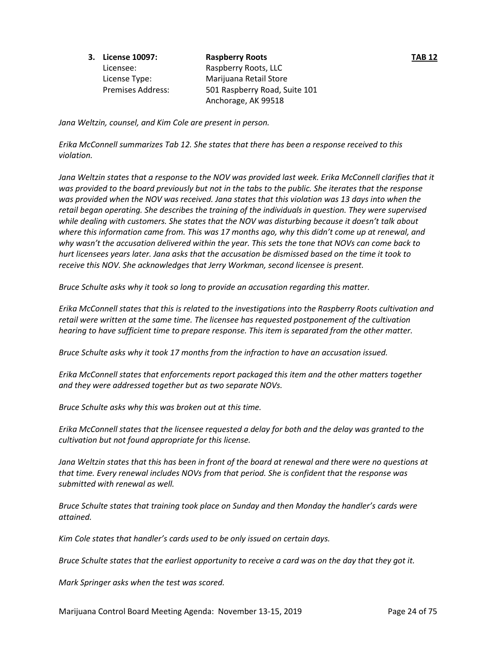**3. License 10097: Raspberry Roots TAB 12**

Licensee: Raspberry Roots, LLC License Type: Marijuana Retail Store Premises Address: 501 Raspberry Road, Suite 101 Anchorage, AK 99518

*Jana Weltzin, counsel, and Kim Cole are present in person.* 

*Erika McConnell summarizes Tab 12. She states that there has been a response received to this violation.* 

*Jana Weltzin states that a response to the NOV was provided last week. Erika McConnell clarifies that it was provided to the board previously but not in the tabs to the public. She iterates that the response was provided when the NOV was received. Jana states that this violation was 13 days into when the retail began operating. She describes the training of the individuals in question. They were supervised while dealing with customers. She states that the NOV was disturbing because it doesn't talk about where this information came from. This was 17 months ago, why this didn't come up at renewal, and why wasn't the accusation delivered within the year. This sets the tone that NOVs can come back to hurt licensees years later. Jana asks that the accusation be dismissed based on the time it took to receive this NOV. She acknowledges that Jerry Workman, second licensee is present.* 

*Bruce Schulte asks why it took so long to provide an accusation regarding this matter.* 

*Erika McConnell states that this is related to the investigations into the Raspberry Roots cultivation and retail were written at the same time. The licensee has requested postponement of the cultivation hearing to have sufficient time to prepare response. This item is separated from the other matter.* 

*Bruce Schulte asks why it took 17 months from the infraction to have an accusation issued.* 

*Erika McConnell states that enforcements report packaged this item and the other matters together and they were addressed together but as two separate NOVs.* 

*Bruce Schulte asks why this was broken out at this time.* 

*Erika McConnell states that the licensee requested a delay for both and the delay was granted to the cultivation but not found appropriate for this license.* 

*Jana Weltzin states that this has been in front of the board at renewal and there were no questions at that time. Every renewal includes NOVs from that period. She is confident that the response was submitted with renewal as well.* 

*Bruce Schulte states that training took place on Sunday and then Monday the handler's cards were attained.* 

*Kim Cole states that handler's cards used to be only issued on certain days.* 

*Bruce Schulte states that the earliest opportunity to receive a card was on the day that they got it.* 

*Mark Springer asks when the test was scored.*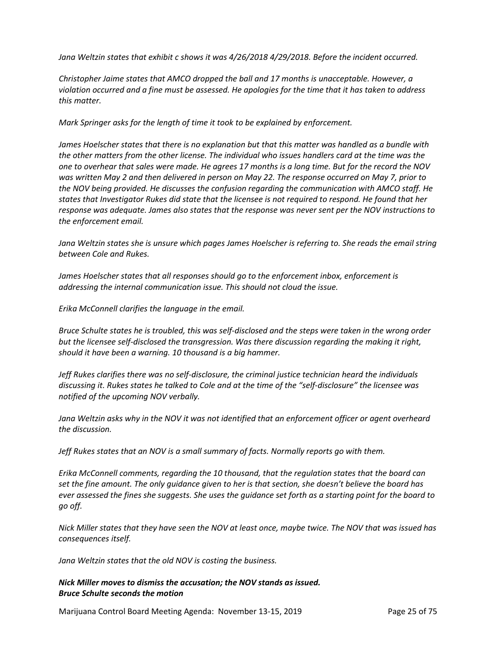*Jana Weltzin states that exhibit c shows it was 4/26/2018 4/29/2018. Before the incident occurred.* 

*Christopher Jaime states that AMCO dropped the ball and 17 months is unacceptable. However, a violation occurred and a fine must be assessed. He apologies for the time that it has taken to address this matter.*

*Mark Springer asks for the length of time it took to be explained by enforcement.* 

*James Hoelscher states that there is no explanation but that this matter was handled as a bundle with the other matters from the other license. The individual who issues handlers card at the time was the one to overhear that sales were made. He agrees 17 months is a long time. But for the record the NOV was written May 2 and then delivered in person on May 22. The response occurred on May 7, prior to the NOV being provided. He discusses the confusion regarding the communication with AMCO staff. He states that Investigator Rukes did state that the licensee is not required to respond. He found that her response was adequate. James also states that the response was never sent per the NOV instructions to the enforcement email.* 

*Jana Weltzin states she is unsure which pages James Hoelscher is referring to. She reads the email string between Cole and Rukes.* 

*James Hoelscher states that all responses should go to the enforcement inbox, enforcement is addressing the internal communication issue. This should not cloud the issue.* 

*Erika McConnell clarifies the language in the email.* 

*Bruce Schulte states he is troubled, this was self-disclosed and the steps were taken in the wrong order but the licensee self-disclosed the transgression. Was there discussion regarding the making it right, should it have been a warning. 10 thousand is a big hammer.* 

*Jeff Rukes clarifies there was no self-disclosure, the criminal justice technician heard the individuals discussing it. Rukes states he talked to Cole and at the time of the "self-disclosure" the licensee was notified of the upcoming NOV verbally.* 

*Jana Weltzin asks why in the NOV it was not identified that an enforcement officer or agent overheard the discussion.*

*Jeff Rukes states that an NOV is a small summary of facts. Normally reports go with them.*

*Erika McConnell comments, regarding the 10 thousand, that the regulation states that the board can set the fine amount. The only guidance given to her is that section, she doesn't believe the board has ever assessed the fines she suggests. She uses the guidance set forth as a starting point for the board to go off.* 

*Nick Miller states that they have seen the NOV at least once, maybe twice. The NOV that was issued has consequences itself.*

*Jana Weltzin states that the old NOV is costing the business.* 

# *Nick Miller moves to dismiss the accusation; the NOV stands as issued. Bruce Schulte seconds the motion*

Marijuana Control Board Meeting Agenda: November 13-15, 2019 Page 25 of 75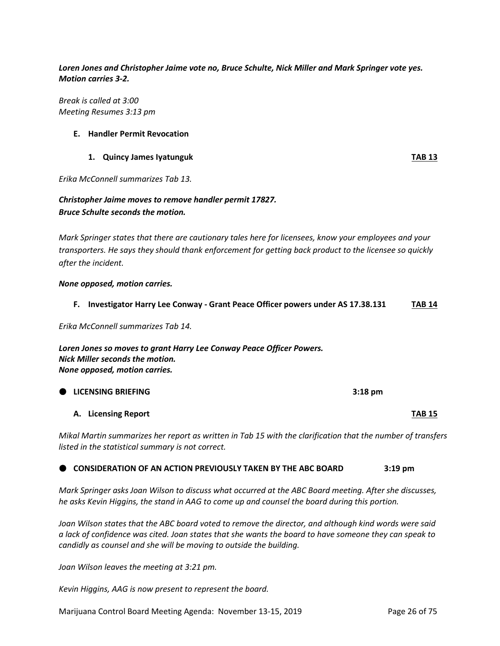*Loren Jones and Christopher Jaime vote no, Bruce Schulte, Nick Miller and Mark Springer vote yes. Motion carries 3-2.* 

*Break is called at 3:00 Meeting Resumes 3:13 pm*

#### **E. Handler Permit Revocation**

#### **1. Quincy James Iyatunguk TAB 13**

*Erika McConnell summarizes Tab 13.* 

# *Christopher Jaime moves to remove handler permit 17827. Bruce Schulte seconds the motion.*

*Mark Springer states that there are cautionary tales here for licensees, know your employees and your transporters. He says they should thank enforcement for getting back product to the licensee so quickly after the incident.*

#### *None opposed, motion carries.*

#### **F. Investigator Harry Lee Conway - Grant Peace Officer powers under AS 17.38.131 TAB 14**

*Erika McConnell summarizes Tab 14.*

*Loren Jones so moves to grant Harry Lee Conway Peace Officer Powers. Nick Miller seconds the motion. None opposed, motion carries.* 

**LICENSING BRIEFING 3:18 pm**

#### **A. Licensing Report TAB 15**

*Mikal Martin summarizes her report as written in Tab 15 with the clarification that the number of transfers listed in the statistical summary is not correct.* 

# **CONSIDERATION OF AN ACTION PREVIOUSLY TAKEN BY THE ABC BOARD 3:19 pm**

*Mark Springer asks Joan Wilson to discuss what occurred at the ABC Board meeting. After she discusses, he asks Kevin Higgins, the stand in AAG to come up and counsel the board during this portion.* 

*Joan Wilson states that the ABC board voted to remove the director, and although kind words were said a lack of confidence was cited. Joan states that she wants the board to have someone they can speak to candidly as counsel and she will be moving to outside the building.* 

*Joan Wilson leaves the meeting at 3:21 pm.*

*Kevin Higgins, AAG is now present to represent the board.*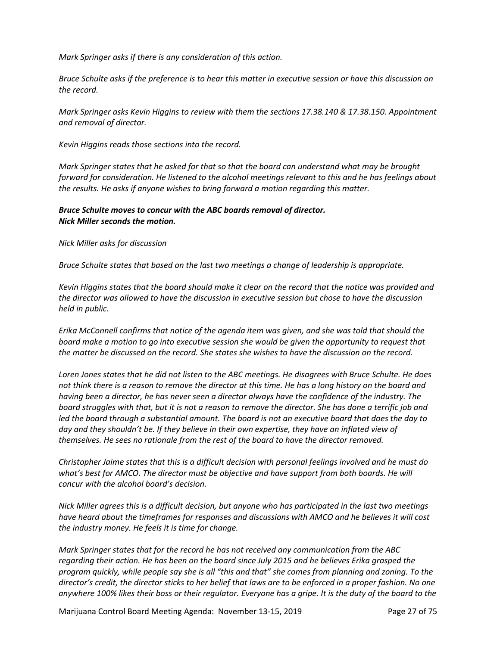*Mark Springer asks if there is any consideration of this action.*

*Bruce Schulte asks if the preference is to hear this matter in executive session or have this discussion on the record.* 

*Mark Springer asks Kevin Higgins to review with them the sections 17.38.140 & 17.38.150. Appointment and removal of director.* 

*Kevin Higgins reads those sections into the record.* 

*Mark Springer states that he asked for that so that the board can understand what may be brought forward for consideration. He listened to the alcohol meetings relevant to this and he has feelings about the results. He asks if anyone wishes to bring forward a motion regarding this matter.* 

# *Bruce Schulte moves to concur with the ABC boards removal of director. Nick Miller seconds the motion.*

*Nick Miller asks for discussion*

*Bruce Schulte states that based on the last two meetings a change of leadership is appropriate.* 

*Kevin Higgins states that the board should make it clear on the record that the notice was provided and the director was allowed to have the discussion in executive session but chose to have the discussion held in public.* 

*Erika McConnell confirms that notice of the agenda item was given, and she was told that should the board make a motion to go into executive session she would be given the opportunity to request that the matter be discussed on the record. She states she wishes to have the discussion on the record.*

*Loren Jones states that he did not listen to the ABC meetings. He disagrees with Bruce Schulte. He does not think there is a reason to remove the director at this time. He has a long history on the board and having been a director, he has never seen a director always have the confidence of the industry. The board struggles with that, but it is not a reason to remove the director. She has done a terrific job and led the board through a substantial amount. The board is not an executive board that does the day to day and they shouldn't be. If they believe in their own expertise, they have an inflated view of themselves. He sees no rationale from the rest of the board to have the director removed.* 

*Christopher Jaime states that this is a difficult decision with personal feelings involved and he must do what's best for AMCO. The director must be objective and have support from both boards. He will concur with the alcohol board's decision.*

*Nick Miller agrees this is a difficult decision, but anyone who has participated in the last two meetings have heard about the timeframes for responses and discussions with AMCO and he believes it will cost the industry money. He feels it is time for change.* 

*Mark Springer states that for the record he has not received any communication from the ABC regarding their action. He has been on the board since July 2015 and he believes Erika grasped the program quickly, while people say she is all "this and that" she comes from planning and zoning. To the director's credit, the director sticks to her belief that laws are to be enforced in a proper fashion. No one anywhere 100% likes their boss or their regulator. Everyone has a gripe. It is the duty of the board to the* 

Marijuana Control Board Meeting Agenda: November 13-15, 2019 Page 27 of 75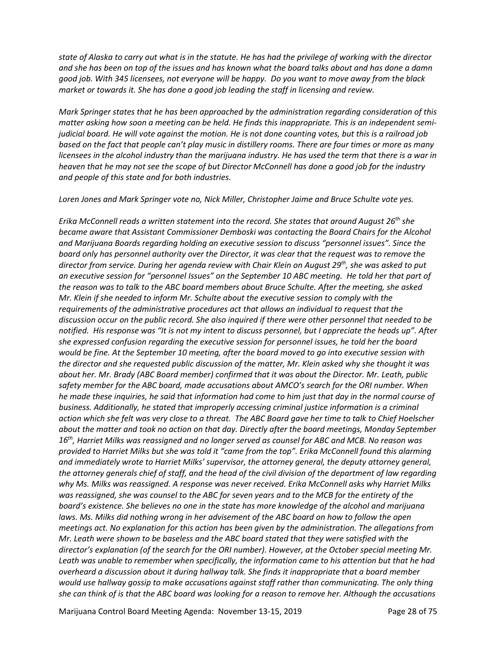*state of Alaska to carry out what is in the statute. He has had the privilege of working with the director and she has been on top of the issues and has known what the board talks about and has done a damn good job. With 345 licensees, not everyone will be happy. Do you want to move away from the black market or towards it. She has done a good job leading the staff in licensing and review.* 

*Mark Springer states that he has been approached by the administration regarding consideration of this matter asking how soon a meeting can be held. He finds this inappropriate. This is an independent semijudicial board. He will vote against the motion. He is not done counting votes, but this is a railroad job based on the fact that people can't play music in distillery rooms. There are four times or more as many licensees in the alcohol industry than the marijuana industry. He has used the term that there is a war in heaven that he may not see the scope of but Director McConnell has done a good job for the industry and people of this state and for both industries.* 

*Loren Jones and Mark Springer vote no, Nick Miller, Christopher Jaime and Bruce Schulte vote yes.* 

*Erika McConnell reads a written statement into the record. She states that around August 26th she became aware that Assistant Commissioner Demboski was contacting the Board Chairs for the Alcohol and Marijuana Boards regarding holding an executive session to discuss "personnel issues". Since the board only has personnel authority over the Director, it was clear that the request was to remove the director from service. During her agenda review with Chair Klein on August 29th, she was asked to put an executive session for "personnel Issues" on the September 10 ABC meeting. He told her that part of the reason was to talk to the ABC board members about Bruce Schulte. After the meeting, she asked Mr. Klein if she needed to inform Mr. Schulte about the executive session to comply with the requirements of the administrative procedures act that allows an individual to request that the discussion occur on the public record. She also inquired if there were other personnel that needed to be notified. His response was "It is not my intent to discuss personnel, but I appreciate the heads up". After she expressed confusion regarding the executive session for personnel issues, he told her the board would be fine. At the September 10 meeting, after the board moved to go into executive session with the director and she requested public discussion of the matter, Mr. Klein asked why she thought it was about her. Mr. Brady (ABC Board member) confirmed that it was about the Director. Mr. Leath, public safety member for the ABC board, made accusations about AMCO's search for the ORI number. When he made these inquiries, he said that information had come to him just that day in the normal course of business. Additionally, he stated that improperly accessing criminal justice information is a criminal action which she felt was very close to a threat. The ABC Board gave her time to talk to Chief Hoelscher about the matter and took no action on that day. Directly after the board meetings, Monday September 16th, Harriet Milks was reassigned and no longer served as counsel for ABC and MCB. No reason was provided to Harriet Milks but she was told it "came from the top". Erika McConnell found this alarming and immediately wrote to Harriet Milks' supervisor, the attorney general, the deputy attorney general, the attorney generals chief of staff, and the head of the civil division of the department of law regarding why Ms. Milks was reassigned. A response was never received. Erika McConnell asks why Harriet Milks was reassigned, she was counsel to the ABC for seven years and to the MCB for the entirety of the board's existence. She believes no one in the state has more knowledge of the alcohol and marijuana laws. Ms. Milks did nothing wrong in her advisement of the ABC board on how to follow the open meetings act. No explanation for this action has been given by the administration. The allegations from Mr. Leath were shown to be baseless and the ABC board stated that they were satisfied with the director's explanation (of the search for the ORI number). However, at the October special meeting Mr. Leath was unable to remember when specifically, the information came to his attention but that he had overheard a discussion about it during hallway talk. She finds it inappropriate that a board member would use hallway gossip to make accusations against staff rather than communicating. The only thing she can think of is that the ABC board was looking for a reason to remove her. Although the accusations* 

Marijuana Control Board Meeting Agenda: November 13-15, 2019 Page 28 of 75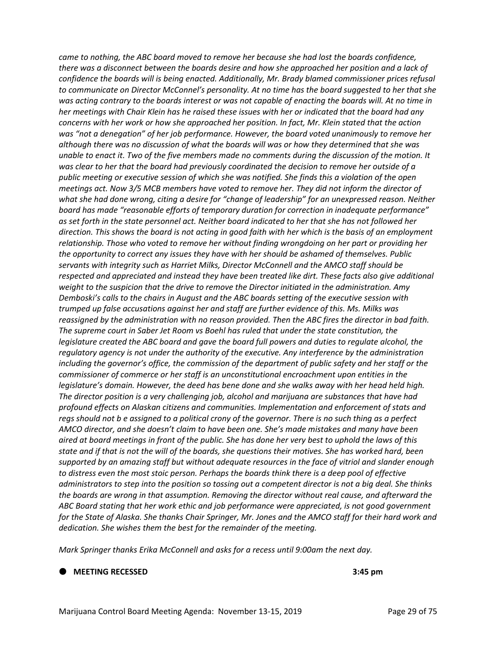*came to nothing, the ABC board moved to remove her because she had lost the boards confidence, there was a disconnect between the boards desire and how she approached her position and a lack of confidence the boards will is being enacted. Additionally, Mr. Brady blamed commissioner prices refusal to communicate on Director McConnel's personality. At no time has the board suggested to her that she was acting contrary to the boards interest or was not capable of enacting the boards will. At no time in her meetings with Chair Klein has he raised these issues with her or indicated that the board had any concerns with her work or how she approached her position. In fact, Mr. Klein stated that the action*  was "not a denegation" of her job performance. However, the board voted unanimously to remove her *although there was no discussion of what the boards will was or how they determined that she was unable to enact it. Two of the five members made no comments during the discussion of the motion. It was clear to her that the board had previously coordinated the decision to remove her outside of a public meeting or executive session of which she was notified. She finds this a violation of the open meetings act. Now 3/5 MCB members have voted to remove her. They did not inform the director of what she had done wrong, citing a desire for "change of leadership" for an unexpressed reason. Neither board has made "reasonable efforts of temporary duration for correction in inadequate performance" as set forth in the state personnel act. Neither board indicated to her that she has not followed her direction. This shows the board is not acting in good faith with her which is the basis of an employment relationship. Those who voted to remove her without finding wrongdoing on her part or providing her the opportunity to correct any issues they have with her should be ashamed of themselves. Public servants with integrity such as Harriet Milks, Director McConnell and the AMCO staff should be respected and appreciated and instead they have been treated like dirt. These facts also give additional weight to the suspicion that the drive to remove the Director initiated in the administration. Amy Demboski's calls to the chairs in August and the ABC boards setting of the executive session with trumped up false accusations against her and staff are further evidence of this. Ms. Milks was reassigned by the administration with no reason provided. Then the ABC fires the director in bad faith. The supreme court in Saber Jet Room vs Boehl has ruled that under the state constitution, the legislature created the ABC board and gave the board full powers and duties to regulate alcohol, the regulatory agency is not under the authority of the executive. Any interference by the administration including the governor's office, the commission of the department of public safety and her staff or the commissioner of commerce or her staff is an unconstitutional encroachment upon entities in the legislature's domain. However, the deed has bene done and she walks away with her head held high. The director position is a very challenging job, alcohol and marijuana are substances that have had profound effects on Alaskan citizens and communities. Implementation and enforcement of stats and regs should not b e assigned to a political crony of the governor. There is no such thing as a perfect AMCO director, and she doesn't claim to have been one. She's made mistakes and many have been aired at board meetings in front of the public. She has done her very best to uphold the laws of this state and if that is not the will of the boards, she questions their motives. She has worked hard, been supported by an amazing staff but without adequate resources in the face of vitriol and slander enough to distress even the most stoic person. Perhaps the boards think there is a deep pool of effective administrators to step into the position so tossing out a competent director is not a big deal. She thinks the boards are wrong in that assumption. Removing the director without real cause, and afterward the ABC Board stating that her work ethic and job performance were appreciated, is not good government for the State of Alaska. She thanks Chair Springer, Mr. Jones and the AMCO staff for their hard work and dedication. She wishes them the best for the remainder of the meeting.* 

*Mark Springer thanks Erika McConnell and asks for a recess until 9:00am the next day.* 

**MEETING RECESSED 3:45 pm**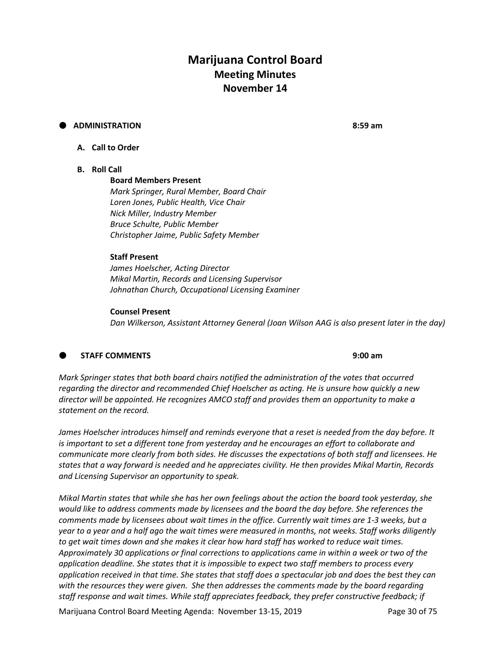# **Marijuana Control Board Meeting Minutes November 14**

# **ADMINISTRATION 8:59 am**

# **A. Call to Order**

#### **B. Roll Call**

# **Board Members Present**

*Mark Springer, Rural Member, Board Chair Loren Jones, Public Health, Vice Chair Nick Miller, Industry Member Bruce Schulte, Public Member Christopher Jaime, Public Safety Member*

#### **Staff Present**

*James Hoelscher, Acting Director Mikal Martin, Records and Licensing Supervisor Johnathan Church, Occupational Licensing Examiner*

#### **Counsel Present**

*Dan Wilkerson, Assistant Attorney General (Joan Wilson AAG is also present later in the day)*

# **STAFF COMMENTS 9:00 am**

*Mark Springer states that both board chairs notified the administration of the votes that occurred regarding the director and recommended Chief Hoelscher as acting. He is unsure how quickly a new director will be appointed. He recognizes AMCO staff and provides them an opportunity to make a statement on the record.* 

*James Hoelscher introduces himself and reminds everyone that a reset is needed from the day before. It is important to set a different tone from yesterday and he encourages an effort to collaborate and communicate more clearly from both sides. He discusses the expectations of both staff and licensees. He states that a way forward is needed and he appreciates civility. He then provides Mikal Martin, Records and Licensing Supervisor an opportunity to speak.* 

*Mikal Martin states that while she has her own feelings about the action the board took yesterday, she would like to address comments made by licensees and the board the day before. She references the comments made by licensees about wait times in the office. Currently wait times are 1-3 weeks, but a year to a year and a half ago the wait times were measured in months, not weeks. Staff works diligently to get wait times down and she makes it clear how hard staff has worked to reduce wait times. Approximately 30 applications or final corrections to applications came in within a week or two of the application deadline. She states that it is impossible to expect two staff members to process every application received in that time. She states that staff does a spectacular job and does the best they can with the resources they were given. She then addresses the comments made by the board regarding staff response and wait times. While staff appreciates feedback, they prefer constructive feedback; if* 

Marijuana Control Board Meeting Agenda: November 13-15, 2019 Page 30 of 75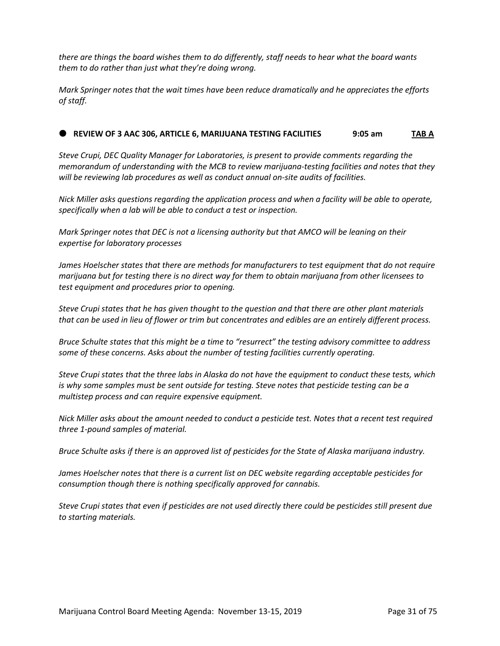*there are things the board wishes them to do differently, staff needs to hear what the board wants them to do rather than just what they're doing wrong.* 

*Mark Springer notes that the wait times have been reduce dramatically and he appreciates the efforts of staff.*

# **REVIEW OF 3 AAC 306, ARTICLE 6, MARIJUANA TESTING FACILITIES 9:05 am TAB A**

*Steve Crupi, DEC Quality Manager for Laboratories, is present to provide comments regarding the memorandum of understanding with the MCB to review marijuana-testing facilities and notes that they will be reviewing lab procedures as well as conduct annual on-site audits of facilities.*

*Nick Miller asks questions regarding the application process and when a facility will be able to operate, specifically when a lab will be able to conduct a test or inspection.*

*Mark Springer notes that DEC is not a licensing authority but that AMCO will be leaning on their expertise for laboratory processes*

*James Hoelscher states that there are methods for manufacturers to test equipment that do not require marijuana but for testing there is no direct way for them to obtain marijuana from other licensees to test equipment and procedures prior to opening.*

*Steve Crupi states that he has given thought to the question and that there are other plant materials that can be used in lieu of flower or trim but concentrates and edibles are an entirely different process.*

*Bruce Schulte states that this might be a time to "resurrect" the testing advisory committee to address some of these concerns. Asks about the number of testing facilities currently operating.*

*Steve Crupi states that the three labs in Alaska do not have the equipment to conduct these tests, which is why some samples must be sent outside for testing. Steve notes that pesticide testing can be a multistep process and can require expensive equipment.*

*Nick Miller asks about the amount needed to conduct a pesticide test. Notes that a recent test required three 1-pound samples of material.*

*Bruce Schulte asks if there is an approved list of pesticides for the State of Alaska marijuana industry.*

*James Hoelscher notes that there is a current list on DEC website regarding acceptable pesticides for consumption though there is nothing specifically approved for cannabis.*

*Steve Crupi states that even if pesticides are not used directly there could be pesticides still present due to starting materials.*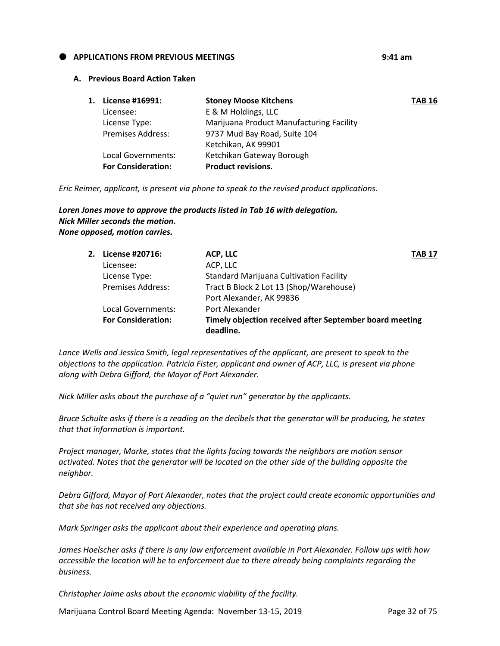## **APPLICATIONS FROM PREVIOUS MEETINGS 9:41 am**

#### **A. Previous Board Action Taken**

| 1. | License #16991:           | <b>Stoney Moose Kitchens</b>             | <b>TAB 16</b> |
|----|---------------------------|------------------------------------------|---------------|
|    | Licensee:                 | E & M Holdings, LLC                      |               |
|    | License Type:             | Marijuana Product Manufacturing Facility |               |
|    | <b>Premises Address:</b>  | 9737 Mud Bay Road, Suite 104             |               |
|    |                           | Ketchikan, AK 99901                      |               |
|    | Local Governments:        | Ketchikan Gateway Borough                |               |
|    | <b>For Consideration:</b> | <b>Product revisions.</b>                |               |

*Eric Reimer, applicant, is present via phone to speak to the revised product applications.*

# *Loren Jones move to approve the products listed in Tab 16 with delegation. Nick Miller seconds the motion. None opposed, motion carries.*

| 2. License #20716:        | ACP, LLC                                                             | <b>TAB 17</b> |
|---------------------------|----------------------------------------------------------------------|---------------|
| Licensee:                 | ACP, LLC                                                             |               |
| License Type:             | <b>Standard Marijuana Cultivation Facility</b>                       |               |
| <b>Premises Address:</b>  | Tract B Block 2 Lot 13 (Shop/Warehouse)                              |               |
|                           | Port Alexander, AK 99836                                             |               |
| Local Governments:        | Port Alexander                                                       |               |
| <b>For Consideration:</b> | Timely objection received after September board meeting<br>deadline. |               |

*Lance Wells and Jessica Smith, legal representatives of the applicant, are present to speak to the objections to the application. Patricia Fister, applicant and owner of ACP, LLC, is present via phone along with Debra Gifford, the Mayor of Port Alexander.*

*Nick Miller asks about the purchase of a "quiet run" generator by the applicants.*

*Bruce Schulte asks if there is a reading on the decibels that the generator will be producing, he states that that information is important.* 

*Project manager, Marke, states that the lights facing towards the neighbors are motion sensor activated. Notes that the generator will be located on the other side of the building opposite the neighbor.*

*Debra Gifford, Mayor of Port Alexander, notes that the project could create economic opportunities and that she has not received any objections.*

*Mark Springer asks the applicant about their experience and operating plans.*

*James Hoelscher asks if there is any law enforcement available in Port Alexander. Follow ups with how accessible the location will be to enforcement due to there already being complaints regarding the business.*

*Christopher Jaime asks about the economic viability of the facility.* 

Marijuana Control Board Meeting Agenda: November 13-15, 2019 Page 32 of 75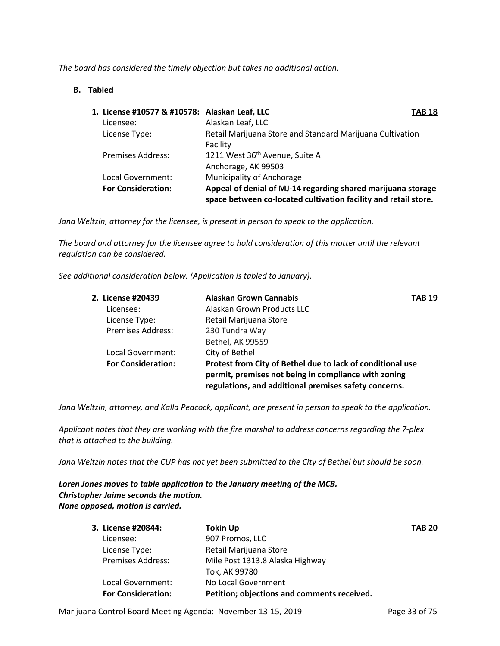*The board has considered the timely objection but takes no additional action.* 

# **B. Tabled**

| 1. License #10577 & #10578: Alaskan Leaf, LLC |                                                                                                                                 | <b>TAB 18</b> |
|-----------------------------------------------|---------------------------------------------------------------------------------------------------------------------------------|---------------|
| Licensee:                                     | Alaskan Leaf, LLC                                                                                                               |               |
| License Type:                                 | Retail Marijuana Store and Standard Marijuana Cultivation                                                                       |               |
|                                               | Facility                                                                                                                        |               |
| <b>Premises Address:</b>                      | 1211 West 36 <sup>th</sup> Avenue, Suite A                                                                                      |               |
|                                               | Anchorage, AK 99503                                                                                                             |               |
| Local Government:                             | <b>Municipality of Anchorage</b>                                                                                                |               |
| <b>For Consideration:</b>                     | Appeal of denial of MJ-14 regarding shared marijuana storage<br>space between co-located cultivation facility and retail store. |               |

*Jana Weltzin, attorney for the licensee, is present in person to speak to the application.*

*The board and attorney for the licensee agree to hold consideration of this matter until the relevant regulation can be considered.* 

*See additional consideration below. (Application is tabled to January).*

| <b>Alaskan Grown Cannabis</b> | TAB 19                                                                                                                                                                      |
|-------------------------------|-----------------------------------------------------------------------------------------------------------------------------------------------------------------------------|
| Alaskan Grown Products LLC    |                                                                                                                                                                             |
| Retail Marijuana Store        |                                                                                                                                                                             |
| 230 Tundra Way                |                                                                                                                                                                             |
| <b>Bethel, AK 99559</b>       |                                                                                                                                                                             |
| City of Bethel                |                                                                                                                                                                             |
|                               |                                                                                                                                                                             |
|                               | Protest from City of Bethel due to lack of conditional use<br>permit, premises not being in compliance with zoning<br>regulations, and additional premises safety concerns. |

*Jana Weltzin, attorney, and Kalla Peacock, applicant, are present in person to speak to the application.*

*Applicant notes that they are working with the fire marshal to address concerns regarding the 7-plex that is attached to the building.*

*Jana Weltzin notes that the CUP has not yet been submitted to the City of Bethel but should be soon.*

*Loren Jones moves to table application to the January meeting of the MCB. Christopher Jaime seconds the motion. None opposed, motion is carried.*

| 3. License #20844:        | <b>Tokin Up</b>                             | <b>TAB 20</b> |
|---------------------------|---------------------------------------------|---------------|
| Licensee:                 | 907 Promos, LLC                             |               |
| License Type:             | Retail Marijuana Store                      |               |
| <b>Premises Address:</b>  | Mile Post 1313.8 Alaska Highway             |               |
|                           | Tok, AK 99780                               |               |
| Local Government:         | No Local Government                         |               |
| <b>For Consideration:</b> | Petition; objections and comments received. |               |

Marijuana Control Board Meeting Agenda: November 13-15, 2019 Page 33 of 75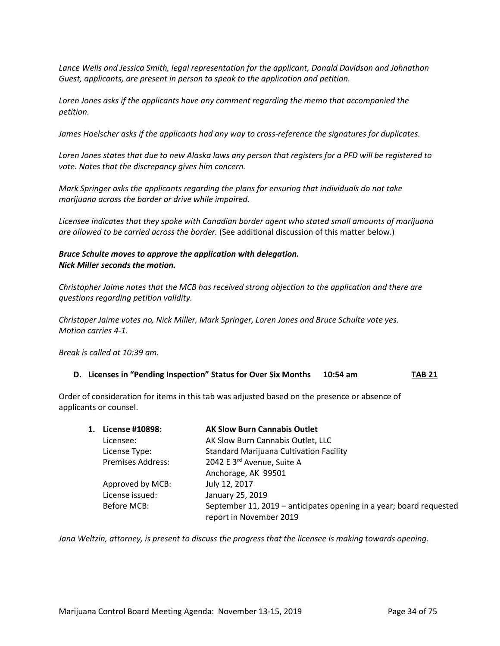*Lance Wells and Jessica Smith, legal representation for the applicant, Donald Davidson and Johnathon Guest, applicants, are present in person to speak to the application and petition.*

*Loren Jones asks if the applicants have any comment regarding the memo that accompanied the petition.*

*James Hoelscher asks if the applicants had any way to cross-reference the signatures for duplicates.*

*Loren Jones states that due to new Alaska laws any person that registers for a PFD will be registered to vote. Notes that the discrepancy gives him concern.*

*Mark Springer asks the applicants regarding the plans for ensuring that individuals do not take marijuana across the border or drive while impaired.*

*Licensee indicates that they spoke with Canadian border agent who stated small amounts of marijuana are allowed to be carried across the border.* (See additional discussion of this matter below.)

# *Bruce Schulte moves to approve the application with delegation. Nick Miller seconds the motion.*

*Christopher Jaime notes that the MCB has received strong objection to the application and there are questions regarding petition validity.* 

*Christoper Jaime votes no, Nick Miller, Mark Springer, Loren Jones and Bruce Schulte vote yes. Motion carries 4-1.*

*Break is called at 10:39 am.*

#### **D. Licenses in "Pending Inspection" Status for Over Six Months 10:54 am TAB 21**

Order of consideration for items in this tab was adjusted based on the presence or absence of applicants or counsel.

| License #10898:          | <b>AK Slow Burn Cannabis Outlet</b>                                                            |
|--------------------------|------------------------------------------------------------------------------------------------|
| Licensee:                | AK Slow Burn Cannabis Outlet, LLC                                                              |
| License Type:            | <b>Standard Marijuana Cultivation Facility</b>                                                 |
| <b>Premises Address:</b> | 2042 E 3rd Avenue, Suite A                                                                     |
|                          | Anchorage, AK 99501                                                                            |
| Approved by MCB:         | July 12, 2017                                                                                  |
| License issued:          | January 25, 2019                                                                               |
| Before MCB:              | September 11, 2019 – anticipates opening in a year; board requested<br>report in November 2019 |
|                          | 1.                                                                                             |

*Jana Weltzin, attorney, is present to discuss the progress that the licensee is making towards opening.*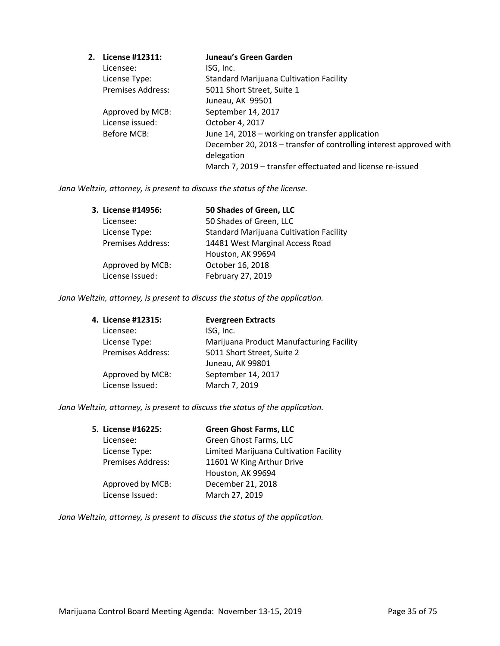| 2. | License #12311:          | Juneau's Green Garden                                              |
|----|--------------------------|--------------------------------------------------------------------|
|    | Licensee:                | ISG, Inc.                                                          |
|    | License Type:            | <b>Standard Marijuana Cultivation Facility</b>                     |
|    | <b>Premises Address:</b> | 5011 Short Street, Suite 1                                         |
|    |                          | Juneau, AK 99501                                                   |
|    | Approved by MCB:         | September 14, 2017                                                 |
|    | License issued:          | October 4, 2017                                                    |
|    | Before MCB:              | June 14, 2018 - working on transfer application                    |
|    |                          | December 20, 2018 – transfer of controlling interest approved with |
|    |                          | delegation                                                         |
|    |                          | March 7, 2019 – transfer effectuated and license re-issued         |

*Jana Weltzin, attorney, is present to discuss the status of the license.*

| 3. License #14956: | 50 Shades of Green, LLC                        |
|--------------------|------------------------------------------------|
| Licensee:          | 50 Shades of Green, LLC                        |
| License Type:      | <b>Standard Marijuana Cultivation Facility</b> |
| Premises Address:  | 14481 West Marginal Access Road                |
|                    | Houston, AK 99694                              |
| Approved by MCB:   | October 16, 2018                               |
| License Issued:    | February 27, 2019                              |

*Jana Weltzin, attorney, is present to discuss the status of the application.*

| 4. License #12315:       | <b>Evergreen Extracts</b>                |
|--------------------------|------------------------------------------|
| Licensee:                | ISG, Inc.                                |
| License Type:            | Marijuana Product Manufacturing Facility |
| <b>Premises Address:</b> | 5011 Short Street, Suite 2               |
|                          | Juneau, AK 99801                         |
| Approved by MCB:         | September 14, 2017                       |
| License Issued:          | March 7, 2019                            |
|                          |                                          |

*Jana Weltzin, attorney, is present to discuss the status of the application.*

| 5. License #16225: | <b>Green Ghost Farms, LLC</b>          |
|--------------------|----------------------------------------|
| Licensee:          | Green Ghost Farms, LLC                 |
| License Type:      | Limited Marijuana Cultivation Facility |
| Premises Address:  | 11601 W King Arthur Drive              |
|                    | Houston, AK 99694                      |
| Approved by MCB:   | December 21, 2018                      |
| License Issued:    | March 27, 2019                         |
|                    |                                        |

*Jana Weltzin, attorney, is present to discuss the status of the application.*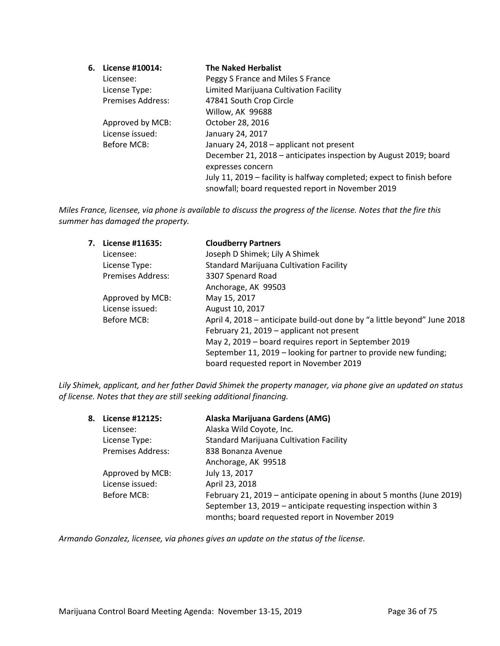| 6. License #10014:       | <b>The Naked Herbalist</b>                                                                                                  |
|--------------------------|-----------------------------------------------------------------------------------------------------------------------------|
| Licensee:                | Peggy S France and Miles S France                                                                                           |
| License Type:            | Limited Marijuana Cultivation Facility                                                                                      |
| <b>Premises Address:</b> | 47841 South Crop Circle                                                                                                     |
|                          | Willow, AK 99688                                                                                                            |
| Approved by MCB:         | October 28, 2016                                                                                                            |
| License issued:          | January 24, 2017                                                                                                            |
| Before MCB:              | January 24, 2018 - applicant not present                                                                                    |
|                          | December 21, 2018 – anticipates inspection by August 2019; board                                                            |
|                          | expresses concern                                                                                                           |
|                          | July 11, 2019 – facility is halfway completed; expect to finish before<br>snowfall; board requested report in November 2019 |
|                          |                                                                                                                             |

*Miles France, licensee, via phone is available to discuss the progress of the license. Notes that the fire this summer has damaged the property.*

| 7. | License #11635:          | <b>Cloudberry Partners</b>                                               |
|----|--------------------------|--------------------------------------------------------------------------|
|    | Licensee:                | Joseph D Shimek; Lily A Shimek                                           |
|    | License Type:            | <b>Standard Marijuana Cultivation Facility</b>                           |
|    | <b>Premises Address:</b> | 3307 Spenard Road                                                        |
|    |                          | Anchorage, AK 99503                                                      |
|    | Approved by MCB:         | May 15, 2017                                                             |
|    | License issued:          | August 10, 2017                                                          |
|    | Before MCB:              | April 4, 2018 – anticipate build-out done by "a little beyond" June 2018 |
|    |                          | February 21, 2019 - applicant not present                                |
|    |                          | May 2, 2019 - board requires report in September 2019                    |
|    |                          | September 11, 2019 – looking for partner to provide new funding;         |
|    |                          | board requested report in November 2019                                  |

*Lily Shimek, applicant, and her father David Shimek the property manager, via phone give an updated on status of license. Notes that they are still seeking additional financing.*

| 8. | License #12125:          | Alaska Marijuana Gardens (AMG)                                                                                    |
|----|--------------------------|-------------------------------------------------------------------------------------------------------------------|
|    | Licensee:                | Alaska Wild Coyote, Inc.                                                                                          |
|    | License Type:            | <b>Standard Marijuana Cultivation Facility</b>                                                                    |
|    | <b>Premises Address:</b> | 838 Bonanza Avenue                                                                                                |
|    |                          | Anchorage, AK 99518                                                                                               |
|    | Approved by MCB:         | July 13, 2017                                                                                                     |
|    | License issued:          | April 23, 2018                                                                                                    |
|    | Before MCB:              | February 21, 2019 – anticipate opening in about 5 months (June 2019)                                              |
|    |                          | September 13, 2019 – anticipate requesting inspection within 3<br>months; board requested report in November 2019 |

*Armando Gonzalez, licensee, via phones gives an update on the status of the license.*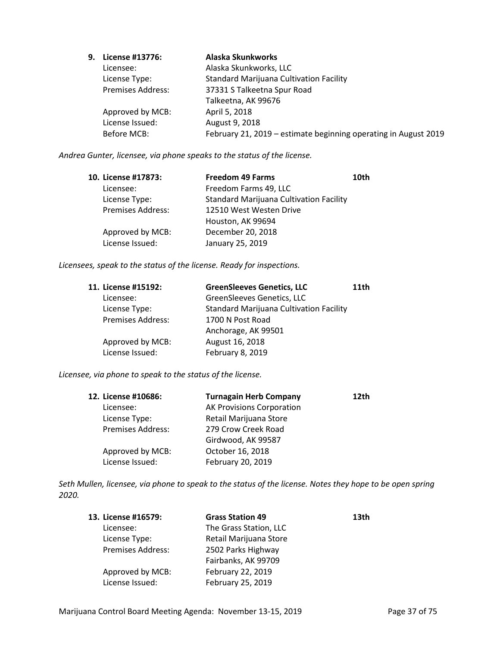| 9. | License #13776:          | Alaska Skunkworks                                               |
|----|--------------------------|-----------------------------------------------------------------|
|    | Licensee:                | Alaska Skunkworks, LLC                                          |
|    | License Type:            | <b>Standard Marijuana Cultivation Facility</b>                  |
|    | <b>Premises Address:</b> | 37331 S Talkeetna Spur Road                                     |
|    |                          | Talkeetna, AK 99676                                             |
|    | Approved by MCB:         | April 5, 2018                                                   |
|    | License Issued:          | August 9, 2018                                                  |
|    | Before MCB:              | February 21, 2019 - estimate beginning operating in August 2019 |
|    |                          |                                                                 |

*Andrea Gunter, licensee, via phone speaks to the status of the license.*

| 10. License #17873:      | <b>Freedom 49 Farms</b>                        | 10th |
|--------------------------|------------------------------------------------|------|
| Licensee:                | Freedom Farms 49, LLC                          |      |
| License Type:            | <b>Standard Marijuana Cultivation Facility</b> |      |
| <b>Premises Address:</b> | 12510 West Westen Drive                        |      |
|                          | Houston, AK 99694                              |      |
| Approved by MCB:         | December 20, 2018                              |      |
| License Issued:          | January 25, 2019                               |      |

*Licensees, speak to the status of the license. Ready for inspections.*

| 11. License #15192:      | <b>GreenSleeves Genetics, LLC</b>              | 11 <sub>th</sub> |
|--------------------------|------------------------------------------------|------------------|
| Licensee:                | GreenSleeves Genetics, LLC                     |                  |
| License Type:            | <b>Standard Marijuana Cultivation Facility</b> |                  |
| <b>Premises Address:</b> | 1700 N Post Road                               |                  |
|                          | Anchorage, AK 99501                            |                  |
| Approved by MCB:         | August 16, 2018                                |                  |
| License Issued:          | February 8, 2019                               |                  |

*Licensee, via phone to speak to the status of the license.*

| 12. License #10686:      | <b>Turnagain Herb Company</b>    | 12th |
|--------------------------|----------------------------------|------|
| Licensee:                | <b>AK Provisions Corporation</b> |      |
| License Type:            | Retail Marijuana Store           |      |
| <b>Premises Address:</b> | 279 Crow Creek Road              |      |
|                          | Girdwood, AK 99587               |      |
| Approved by MCB:         | October 16, 2018                 |      |
| License Issued:          | February 20, 2019                |      |

*Seth Mullen, licensee, via phone to speak to the status of the license. Notes they hope to be open spring 2020.*

| 13. License #16579:      | <b>Grass Station 49</b> | 13 <sub>th</sub> |
|--------------------------|-------------------------|------------------|
| Licensee:                | The Grass Station, LLC  |                  |
| License Type:            | Retail Marijuana Store  |                  |
| <b>Premises Address:</b> | 2502 Parks Highway      |                  |
|                          | Fairbanks, AK 99709     |                  |
| Approved by MCB:         | February 22, 2019       |                  |
| License Issued:          | February 25, 2019       |                  |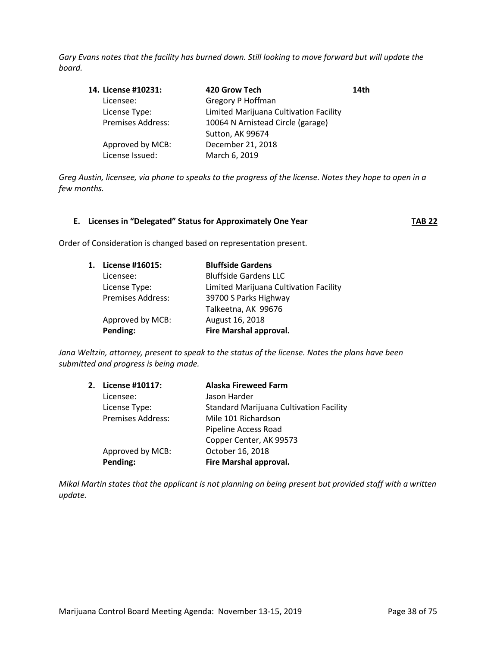*Gary Evans notes that the facility has burned down. Still looking to move forward but will update the board.*

| 14. License #10231:      | 420 Grow Tech                          | 14th |
|--------------------------|----------------------------------------|------|
| Licensee:                | Gregory P Hoffman                      |      |
| License Type:            | Limited Marijuana Cultivation Facility |      |
| <b>Premises Address:</b> | 10064 N Arnistead Circle (garage)      |      |
|                          | Sutton, AK 99674                       |      |
| Approved by MCB:         | December 21, 2018                      |      |
| License Issued:          | March 6, 2019                          |      |
|                          |                                        |      |

*Greg Austin, licensee, via phone to speaks to the progress of the license. Notes they hope to open in a few months.*

|  | E. Licenses in "Delegated" Status for Approximately One Year | <b>TAB 22</b> |
|--|--------------------------------------------------------------|---------------|
|--|--------------------------------------------------------------|---------------|

Order of Consideration is changed based on representation present.

| 1. | License #16015:          | <b>Bluffside Gardens</b>               |
|----|--------------------------|----------------------------------------|
|    | Licensee:                | <b>Bluffside Gardens LLC</b>           |
|    | License Type:            | Limited Marijuana Cultivation Facility |
|    | <b>Premises Address:</b> | 39700 S Parks Highway                  |
|    |                          | Talkeetna, AK 99676                    |
|    | Approved by MCB:         | August 16, 2018                        |
|    | Pending:                 | Fire Marshal approval.                 |

*Jana Weltzin, attorney, present to speak to the status of the license. Notes the plans have been submitted and progress is being made.*

| 2. | License #10117:   | <b>Alaska Fireweed Farm</b>                    |
|----|-------------------|------------------------------------------------|
|    | Licensee:         | Jason Harder                                   |
|    | License Type:     | <b>Standard Marijuana Cultivation Facility</b> |
|    | Premises Address: | Mile 101 Richardson                            |
|    |                   | Pipeline Access Road                           |
|    |                   | Copper Center, AK 99573                        |
|    | Approved by MCB:  | October 16, 2018                               |
|    | Pending:          | Fire Marshal approval.                         |
|    |                   |                                                |

*Mikal Martin states that the applicant is not planning on being present but provided staff with a written update.*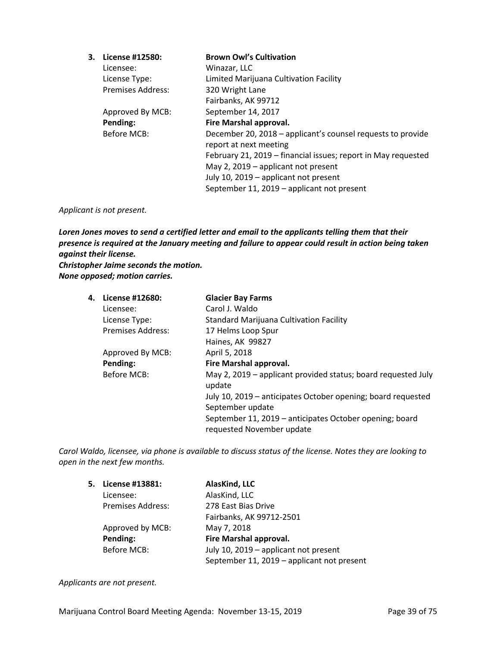| 3. | License #12580:          | <b>Brown Owl's Cultivation</b>                                                        |
|----|--------------------------|---------------------------------------------------------------------------------------|
|    | Licensee:                | Winazar, LLC                                                                          |
|    | License Type:            | Limited Marijuana Cultivation Facility                                                |
|    | <b>Premises Address:</b> | 320 Wright Lane                                                                       |
|    |                          | Fairbanks, AK 99712                                                                   |
|    | Approved By MCB:         | September 14, 2017                                                                    |
|    | Pending:                 | Fire Marshal approval.                                                                |
|    | Before MCB:              | December 20, 2018 – applicant's counsel requests to provide<br>report at next meeting |
|    |                          | February 21, 2019 – financial issues; report in May requested                         |
|    |                          |                                                                                       |
|    |                          | May 2, 2019 – applicant not present                                                   |
|    |                          | July 10, 2019 - applicant not present                                                 |
|    |                          | September 11, 2019 – applicant not present                                            |

### *Applicant is not present.*

*Loren Jones moves to send a certified letter and email to the applicants telling them that their presence is required at the January meeting and failure to appear could result in action being taken against their license. Christopher Jaime seconds the motion.*

*None opposed; motion carries.* 

| 4. License #12680:       | <b>Glacier Bay Farms</b>                                                |
|--------------------------|-------------------------------------------------------------------------|
| Licensee:                | Carol J. Waldo                                                          |
| License Type:            | Standard Marijuana Cultivation Facility                                 |
| <b>Premises Address:</b> | 17 Helms Loop Spur                                                      |
|                          | Haines, AK 99827                                                        |
| Approved By MCB:         | April 5, 2018                                                           |
| Pending:                 | Fire Marshal approval.                                                  |
| Before MCB:              | May 2, 2019 – applicant provided status; board requested July<br>update |
|                          | July 10, 2019 – anticipates October opening; board requested            |
|                          | September update                                                        |
|                          | September 11, 2019 - anticipates October opening; board                 |
|                          | requested November update                                               |

*Carol Waldo, licensee, via phone is available to discuss status of the license. Notes they are looking to open in the next few months.*

| 5. License #13881:       | AlasKind, LLC                              |
|--------------------------|--------------------------------------------|
| Licensee:                | AlasKind, LLC                              |
| <b>Premises Address:</b> | 278 East Bias Drive                        |
|                          | Fairbanks, AK 99712-2501                   |
| Approved by MCB:         | May 7, 2018                                |
| Pending:                 | Fire Marshal approval.                     |
| <b>Before MCB:</b>       | July 10, 2019 – applicant not present      |
|                          | September 11, 2019 - applicant not present |

*Applicants are not present.*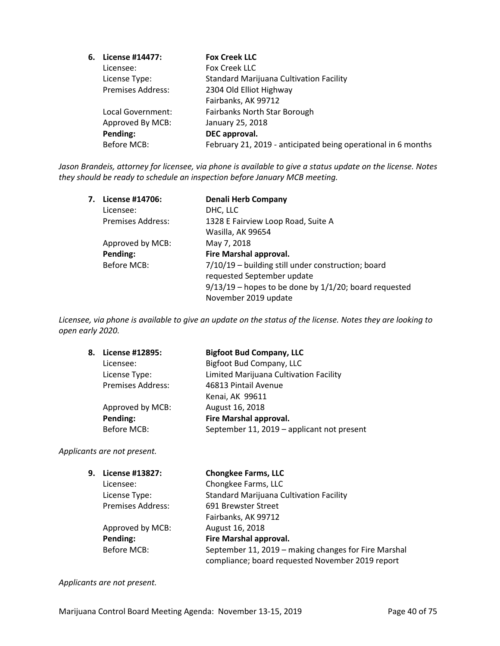| 6. | License #14477:          | <b>Fox Creek LLC</b>                                          |
|----|--------------------------|---------------------------------------------------------------|
|    | Licensee:                | Fox Creek LLC                                                 |
|    | License Type:            | <b>Standard Marijuana Cultivation Facility</b>                |
|    | <b>Premises Address:</b> | 2304 Old Elliot Highway                                       |
|    |                          | Fairbanks, AK 99712                                           |
|    | Local Government:        | Fairbanks North Star Borough                                  |
|    | Approved By MCB:         | January 25, 2018                                              |
|    | Pending:                 | DEC approval.                                                 |
|    | Before MCB:              | February 21, 2019 - anticipated being operational in 6 months |
|    |                          |                                                               |

*Jason Brandeis, attorney for licensee, via phone is available to give a status update on the license. Notes they should be ready to schedule an inspection before January MCB meeting.*

| 7. | License #14706:          | <b>Denali Herb Company</b>                                 |
|----|--------------------------|------------------------------------------------------------|
|    | Licensee:                | DHC, LLC                                                   |
|    | <b>Premises Address:</b> | 1328 E Fairview Loop Road, Suite A                         |
|    |                          | Wasilla, AK 99654                                          |
|    | Approved by MCB:         | May 7, 2018                                                |
|    | Pending:                 | Fire Marshal approval.                                     |
|    | Before MCB:              | 7/10/19 - building still under construction; board         |
|    |                          | requested September update                                 |
|    |                          | $9/13/19$ – hopes to be done by $1/1/20$ ; board requested |
|    |                          | November 2019 update                                       |

*Licensee, via phone is available to give an update on the status of the license. Notes they are looking to open early 2020.*

| <b>Bigfoot Bud Company, LLC</b>            |  |
|--------------------------------------------|--|
| Bigfoot Bud Company, LLC                   |  |
| Limited Marijuana Cultivation Facility     |  |
| 46813 Pintail Avenue                       |  |
|                                            |  |
|                                            |  |
| Fire Marshal approval.                     |  |
| September 11, 2019 - applicant not present |  |
|                                            |  |

*Applicants are not present.*

| 9. | License #13827:          | <b>Chongkee Farms, LLC</b>                           |
|----|--------------------------|------------------------------------------------------|
|    | Licensee:                | Chongkee Farms, LLC                                  |
|    | License Type:            | <b>Standard Marijuana Cultivation Facility</b>       |
|    | <b>Premises Address:</b> | 691 Brewster Street                                  |
|    |                          | Fairbanks, AK 99712                                  |
|    | Approved by MCB:         | August 16, 2018                                      |
|    | Pending:                 | Fire Marshal approval.                               |
|    | <b>Before MCB:</b>       | September 11, 2019 - making changes for Fire Marshal |
|    |                          | compliance; board requested November 2019 report     |

*Applicants are not present.*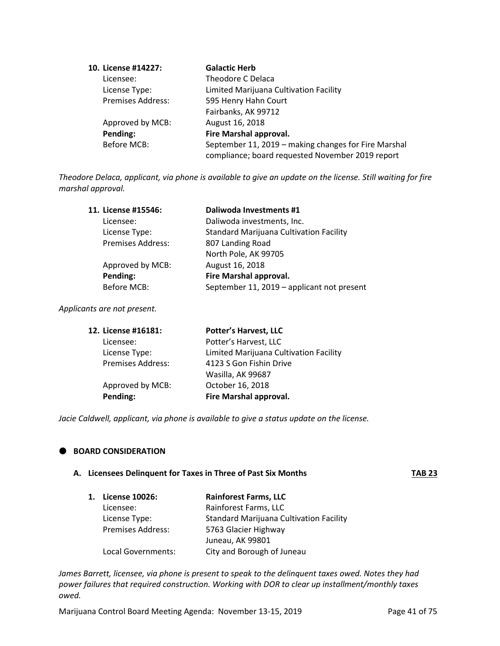| 10. License #14227:      | <b>Galactic Herb</b>                                 |
|--------------------------|------------------------------------------------------|
| Licensee:                | Theodore C Delaca                                    |
| License Type:            | Limited Marijuana Cultivation Facility               |
| <b>Premises Address:</b> | 595 Henry Hahn Court                                 |
|                          | Fairbanks, AK 99712                                  |
| Approved by MCB:         | August 16, 2018                                      |
| Pending:                 | Fire Marshal approval.                               |
| <b>Before MCB:</b>       | September 11, 2019 - making changes for Fire Marshal |
|                          | compliance; board requested November 2019 report     |

*Theodore Delaca, applicant, via phone is available to give an update on the license. Still waiting for fire marshal approval.*

| 11. License #15546:      | Daliwoda Investments #1                        |
|--------------------------|------------------------------------------------|
| Licensee:                | Daliwoda investments, Inc.                     |
| License Type:            | <b>Standard Marijuana Cultivation Facility</b> |
| <b>Premises Address:</b> | 807 Landing Road                               |
|                          | North Pole, AK 99705                           |
| Approved by MCB:         | August 16, 2018                                |
| Pending:                 | Fire Marshal approval.                         |
| <b>Before MCB:</b>       | September 11, 2019 - applicant not present     |

*Applicants are not present.*

| 12. License #16181:      | <b>Potter's Harvest, LLC</b>           |
|--------------------------|----------------------------------------|
| Licensee:                | Potter's Harvest, LLC                  |
| License Type:            | Limited Marijuana Cultivation Facility |
| <b>Premises Address:</b> | 4123 S Gon Fishin Drive                |
|                          | Wasilla, AK 99687                      |
| Approved by MCB:         | October 16, 2018                       |
| Pending:                 | Fire Marshal approval.                 |

*Jacie Caldwell, applicant, via phone is available to give a status update on the license.*

# **BOARD CONSIDERATION**

| A. Licensees Delinquent for Taxes in Three of Past Six Months | <b>TAB 23</b> |
|---------------------------------------------------------------|---------------|
|                                                               |               |

| <b>License 10026:</b>    | <b>Rainforest Farms, LLC</b>                   |
|--------------------------|------------------------------------------------|
| Licensee:                | Rainforest Farms, LLC                          |
| License Type:            | <b>Standard Marijuana Cultivation Facility</b> |
| <b>Premises Address:</b> | 5763 Glacier Highway                           |
|                          | Juneau, AK 99801                               |
| Local Governments:       | City and Borough of Juneau                     |

*James Barrett, licensee, via phone is present to speak to the delinquent taxes owed. Notes they had power failures that required construction. Working with DOR to clear up installment/monthly taxes owed.*

Marijuana Control Board Meeting Agenda: November 13-15, 2019 Page 41 of 75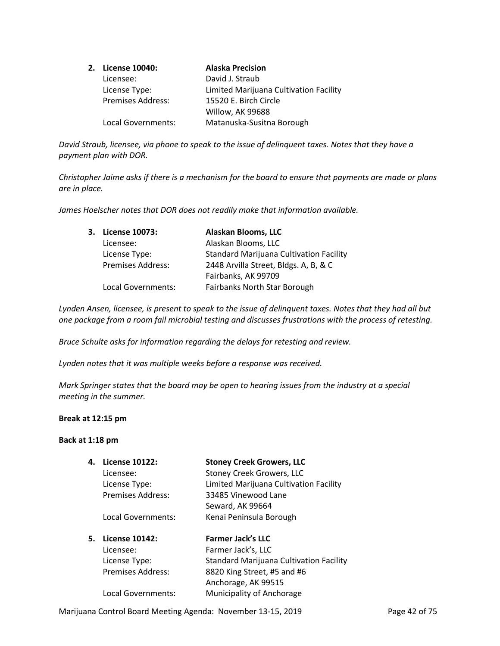| 2. License 10040:        | <b>Alaska Precision</b>                |
|--------------------------|----------------------------------------|
| Licensee:                | David J. Straub                        |
| License Type:            | Limited Marijuana Cultivation Facility |
| <b>Premises Address:</b> | 15520 E. Birch Circle                  |
|                          | Willow, AK 99688                       |
| Local Governments:       | Matanuska-Susitna Borough              |

*David Straub, licensee, via phone to speak to the issue of delinquent taxes. Notes that they have a payment plan with DOR.*

*Christopher Jaime asks if there is a mechanism for the board to ensure that payments are made or plans are in place.*

*James Hoelscher notes that DOR does not readily make that information available.*

| 3. License 10073:        | <b>Alaskan Blooms, LLC</b>                     |
|--------------------------|------------------------------------------------|
| Licensee:                | Alaskan Blooms, LLC                            |
| License Type:            | <b>Standard Marijuana Cultivation Facility</b> |
| <b>Premises Address:</b> | 2448 Arvilla Street, Bldgs. A, B, & C          |
|                          | Fairbanks, AK 99709                            |
| Local Governments:       | <b>Fairbanks North Star Borough</b>            |

*Lynden Ansen, licensee, is present to speak to the issue of delinquent taxes. Notes that they had all but one package from a room fail microbial testing and discusses frustrations with the process of retesting.*

*Bruce Schulte asks for information regarding the delays for retesting and review.*

*Lynden notes that it was multiple weeks before a response was received.*

*Mark Springer states that the board may be open to hearing issues from the industry at a special meeting in the summer.*

#### **Break at 12:15 pm**

### **Back at 1:18 pm**

| 4. | License 10122:           | <b>Stoney Creek Growers, LLC</b>               |
|----|--------------------------|------------------------------------------------|
|    | Licensee:                | <b>Stoney Creek Growers, LLC</b>               |
|    | License Type:            | Limited Marijuana Cultivation Facility         |
|    | <b>Premises Address:</b> | 33485 Vinewood Lane                            |
|    |                          | Seward, AK 99664                               |
|    | Local Governments:       | Kenai Peninsula Borough                        |
| 5. | License 10142:           | <b>Farmer Jack's LLC</b>                       |
|    | Licensee:                | Farmer Jack's, LLC                             |
|    |                          |                                                |
|    | License Type:            | <b>Standard Marijuana Cultivation Facility</b> |
|    | <b>Premises Address:</b> | 8820 King Street, #5 and #6                    |
|    |                          | Anchorage, AK 99515                            |

Marijuana Control Board Meeting Agenda: November 13-15, 2019 Page 42 of 75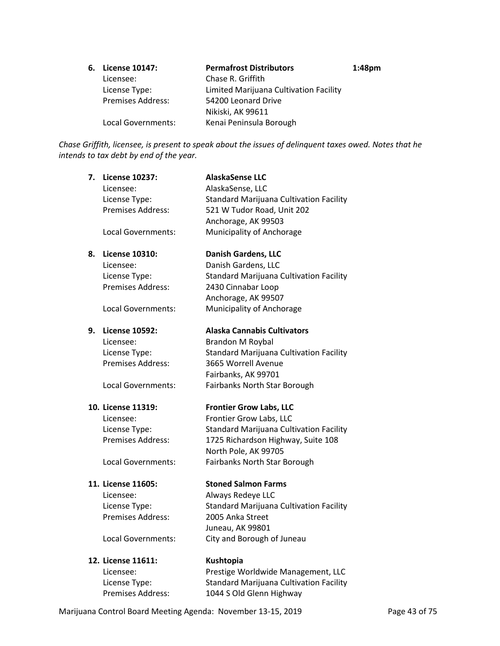| 6. License 10147:        | <b>Permafrost Distributors</b>         | 1:48 <sub>pm</sub> |
|--------------------------|----------------------------------------|--------------------|
| Licensee:                | Chase R. Griffith                      |                    |
| License Type:            | Limited Marijuana Cultivation Facility |                    |
| <b>Premises Address:</b> | 54200 Leonard Drive                    |                    |
|                          | Nikiski, AK 99611                      |                    |
| Local Governments:       | Kenai Peninsula Borough                |                    |

*Chase Griffith, licensee, is present to speak about the issues of delinquent taxes owed. Notes that he intends to tax debt by end of the year.*

| 7. | <b>License 10237:</b>     | <b>AlaskaSense LLC</b>                         |
|----|---------------------------|------------------------------------------------|
|    | Licensee:                 | AlaskaSense, LLC                               |
|    | License Type:             | <b>Standard Marijuana Cultivation Facility</b> |
|    | Premises Address:         | 521 W Tudor Road, Unit 202                     |
|    |                           | Anchorage, AK 99503                            |
|    | Local Governments:        | Municipality of Anchorage                      |
| 8. | <b>License 10310:</b>     | <b>Danish Gardens, LLC</b>                     |
|    | Licensee:                 | Danish Gardens, LLC                            |
|    | License Type:             | <b>Standard Marijuana Cultivation Facility</b> |
|    | Premises Address:         | 2430 Cinnabar Loop                             |
|    |                           | Anchorage, AK 99507                            |
|    | Local Governments:        | Municipality of Anchorage                      |
| 9. | <b>License 10592:</b>     | <b>Alaska Cannabis Cultivators</b>             |
|    | Licensee:                 | <b>Brandon M Roybal</b>                        |
|    | License Type:             | <b>Standard Marijuana Cultivation Facility</b> |
|    | <b>Premises Address:</b>  | 3665 Worrell Avenue                            |
|    |                           | Fairbanks, AK 99701                            |
|    | Local Governments:        | Fairbanks North Star Borough                   |
|    | 10. License 11319:        | <b>Frontier Grow Labs, LLC</b>                 |
|    | Licensee:                 | Frontier Grow Labs, LLC                        |
|    | License Type:             | <b>Standard Marijuana Cultivation Facility</b> |
|    | Premises Address:         | 1725 Richardson Highway, Suite 108             |
|    |                           | North Pole, AK 99705                           |
|    | <b>Local Governments:</b> | Fairbanks North Star Borough                   |
|    | 11. License 11605:        | <b>Stoned Salmon Farms</b>                     |
|    | Licensee:                 | Always Redeye LLC                              |
|    | License Type:             | Standard Marijuana Cultivation Facility        |
|    | Premises Address:         | 2005 Anka Street                               |
|    |                           | Juneau, AK 99801                               |
|    | Local Governments:        | City and Borough of Juneau                     |
|    | 12. License 11611:        | Kushtopia                                      |
|    | Licensee:                 | Prestige Worldwide Management, LLC             |
|    | License Type:             | Standard Marijuana Cultivation Facility        |

Marijuana Control Board Meeting Agenda: November 13-15, 2019 Page 43 of 75

Premises Address: 1044 S Old Glenn Highway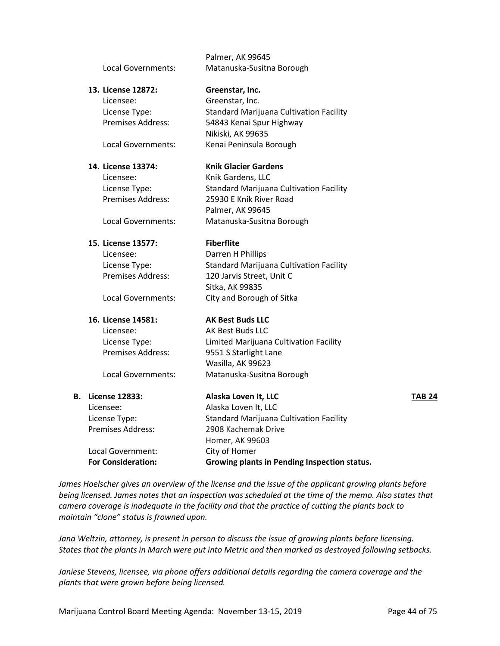|    |                           | Palmer, AK 99645                               |        |
|----|---------------------------|------------------------------------------------|--------|
|    | Local Governments:        | Matanuska-Susitna Borough                      |        |
|    | 13. License 12872:        | Greenstar, Inc.                                |        |
|    | Licensee:                 | Greenstar, Inc.                                |        |
|    | License Type:             | <b>Standard Marijuana Cultivation Facility</b> |        |
|    | Premises Address:         | 54843 Kenai Spur Highway                       |        |
|    |                           | Nikiski, AK 99635                              |        |
|    | Local Governments:        | Kenai Peninsula Borough                        |        |
|    | 14. License 13374:        | <b>Knik Glacier Gardens</b>                    |        |
|    | Licensee:                 | Knik Gardens, LLC                              |        |
|    | License Type:             | <b>Standard Marijuana Cultivation Facility</b> |        |
|    | <b>Premises Address:</b>  | 25930 E Knik River Road                        |        |
|    |                           | Palmer, AK 99645                               |        |
|    | Local Governments:        | Matanuska-Susitna Borough                      |        |
|    | 15. License 13577:        | <b>Fiberflite</b>                              |        |
|    | Licensee:                 | Darren H Phillips                              |        |
|    | License Type:             | Standard Marijuana Cultivation Facility        |        |
|    | <b>Premises Address:</b>  | 120 Jarvis Street, Unit C                      |        |
|    |                           | Sitka, AK 99835                                |        |
|    | Local Governments:        | City and Borough of Sitka                      |        |
|    | 16. License 14581:        | <b>AK Best Buds LLC</b>                        |        |
|    | Licensee:                 | AK Best Buds LLC                               |        |
|    | License Type:             | Limited Marijuana Cultivation Facility         |        |
|    | <b>Premises Address:</b>  | 9551 S Starlight Lane                          |        |
|    |                           | Wasilla, AK 99623                              |        |
|    | Local Governments:        | Matanuska-Susitna Borough                      |        |
| В. | <b>License 12833:</b>     | Alaska Loven It, LLC                           | TAB 24 |
|    | Licensee:                 | Alaska Loven It, LLC                           |        |
|    | License Type:             | <b>Standard Marijuana Cultivation Facility</b> |        |
|    | Premises Address:         | 2908 Kachemak Drive                            |        |
|    |                           | Homer, AK 99603                                |        |
|    | Local Government:         | City of Homer                                  |        |
|    | <b>For Consideration:</b> | Growing plants in Pending Inspection status.   |        |
|    |                           |                                                |        |

*James Hoelscher gives an overview of the license and the issue of the applicant growing plants before being licensed. James notes that an inspection was scheduled at the time of the memo. Also states that camera coverage is inadequate in the facility and that the practice of cutting the plants back to maintain "clone" status is frowned upon.*

*Jana Weltzin, attorney, is present in person to discuss the issue of growing plants before licensing. States that the plants in March were put into Metric and then marked as destroyed following setbacks.*

*Janiese Stevens, licensee, via phone offers additional details regarding the camera coverage and the plants that were grown before being licensed.*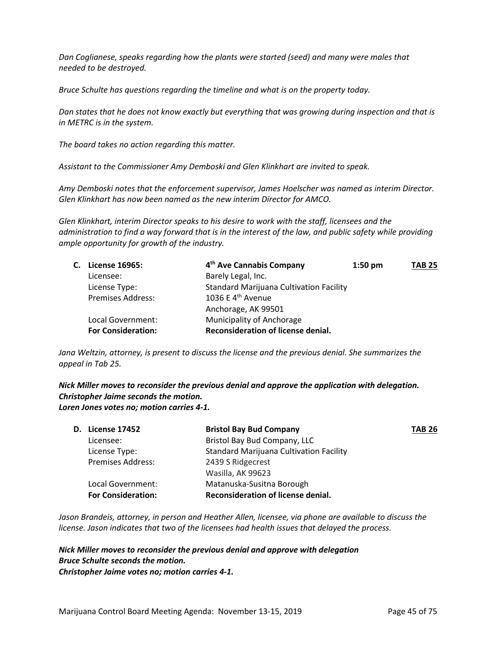*Dan Coglianese, speaks regarding how the plants were started (seed) and many were males that needed to be destroyed.*

*Bruce Schulte has questions regarding the timeline and what is on the property today.*

*Dan states that he does not know exactly but everything that was growing during inspection and that is in METRC is in the system.*

*The board takes no action regarding this matter.* 

*Assistant to the Commissioner Amy Demboski and Glen Klinkhart are invited to speak.* 

*Amy Demboski notes that the enforcement supervisor, James Hoelscher was named as interim Director. Glen Klinkhart has now been named as the new interim Director for AMCO.*

*Glen Klinkhart, interim Director speaks to his desire to work with the staff, licensees and the administration to find a way forward that is in the interest of the law, and public safety while providing ample opportunity for growth of the industry.* 

|  | C. License 16965:         | 4 <sup>th</sup> Ave Cannabis Company           | $1:50 \text{ pm}$ | <b>TAB 25</b> |
|--|---------------------------|------------------------------------------------|-------------------|---------------|
|  | Licensee:                 | Barely Legal, Inc.                             |                   |               |
|  | License Type:             | <b>Standard Marijuana Cultivation Facility</b> |                   |               |
|  | <b>Premises Address:</b>  | 1036 E 4 <sup>th</sup> Avenue                  |                   |               |
|  |                           | Anchorage, AK 99501                            |                   |               |
|  | Local Government:         | Municipality of Anchorage                      |                   |               |
|  | <b>For Consideration:</b> | Reconsideration of license denial.             |                   |               |

*Jana Weltzin, attorney, is present to discuss the license and the previous denial. She summarizes the appeal in Tab 25.*

*Nick Miller moves to reconsider the previous denial and approve the application with delegation. Christopher Jaime seconds the motion. Loren Jones votes no; motion carries 4-1.*

|                           | <b>Bristol Bay Bud Company</b>                 | <b>TAB 26</b> |
|---------------------------|------------------------------------------------|---------------|
| Licensee:                 | Bristol Bay Bud Company, LLC                   |               |
| License Type:             | <b>Standard Marijuana Cultivation Facility</b> |               |
| <b>Premises Address:</b>  | 2439 S Ridgecrest                              |               |
|                           | Wasilla, AK 99623                              |               |
| Local Government:         | Matanuska-Susitna Borough                      |               |
| <b>For Consideration:</b> | Reconsideration of license denial.             |               |
|                           | <b>D.</b> License 17452                        |               |

*Jason Brandeis, attorney, in person and Heather Allen, licensee, via phone are available to discuss the license. Jason indicates that two of the licensees had health issues that delayed the process.* 

*Nick Miller moves to reconsider the previous denial and approve with delegation Bruce Schulte seconds the motion. Christopher Jaime votes no; motion carries 4-1.*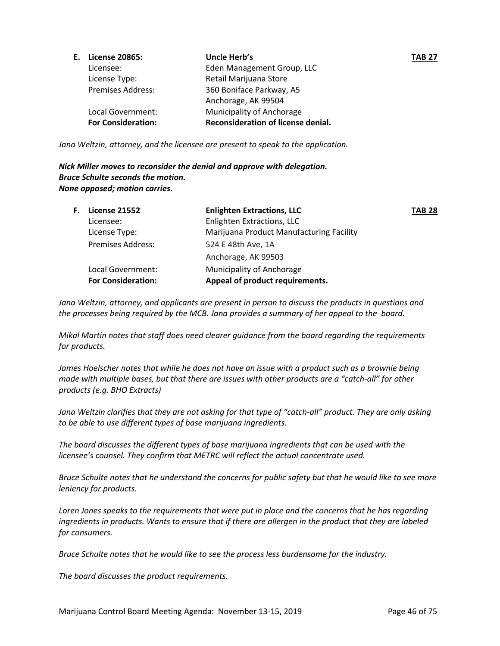| <b>E.</b> License 20865:  | Uncle Herb's                       | <b>TAB 27</b> |
|---------------------------|------------------------------------|---------------|
| Licensee:                 | Eden Management Group, LLC         |               |
| License Type:             | Retail Marijuana Store             |               |
| <b>Premises Address:</b>  | 360 Boniface Parkway, A5           |               |
|                           | Anchorage, AK 99504                |               |
| Local Government:         | Municipality of Anchorage          |               |
| <b>For Consideration:</b> | Reconsideration of license denial. |               |

*Jana Weltzin, attorney, and the licensee are present to speak to the application.*

*Nick Miller moves to reconsider the denial and approve with delegation. Bruce Schulte seconds the motion. None opposed; motion carries.*

| F. | License 21552             | <b>Enlighten Extractions, LLC</b>        | <b>TAB 28</b> |
|----|---------------------------|------------------------------------------|---------------|
|    | Licensee:                 | Enlighten Extractions, LLC               |               |
|    | License Type:             | Marijuana Product Manufacturing Facility |               |
|    | <b>Premises Address:</b>  | 524 E 48th Ave, 1A                       |               |
|    |                           | Anchorage, AK 99503                      |               |
|    | Local Government:         | Municipality of Anchorage                |               |
|    | <b>For Consideration:</b> | Appeal of product requirements.          |               |
|    |                           |                                          |               |

*Jana Weltzin, attorney, and applicants are present in person to discuss the products in questions and the processes being required by the MCB. Jana provides a summary of her appeal to the board.* 

*Mikal Martin notes that staff does need clearer guidance from the board regarding the requirements for products.*

*James Hoelscher notes that while he does not have an issue with a product such as a brownie being made with multiple bases, but that there are issues with other products are a "catch-all" for other products (e.g. BHO Extracts)*

*Jana Weltzin clarifies that they are not asking for that type of "catch-all" product. They are only asking to be able to use different types of base marijuana ingredients.* 

*The board discusses the different types of base marijuana ingredients that can be used with the licensee's counsel. They confirm that METRC will reflect the actual concentrate used.* 

*Bruce Schulte notes that he understand the concerns for public safety but that he would like to see more leniency for products.*

*Loren Jones speaks to the requirements that were put in place and the concerns that he has regarding ingredients in products. Wants to ensure that if there are allergen in the product that they are labeled for consumers.*

*Bruce Schulte notes that he would like to see the process less burdensome for the industry.*

*The board discusses the product requirements.*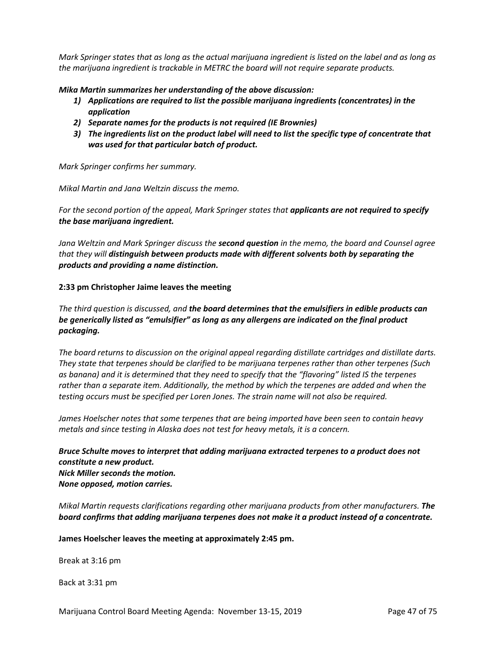*Mark Springer states that as long as the actual marijuana ingredient is listed on the label and as long as the marijuana ingredient is trackable in METRC the board will not require separate products.* 

*Mika Martin summarizes her understanding of the above discussion:*

- *1) Applications are required to list the possible marijuana ingredients (concentrates) in the application*
- *2) Separate names for the products is not required (IE Brownies)*
- *3) The ingredients list on the product label will need to list the specific type of concentrate that was used for that particular batch of product.*

*Mark Springer confirms her summary.* 

*Mikal Martin and Jana Weltzin discuss the memo.* 

*For the second portion of the appeal, Mark Springer states that applicants are not required to specify the base marijuana ingredient.* 

*Jana Weltzin and Mark Springer discuss the second question in the memo, the board and Counsel agree that they will distinguish between products made with different solvents both by separating the products and providing a name distinction.* 

### **2:33 pm Christopher Jaime leaves the meeting**

*The third question is discussed, and the board determines that the emulsifiers in edible products can be generically listed as "emulsifier" as long as any allergens are indicated on the final product packaging.* 

*The board returns to discussion on the original appeal regarding distillate cartridges and distillate darts. They state that terpenes should be clarified to be marijuana terpenes rather than other terpenes (Such as banana) and it is determined that they need to specify that the "flavoring" listed IS the terpenes rather than a separate item. Additionally, the method by which the terpenes are added and when the testing occurs must be specified per Loren Jones. The strain name will not also be required.* 

*James Hoelscher notes that some terpenes that are being imported have been seen to contain heavy metals and since testing in Alaska does not test for heavy metals, it is a concern.*

*Bruce Schulte moves to interpret that adding marijuana extracted terpenes to a product does not constitute a new product. Nick Miller seconds the motion. None opposed, motion carries.*

*Mikal Martin requests clarifications regarding other marijuana products from other manufacturers. The board confirms that adding marijuana terpenes does not make it a product instead of a concentrate.* 

**James Hoelscher leaves the meeting at approximately 2:45 pm.**

Break at 3:16 pm

Back at 3:31 pm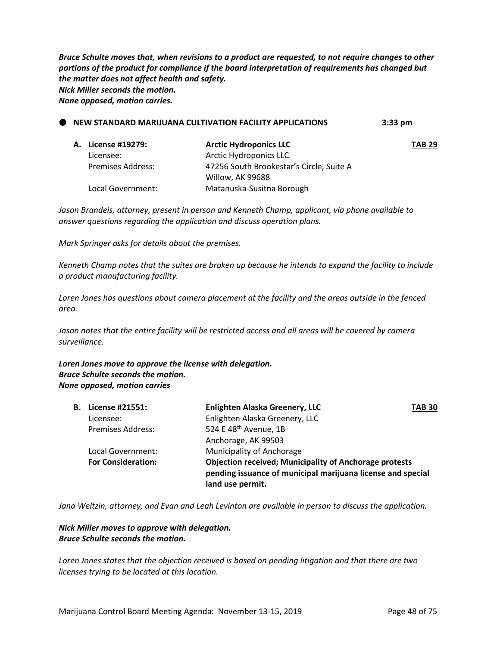*Bruce Schulte moves that, when revisions to a product are requested, to not require changes to other portions of the product for compliance if the board interpretation of requirements has changed but the matter does not affect health and safety. Nick Miller seconds the motion. None opposed, motion carries.*

| NEW STANDARD MARIJUANA CULTIVATION FACILITY APPLICATIONS |                          | $3:33$ pm                                |               |
|----------------------------------------------------------|--------------------------|------------------------------------------|---------------|
|                                                          | A. License #19279:       | <b>Arctic Hydroponics LLC</b>            | <b>TAB 29</b> |
|                                                          | Licensee:                | <b>Arctic Hydroponics LLC</b>            |               |
|                                                          | <b>Premises Address:</b> | 47256 South Brookestar's Circle, Suite A |               |
|                                                          |                          | Willow, AK 99688                         |               |
|                                                          | Local Government:        | Matanuska-Susitna Borough                |               |

*Jason Brandeis, attorney, present in person and Kenneth Champ, applicant, via phone available to answer questions regarding the application and discuss operation plans.*

*Mark Springer asks for details about the premises.*

*Kenneth Champ notes that the suites are broken up because he intends to expand the facility to include a product manufacturing facility.*

*Loren Jones has questions about camera placement at the facility and the areas outside in the fenced area.*

*Jason notes that the entire facility will be restricted access and all areas will be covered by camera surveillance.*

*Loren Jones move to approve the license with delegation. Bruce Schulte seconds the motion. None opposed, motion carries*

| License #21551:           | Enlighten Alaska Greenery, LLC                                                                                                                   | <b>TAB 30</b> |
|---------------------------|--------------------------------------------------------------------------------------------------------------------------------------------------|---------------|
| Licensee:                 | Enlighten Alaska Greenery, LLC                                                                                                                   |               |
| <b>Premises Address:</b>  | 524 E 48 <sup>th</sup> Avenue, 1B                                                                                                                |               |
|                           | Anchorage, AK 99503                                                                                                                              |               |
| Local Government:         | Municipality of Anchorage                                                                                                                        |               |
| <b>For Consideration:</b> | <b>Objection received; Municipality of Anchorage protests</b><br>pending issuance of municipal marijuana license and special<br>land use permit. |               |
|                           | В.                                                                                                                                               |               |

*Jana Weltzin, attorney, and Evan and Leah Levinton are available in person to discuss the application.*

*Nick Miller moves to approve with delegation. Bruce Schulte seconds the motion.*

*Loren Jones states that the objection received is based on pending litigation and that there are two licenses trying to be located at this location.*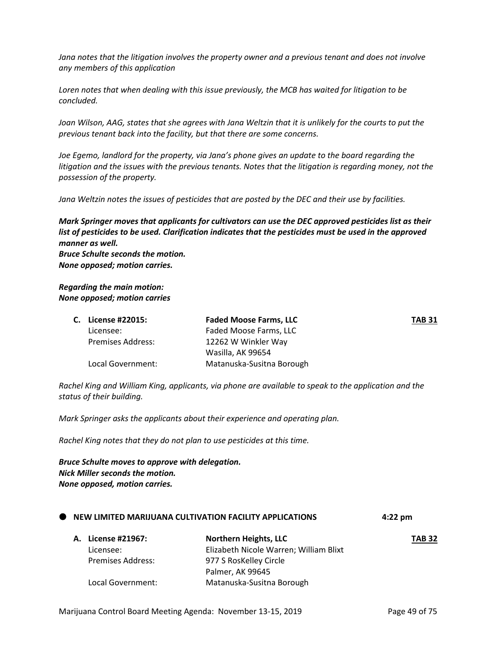*Jana notes that the litigation involves the property owner and a previous tenant and does not involve any members of this application*

*Loren notes that when dealing with this issue previously, the MCB has waited for litigation to be concluded.*

Joan Wilson, AAG, states that she agrees with Jana Weltzin that it is unlikely for the courts to put the *previous tenant back into the facility, but that there are some concerns.*

*Joe Egemo, landlord for the property, via Jana's phone gives an update to the board regarding the litigation and the issues with the previous tenants. Notes that the litigation is regarding money, not the possession of the property.*

*Jana Weltzin notes the issues of pesticides that are posted by the DEC and their use by facilities.*

*Mark Springer moves that applicants for cultivators can use the DEC approved pesticides list as their list of pesticides to be used. Clarification indicates that the pesticides must be used in the approved manner as well. Bruce Schulte seconds the motion. None opposed; motion carries.*

### *Regarding the main motion: None opposed; motion carries*

|  | C. License #22015: | <b>Faded Moose Farms, LLC</b> | <b>TAB 31</b> |
|--|--------------------|-------------------------------|---------------|
|  | Licensee:          | Faded Moose Farms, LLC        |               |
|  | Premises Address:  | 12262 W Winkler Way           |               |
|  |                    | Wasilla, AK 99654             |               |
|  | Local Government:  | Matanuska-Susitna Borough     |               |

*Rachel King and William King, applicants, via phone are available to speak to the application and the status of their building.*

*Mark Springer asks the applicants about their experience and operating plan.*

*Rachel King notes that they do not plan to use pesticides at this time.*

*Bruce Schulte moves to approve with delegation. Nick Miller seconds the motion. None opposed, motion carries.*

|  |                          | <b>WE NEW LIMITED MARIJUANA CULTIVATION FACILITY APPLICATIONS</b> | 4:22 pm       |
|--|--------------------------|-------------------------------------------------------------------|---------------|
|  | A. License #21967:       | Northern Heights, LLC                                             | <b>TAB 32</b> |
|  | Licensee:                | Elizabeth Nicole Warren; William Blixt                            |               |
|  | <b>Premises Address:</b> | 977 S RosKelley Circle                                            |               |
|  |                          | Palmer, AK 99645                                                  |               |
|  | Local Government:        | Matanuska-Susitna Borough                                         |               |

**NEW LIMITED MARIJUANA CULTIVATION FACILITY APPLICATIONS 4:22 pm**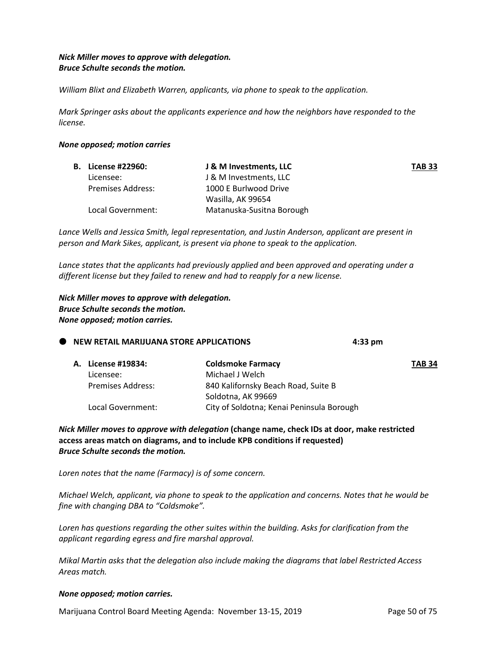# *Nick Miller moves to approve with delegation. Bruce Schulte seconds the motion.*

*William Blixt and Elizabeth Warren, applicants, via phone to speak to the application.*

*Mark Springer asks about the applicants experience and how the neighbors have responded to the license.*

### *None opposed; motion carries*

| <b>B.</b> License #22960: | J & M Investments, LLC    | <b>TAB 33</b> |
|---------------------------|---------------------------|---------------|
| Licensee:                 | J & M Investments, LLC    |               |
| Premises Address:         | 1000 E Burlwood Drive     |               |
|                           | Wasilla, AK 99654         |               |
| Local Government:         | Matanuska-Susitna Borough |               |

*Lance Wells and Jessica Smith, legal representation, and Justin Anderson, applicant are present in person and Mark Sikes, applicant, is present via phone to speak to the application.*

*Lance states that the applicants had previously applied and been approved and operating under a different license but they failed to renew and had to reapply for a new license.*

*Nick Miller moves to approve with delegation. Bruce Schulte seconds the motion. None opposed; motion carries.*

# **NEW RETAIL MARIJUANA STORE APPLICATIONS 4:33 pm**

|  | A. License #19834: | <b>Coldsmoke Farmacy</b>                  | <b>TAB 34</b> |
|--|--------------------|-------------------------------------------|---------------|
|  | Licensee:          | Michael J Welch                           |               |
|  | Premises Address:  | 840 Kalifornsky Beach Road, Suite B       |               |
|  |                    | Soldotna, AK 99669                        |               |
|  | Local Government:  | City of Soldotna; Kenai Peninsula Borough |               |

*Nick Miller moves to approve with delegation* **(change name, check IDs at door, make restricted access areas match on diagrams, and to include KPB conditions if requested)** *Bruce Schulte seconds the motion.*

*Loren notes that the name (Farmacy) is of some concern.*

*Michael Welch, applicant, via phone to speak to the application and concerns. Notes that he would be fine with changing DBA to "Coldsmoke".*

*Loren has questions regarding the other suites within the building. Asks for clarification from the applicant regarding egress and fire marshal approval.*

*Mikal Martin asks that the delegation also include making the diagrams that label Restricted Access Areas match.*

# *None opposed; motion carries.*

Marijuana Control Board Meeting Agenda: November 13-15, 2019 Page 50 of 75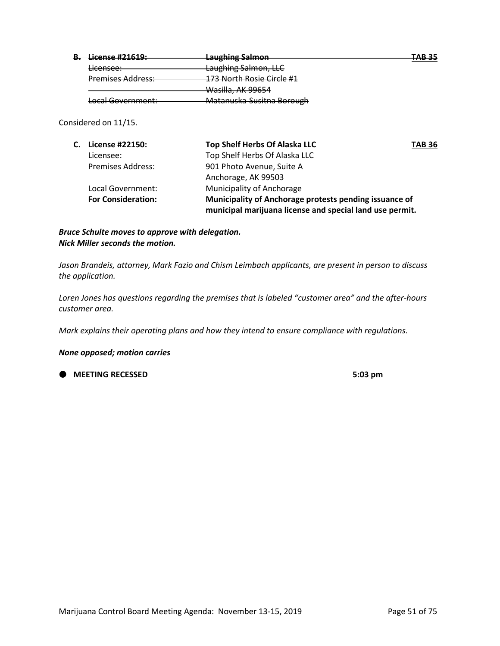| I icanca #71.610•<br><del>LICCHSC #21019.</del> | Laughing Salmon<br><del>Laugmng samıon</del>                     | TAD JE<br>1.12.33 |
|-------------------------------------------------|------------------------------------------------------------------|-------------------|
| iconsoo:<br><del>uccnscc.</del>                 | Laughing Salmon, LLC                                             |                   |
| <b>Premises Address:</b>                        | 172 North Posia Circle #1<br><del>173 NORM NOSIC CITCHE #1</del> |                   |
|                                                 | <del>Wasilla, AK 99654</del>                                     |                   |
| Local Government:                               | Matanuska-Susitna Borough                                        |                   |
|                                                 |                                                                  |                   |

Considered on 11/15.

| C. License #22150:        | Top Shelf Herbs Of Alaska LLC                                                                                      | <b>TAB 36</b> |
|---------------------------|--------------------------------------------------------------------------------------------------------------------|---------------|
| Licensee:                 | Top Shelf Herbs Of Alaska LLC                                                                                      |               |
| <b>Premises Address:</b>  | 901 Photo Avenue, Suite A                                                                                          |               |
|                           | Anchorage, AK 99503                                                                                                |               |
| Local Government:         | Municipality of Anchorage                                                                                          |               |
| <b>For Consideration:</b> | Municipality of Anchorage protests pending issuance of<br>municipal marijuana license and special land use permit. |               |

# *Bruce Schulte moves to approve with delegation. Nick Miller seconds the motion.*

*Jason Brandeis, attorney, Mark Fazio and Chism Leimbach applicants, are present in person to discuss the application.*

*Loren Jones has questions regarding the premises that is labeled "customer area" and the after-hours customer area.*

*Mark explains their operating plans and how they intend to ensure compliance with regulations.*

### *None opposed; motion carries*

**12.53 AMEETING RECESSED 5:03 pm**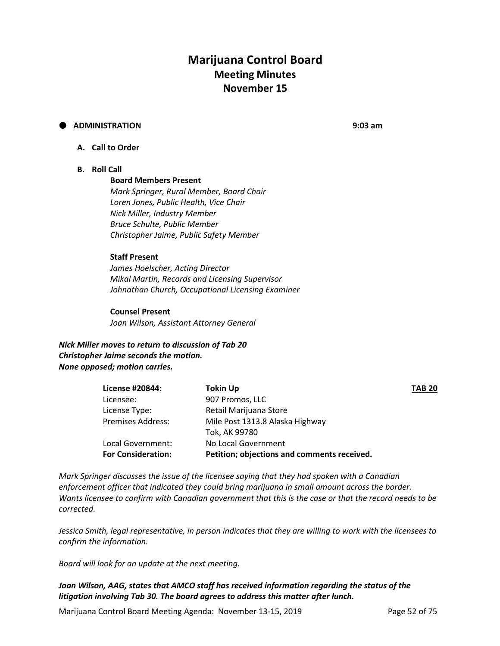# **Marijuana Control Board Meeting Minutes November 15**

# **ADMINISTRATION 9:03 am**

### **A. Call to Order**

### **B. Roll Call**

### **Board Members Present**

*Mark Springer, Rural Member, Board Chair Loren Jones, Public Health, Vice Chair Nick Miller, Industry Member Bruce Schulte, Public Member Christopher Jaime, Public Safety Member*

#### **Staff Present**

*James Hoelscher, Acting Director Mikal Martin, Records and Licensing Supervisor Johnathan Church, Occupational Licensing Examiner*

### **Counsel Present**

*Joan Wilson, Assistant Attorney General*

*Nick Miller moves to return to discussion of Tab 20 Christopher Jaime seconds the motion. None opposed; motion carries.*

| License #20844:           | <b>Tokin Up</b>                             | <b>TAB 20</b> |
|---------------------------|---------------------------------------------|---------------|
| Licensee:                 | 907 Promos, LLC                             |               |
| License Type:             | Retail Marijuana Store                      |               |
| <b>Premises Address:</b>  | Mile Post 1313.8 Alaska Highway             |               |
|                           | Tok, AK 99780                               |               |
| Local Government:         | No Local Government                         |               |
| <b>For Consideration:</b> | Petition; objections and comments received. |               |

*Mark Springer discusses the issue of the licensee saying that they had spoken with a Canadian enforcement officer that indicated they could bring marijuana in small amount across the border. Wants licensee to confirm with Canadian government that this is the case or that the record needs to be corrected.*

*Jessica Smith, legal representative, in person indicates that they are willing to work with the licensees to confirm the information.*

*Board will look for an update at the next meeting.*

*Joan Wilson, AAG, states that AMCO staff has received information regarding the status of the litigation involving Tab 30. The board agrees to address this matter after lunch.* 

Marijuana Control Board Meeting Agenda: November 13-15, 2019 Page 52 of 75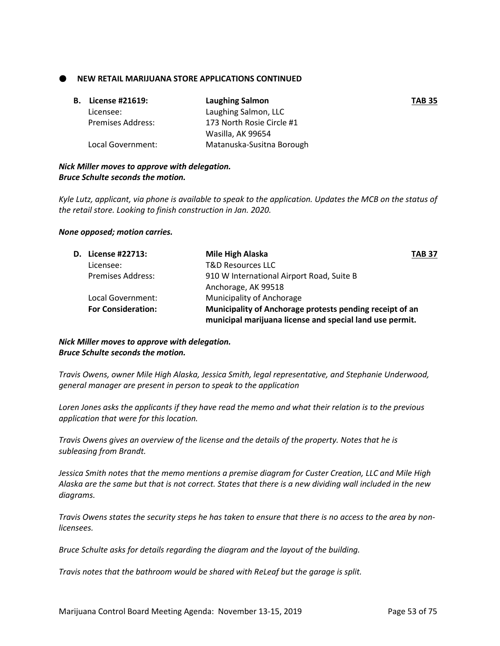**NEW RETAIL MARIJUANA STORE APPLICATIONS CONTINUED** 

| В. | License #21619:   | Laughing Salmon           | <b>TAB 35</b> |
|----|-------------------|---------------------------|---------------|
|    | Licensee:         | Laughing Salmon, LLC      |               |
|    | Premises Address: | 173 North Rosie Circle #1 |               |
|    |                   | Wasilla, AK 99654         |               |
|    | Local Government: | Matanuska-Susitna Borough |               |

# *Nick Miller moves to approve with delegation. Bruce Schulte seconds the motion.*

*Kyle Lutz, applicant, via phone is available to speak to the application. Updates the MCB on the status of the retail store. Looking to finish construction in Jan. 2020.*

#### *None opposed; motion carries.*

| D. License #22713:        | Mile High Alaska                                         | <b>TAB 37</b> |
|---------------------------|----------------------------------------------------------|---------------|
| Licensee:                 | <b>T&amp;D Resources LLC</b>                             |               |
| <b>Premises Address:</b>  | 910 W International Airport Road, Suite B                |               |
|                           | Anchorage, AK 99518                                      |               |
| Local Government:         | <b>Municipality of Anchorage</b>                         |               |
| <b>For Consideration:</b> | Municipality of Anchorage protests pending receipt of an |               |
|                           | municipal marijuana license and special land use permit. |               |

# *Nick Miller moves to approve with delegation. Bruce Schulte seconds the motion.*

*Travis Owens, owner Mile High Alaska, Jessica Smith, legal representative, and Stephanie Underwood, general manager are present in person to speak to the application*

*Loren Jones asks the applicants if they have read the memo and what their relation is to the previous application that were for this location.*

*Travis Owens gives an overview of the license and the details of the property. Notes that he is subleasing from Brandt.*

*Jessica Smith notes that the memo mentions a premise diagram for Custer Creation, LLC and Mile High Alaska are the same but that is not correct. States that there is a new dividing wall included in the new diagrams.*

*Travis Owens states the security steps he has taken to ensure that there is no access to the area by nonlicensees.*

*Bruce Schulte asks for details regarding the diagram and the layout of the building.*

*Travis notes that the bathroom would be shared with ReLeaf but the garage is split.*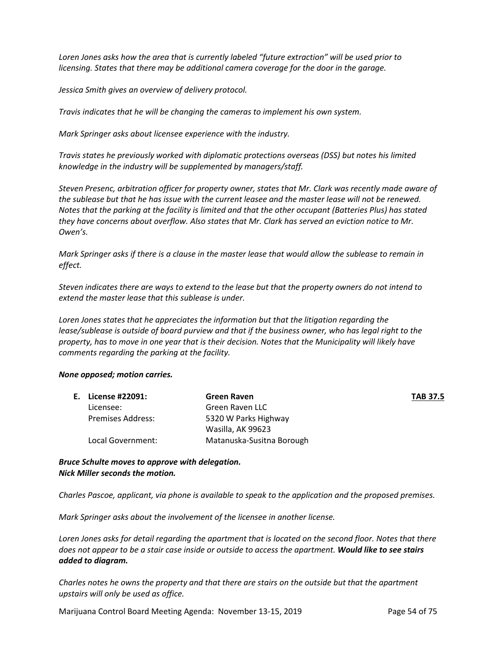*Loren Jones asks how the area that is currently labeled "future extraction" will be used prior to licensing. States that there may be additional camera coverage for the door in the garage.*

*Jessica Smith gives an overview of delivery protocol.*

*Travis indicates that he will be changing the cameras to implement his own system.*

*Mark Springer asks about licensee experience with the industry.*

*Travis states he previously worked with diplomatic protections overseas (DSS) but notes his limited knowledge in the industry will be supplemented by managers/staff.*

*Steven Presenc, arbitration officer for property owner, states that Mr. Clark was recently made aware of the sublease but that he has issue with the current leasee and the master lease will not be renewed. Notes that the parking at the facility is limited and that the other occupant (Batteries Plus) has stated they have concerns about overflow. Also states that Mr. Clark has served an eviction notice to Mr. Owen's.*

*Mark Springer asks if there is a clause in the master lease that would allow the sublease to remain in effect.*

*Steven indicates there are ways to extend to the lease but that the property owners do not intend to extend the master lease that this sublease is under.*

*Loren Jones states that he appreciates the information but that the litigation regarding the lease/sublease is outside of board purview and that if the business owner, who has legal right to the property, has to move in one year that is their decision. Notes that the Municipality will likely have comments regarding the parking at the facility.*

#### *None opposed; motion carries.*

| E. License #22091: | Green Raven               | <b>TAB 37.5</b> |
|--------------------|---------------------------|-----------------|
| Licensee:          | Green Raven LLC           |                 |
| Premises Address:  | 5320 W Parks Highway      |                 |
|                    | Wasilla, AK 99623         |                 |
| Local Government:  | Matanuska-Susitna Borough |                 |

*Bruce Schulte moves to approve with delegation. Nick Miller seconds the motion.* 

*Charles Pascoe, applicant, via phone is available to speak to the application and the proposed premises.*

*Mark Springer asks about the involvement of the licensee in another license.*

*Loren Jones asks for detail regarding the apartment that is located on the second floor. Notes that there does not appear to be a stair case inside or outside to access the apartment. Would like to see stairs added to diagram.*

*Charles notes he owns the property and that there are stairs on the outside but that the apartment upstairs will only be used as office.*

Marijuana Control Board Meeting Agenda: November 13-15, 2019 Page 54 of 75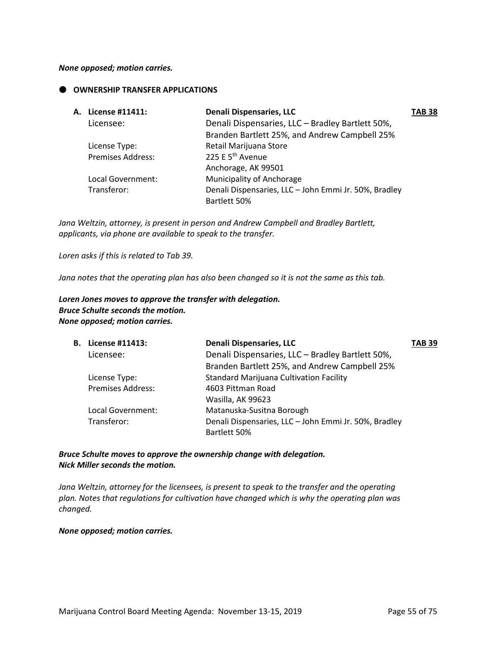#### *None opposed; motion carries.*

### **OWNERSHIP TRANSFER APPLICATIONS**

| A. License #11411:       | Denali Dispensaries, LLC                              | TAB 38 |
|--------------------------|-------------------------------------------------------|--------|
| Licensee:                | Denali Dispensaries, LLC - Bradley Bartlett 50%,      |        |
|                          | Branden Bartlett 25%, and Andrew Campbell 25%         |        |
| License Type:            | Retail Marijuana Store                                |        |
| <b>Premises Address:</b> | 225 E 5 <sup>th</sup> Avenue                          |        |
|                          | Anchorage, AK 99501                                   |        |
| Local Government:        | Municipality of Anchorage                             |        |
| Transferor:              | Denali Dispensaries, LLC - John Emmi Jr. 50%, Bradley |        |
|                          | Bartlett 50%                                          |        |

*Jana Weltzin, attorney, is present in person and Andrew Campbell and Bradley Bartlett, applicants, via phone are available to speak to the transfer.*

*Loren asks if this is related to Tab 39.*

*Jana notes that the operating plan has also been changed so it is not the same as this tab.*

*Loren Jones moves to approve the transfer with delegation. Bruce Schulte seconds the motion. None opposed; motion carries.*

| <b>B.</b> License #11413: | <b>Denali Dispensaries, LLC</b>                       | <b>TAB 39</b> |
|---------------------------|-------------------------------------------------------|---------------|
| Licensee:                 | Denali Dispensaries, LLC - Bradley Bartlett 50%,      |               |
|                           | Branden Bartlett 25%, and Andrew Campbell 25%         |               |
| License Type:             | <b>Standard Marijuana Cultivation Facility</b>        |               |
| <b>Premises Address:</b>  | 4603 Pittman Road                                     |               |
|                           | Wasilla, AK 99623                                     |               |
| Local Government:         | Matanuska-Susitna Borough                             |               |
| Transferor:               | Denali Dispensaries, LLC - John Emmi Jr. 50%, Bradley |               |
|                           | Bartlett 50%                                          |               |
|                           |                                                       |               |

*Bruce Schulte moves to approve the ownership change with delegation. Nick Miller seconds the motion.* 

*Jana Weltzin, attorney for the licensees, is present to speak to the transfer and the operating plan. Notes that regulations for cultivation have changed which is why the operating plan was changed.*

*None opposed; motion carries.*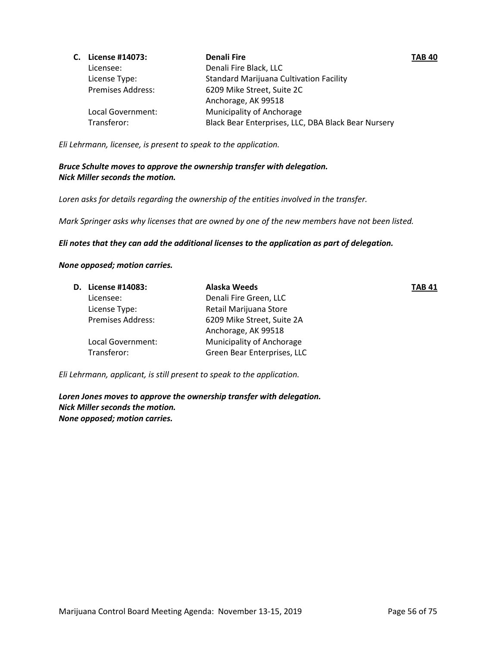| C. License #14073:       | <b>Denali Fire</b>                                  | <b>TAB 40</b> |
|--------------------------|-----------------------------------------------------|---------------|
| Licensee:                | Denali Fire Black, LLC                              |               |
| License Type:            | <b>Standard Marijuana Cultivation Facility</b>      |               |
| <b>Premises Address:</b> | 6209 Mike Street, Suite 2C                          |               |
|                          | Anchorage, AK 99518                                 |               |
| Local Government:        | <b>Municipality of Anchorage</b>                    |               |
| Transferor:              | Black Bear Enterprises, LLC, DBA Black Bear Nursery |               |

*Eli Lehrmann, licensee, is present to speak to the application.*

# *Bruce Schulte moves to approve the ownership transfer with delegation. Nick Miller seconds the motion.*

*Loren asks for details regarding the ownership of the entities involved in the transfer.*

*Mark Springer asks why licenses that are owned by one of the new members have not been listed.*

*Eli notes that they can add the additional licenses to the application as part of delegation.*

### *None opposed; motion carries.*

| D. License #14083:       | Alaska Weeds                     | <b>TAB 41</b> |
|--------------------------|----------------------------------|---------------|
| Licensee:                | Denali Fire Green, LLC           |               |
| License Type:            | Retail Marijuana Store           |               |
| <b>Premises Address:</b> | 6209 Mike Street, Suite 2A       |               |
|                          | Anchorage, AK 99518              |               |
| Local Government:        | <b>Municipality of Anchorage</b> |               |
| Transferor:              | Green Bear Enterprises, LLC      |               |
|                          |                                  |               |

*Eli Lehrmann, applicant, is still present to speak to the application.*

*Loren Jones moves to approve the ownership transfer with delegation. Nick Miller seconds the motion. None opposed; motion carries.*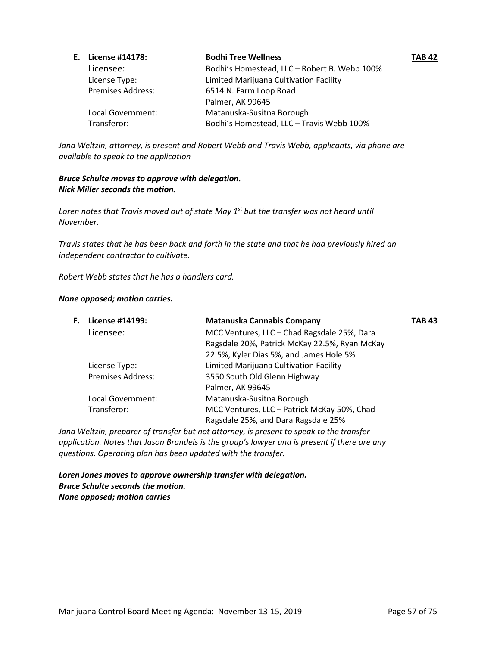| E. License #14178:       | <b>Bodhi Tree Wellness</b>                   | <b>TAB 42</b> |
|--------------------------|----------------------------------------------|---------------|
| Licensee:                | Bodhi's Homestead, LLC - Robert B. Webb 100% |               |
| License Type:            | Limited Marijuana Cultivation Facility       |               |
| <b>Premises Address:</b> | 6514 N. Farm Loop Road                       |               |
|                          | Palmer, AK 99645                             |               |
| Local Government:        | Matanuska-Susitna Borough                    |               |
| Transferor:              | Bodhi's Homestead, LLC - Travis Webb 100%    |               |

*Jana Weltzin, attorney, is present and Robert Webb and Travis Webb, applicants, via phone are available to speak to the application*

# *Bruce Schulte moves to approve with delegation. Nick Miller seconds the motion.*

*Loren notes that Travis moved out of state May 1st but the transfer was not heard until November.*

*Travis states that he has been back and forth in the state and that he had previously hired an independent contractor to cultivate.*

*Robert Webb states that he has a handlers card.*

#### *None opposed; motion carries.*

| F. | License #14199:          | Matanuska Cannabis Company                                                                                   | TAB 43 |
|----|--------------------------|--------------------------------------------------------------------------------------------------------------|--------|
|    | Licensee:                | MCC Ventures, LLC - Chad Ragsdale 25%, Dara                                                                  |        |
|    |                          | Ragsdale 20%, Patrick McKay 22.5%, Ryan McKay                                                                |        |
|    |                          | 22.5%, Kyler Dias 5%, and James Hole 5%                                                                      |        |
|    | License Type:            | Limited Marijuana Cultivation Facility                                                                       |        |
|    | <b>Premises Address:</b> | 3550 South Old Glenn Highway                                                                                 |        |
|    |                          | Palmer, AK 99645                                                                                             |        |
|    | Local Government:        | Matanuska-Susitna Borough                                                                                    |        |
|    | Transferor:              | MCC Ventures, LLC - Patrick McKay 50%, Chad                                                                  |        |
|    |                          | Ragsdale 25%, and Dara Ragsdale 25%                                                                          |        |
|    |                          | $\sim$ 147. In the component of the coefficial contraction of the component of the floor of the state of the |        |

*Jana Weltzin, preparer of transfer but not attorney, is present to speak to the transfer application. Notes that Jason Brandeis is the group's lawyer and is present if there are any questions. Operating plan has been updated with the transfer.*

*Loren Jones moves to approve ownership transfer with delegation. Bruce Schulte seconds the motion. None opposed; motion carries*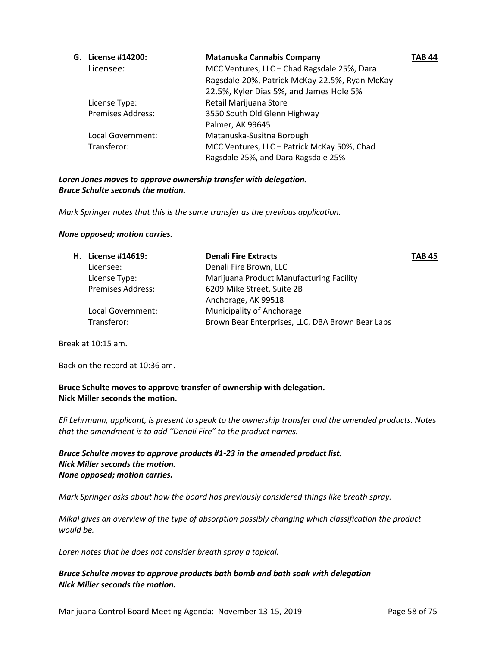| G. | License #14200:          | <b>Matanuska Cannabis Company</b>             | TAB 44 |
|----|--------------------------|-----------------------------------------------|--------|
|    | Licensee:                | MCC Ventures, LLC - Chad Ragsdale 25%, Dara   |        |
|    |                          | Ragsdale 20%, Patrick McKay 22.5%, Ryan McKay |        |
|    |                          | 22.5%, Kyler Dias 5%, and James Hole 5%       |        |
|    | License Type:            | Retail Marijuana Store                        |        |
|    | <b>Premises Address:</b> | 3550 South Old Glenn Highway                  |        |
|    |                          | Palmer, AK 99645                              |        |
|    | Local Government:        | Matanuska-Susitna Borough                     |        |
|    | Transferor:              | MCC Ventures, LLC - Patrick McKay 50%, Chad   |        |
|    |                          | Ragsdale 25%, and Dara Ragsdale 25%           |        |

# *Loren Jones moves to approve ownership transfer with delegation. Bruce Schulte seconds the motion.*

*Mark Springer notes that this is the same transfer as the previous application.*

### *None opposed; motion carries.*

| H. License #14619:       | <b>Denali Fire Extracts</b>                      | <b>TAB 45</b> |
|--------------------------|--------------------------------------------------|---------------|
| Licensee:                | Denali Fire Brown, LLC                           |               |
| License Type:            | Marijuana Product Manufacturing Facility         |               |
| <b>Premises Address:</b> | 6209 Mike Street, Suite 2B                       |               |
|                          | Anchorage, AK 99518                              |               |
| Local Government:        | Municipality of Anchorage                        |               |
| Transferor:              | Brown Bear Enterprises, LLC, DBA Brown Bear Labs |               |
|                          |                                                  |               |

Break at 10:15 am.

Back on the record at 10:36 am.

**Bruce Schulte moves to approve transfer of ownership with delegation. Nick Miller seconds the motion.**

*Eli Lehrmann, applicant, is present to speak to the ownership transfer and the amended products. Notes that the amendment is to add "Denali Fire" to the product names.*

# *Bruce Schulte moves to approve products #1-23 in the amended product list. Nick Miller seconds the motion. None opposed; motion carries.*

*Mark Springer asks about how the board has previously considered things like breath spray.*

*Mikal gives an overview of the type of absorption possibly changing which classification the product would be.*

*Loren notes that he does not consider breath spray a topical.*

# *Bruce Schulte moves to approve products bath bomb and bath soak with delegation Nick Miller seconds the motion.*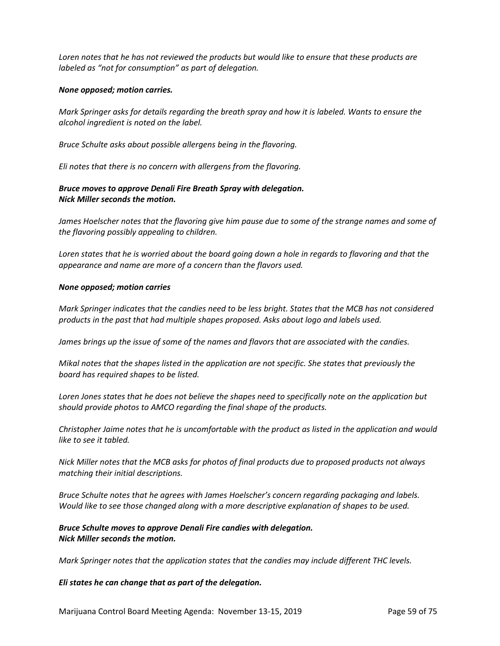*Loren notes that he has not reviewed the products but would like to ensure that these products are labeled as "not for consumption" as part of delegation.*

### *None opposed; motion carries.*

*Mark Springer asks for details regarding the breath spray and how it is labeled. Wants to ensure the alcohol ingredient is noted on the label.*

*Bruce Schulte asks about possible allergens being in the flavoring.*

*Eli notes that there is no concern with allergens from the flavoring.*

# *Bruce moves to approve Denali Fire Breath Spray with delegation. Nick Miller seconds the motion.*

James Hoelscher notes that the flavoring give him pause due to some of the strange names and some of *the flavoring possibly appealing to children.*

*Loren states that he is worried about the board going down a hole in regards to flavoring and that the appearance and name are more of a concern than the flavors used.*

#### *None opposed; motion carries*

*Mark Springer indicates that the candies need to be less bright. States that the MCB has not considered products in the past that had multiple shapes proposed. Asks about logo and labels used.*

*James brings up the issue of some of the names and flavors that are associated with the candies.*

*Mikal notes that the shapes listed in the application are not specific. She states that previously the board has required shapes to be listed.*

*Loren Jones states that he does not believe the shapes need to specifically note on the application but should provide photos to AMCO regarding the final shape of the products.*

*Christopher Jaime notes that he is uncomfortable with the product as listed in the application and would like to see it tabled.*

*Nick Miller notes that the MCB asks for photos of final products due to proposed products not always matching their initial descriptions.*

*Bruce Schulte notes that he agrees with James Hoelscher's concern regarding packaging and labels. Would like to see those changed along with a more descriptive explanation of shapes to be used.*

### *Bruce Schulte moves to approve Denali Fire candies with delegation. Nick Miller seconds the motion.*

*Mark Springer notes that the application states that the candies may include different THC levels.*

#### *Eli states he can change that as part of the delegation.*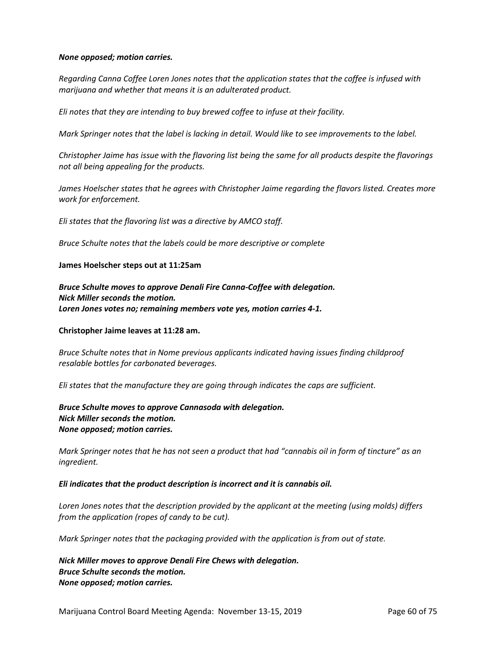#### *None opposed; motion carries.*

*Regarding Canna Coffee Loren Jones notes that the application states that the coffee is infused with marijuana and whether that means it is an adulterated product.*

*Eli notes that they are intending to buy brewed coffee to infuse at their facility.*

*Mark Springer notes that the label is lacking in detail. Would like to see improvements to the label.*

*Christopher Jaime has issue with the flavoring list being the same for all products despite the flavorings not all being appealing for the products.* 

*James Hoelscher states that he agrees with Christopher Jaime regarding the flavors listed. Creates more work for enforcement.*

*Eli states that the flavoring list was a directive by AMCO staff.*

*Bruce Schulte notes that the labels could be more descriptive or complete*

#### **James Hoelscher steps out at 11:25am**

*Bruce Schulte moves to approve Denali Fire Canna-Coffee with delegation. Nick Miller seconds the motion. Loren Jones votes no; remaining members vote yes, motion carries 4-1.*

#### **Christopher Jaime leaves at 11:28 am.**

*Bruce Schulte notes that in Nome previous applicants indicated having issues finding childproof resalable bottles for carbonated beverages.*

*Eli states that the manufacture they are going through indicates the caps are sufficient.*

*Bruce Schulte moves to approve Cannasoda with delegation. Nick Miller seconds the motion. None opposed; motion carries.*

*Mark Springer notes that he has not seen a product that had "cannabis oil in form of tincture" as an ingredient.* 

#### *Eli indicates that the product description is incorrect and it is cannabis oil.*

*Loren Jones notes that the description provided by the applicant at the meeting (using molds) differs from the application (ropes of candy to be cut).*

*Mark Springer notes that the packaging provided with the application is from out of state.* 

*Nick Miller moves to approve Denali Fire Chews with delegation. Bruce Schulte seconds the motion. None opposed; motion carries.*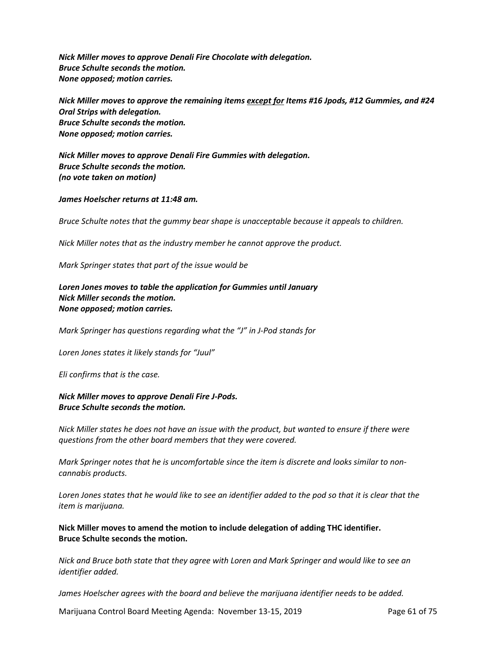*Nick Miller moves to approve Denali Fire Chocolate with delegation. Bruce Schulte seconds the motion. None opposed; motion carries.*

*Nick Miller moves to approve the remaining items except for Items #16 Jpods, #12 Gummies, and #24 Oral Strips with delegation. Bruce Schulte seconds the motion. None opposed; motion carries.*

*Nick Miller moves to approve Denali Fire Gummies with delegation. Bruce Schulte seconds the motion. (no vote taken on motion)*

*James Hoelscher returns at 11:48 am.*

*Bruce Schulte notes that the gummy bear shape is unacceptable because it appeals to children.*

*Nick Miller notes that as the industry member he cannot approve the product.*

*Mark Springer states that part of the issue would be* 

*Loren Jones moves to table the application for Gummies until January Nick Miller seconds the motion. None opposed; motion carries.*

*Mark Springer has questions regarding what the "J" in J-Pod stands for*

*Loren Jones states it likely stands for "Juul"*

*Eli confirms that is the case.*

*Nick Miller moves to approve Denali Fire J-Pods. Bruce Schulte seconds the motion.*

*Nick Miller states he does not have an issue with the product, but wanted to ensure if there were questions from the other board members that they were covered.*

*Mark Springer notes that he is uncomfortable since the item is discrete and looks similar to noncannabis products.*

*Loren Jones states that he would like to see an identifier added to the pod so that it is clear that the item is marijuana.*

**Nick Miller moves to amend the motion to include delegation of adding THC identifier. Bruce Schulte seconds the motion.**

*Nick and Bruce both state that they agree with Loren and Mark Springer and would like to see an identifier added.*

*James Hoelscher agrees with the board and believe the marijuana identifier needs to be added.*

Marijuana Control Board Meeting Agenda: November 13-15, 2019 Page 61 of 75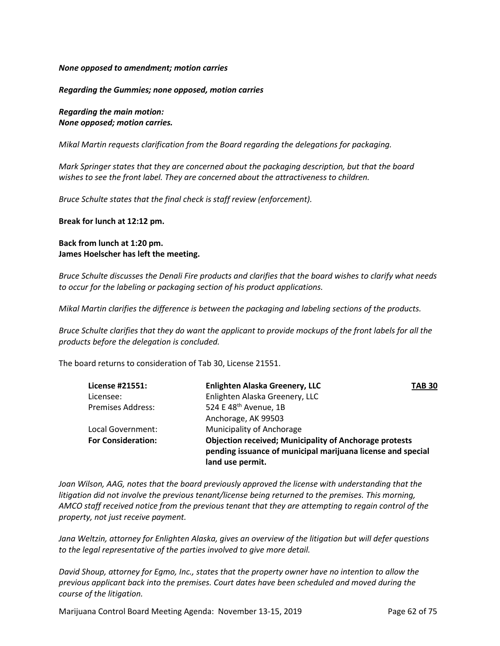### *None opposed to amendment; motion carries*

### *Regarding the Gummies; none opposed, motion carries*

*Regarding the main motion: None opposed; motion carries.*

*Mikal Martin requests clarification from the Board regarding the delegations for packaging.* 

*Mark Springer states that they are concerned about the packaging description, but that the board wishes to see the front label. They are concerned about the attractiveness to children.* 

*Bruce Schulte states that the final check is staff review (enforcement).* 

**Break for lunch at 12:12 pm.**

# **Back from lunch at 1:20 pm. James Hoelscher has left the meeting.**

*Bruce Schulte discusses the Denali Fire products and clarifies that the board wishes to clarify what needs to occur for the labeling or packaging section of his product applications.* 

*Mikal Martin clarifies the difference is between the packaging and labeling sections of the products.* 

*Bruce Schulte clarifies that they do want the applicant to provide mockups of the front labels for all the products before the delegation is concluded.* 

The board returns to consideration of Tab 30, License 21551.

| License #21551:           | <b>Enlighten Alaska Greenery, LLC</b>                                                                                                            | <b>TAB 30</b> |
|---------------------------|--------------------------------------------------------------------------------------------------------------------------------------------------|---------------|
| Licensee:                 | Enlighten Alaska Greenery, LLC                                                                                                                   |               |
| <b>Premises Address:</b>  | 524 E 48 <sup>th</sup> Avenue, 1B                                                                                                                |               |
|                           | Anchorage, AK 99503                                                                                                                              |               |
| Local Government:         | Municipality of Anchorage                                                                                                                        |               |
| <b>For Consideration:</b> | <b>Objection received; Municipality of Anchorage protests</b><br>pending issuance of municipal marijuana license and special<br>land use permit. |               |
|                           |                                                                                                                                                  |               |

*Joan Wilson, AAG, notes that the board previously approved the license with understanding that the litigation did not involve the previous tenant/license being returned to the premises. This morning, AMCO staff received notice from the previous tenant that they are attempting to regain control of the property, not just receive payment.* 

*Jana Weltzin, attorney for Enlighten Alaska, gives an overview of the litigation but will defer questions to the legal representative of the parties involved to give more detail.*

*David Shoup, attorney for Egmo, Inc., states that the property owner have no intention to allow the previous applicant back into the premises. Court dates have been scheduled and moved during the course of the litigation.*

Marijuana Control Board Meeting Agenda: November 13-15, 2019 Page 62 of 75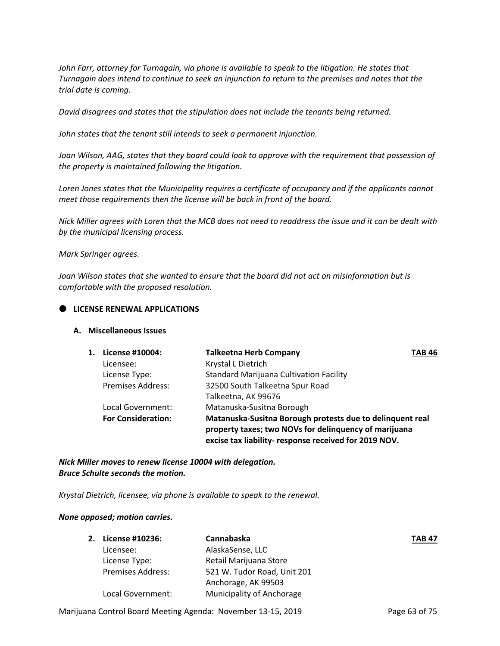John Farr, attorney for Turnagain, via phone is available to speak to the litigation. He states that *Turnagain does intend to continue to seek an injunction to return to the premises and notes that the trial date is coming.*

*David disagrees and states that the stipulation does not include the tenants being returned.*

*John states that the tenant still intends to seek a permanent injunction.*

*Joan Wilson, AAG, states that they board could look to approve with the requirement that possession of the property is maintained following the litigation.*

*Loren Jones states that the Municipality requires a certificate of occupancy and if the applicants cannot meet those requirements then the license will be back in front of the board.*

*Nick Miller agrees with Loren that the MCB does not need to readdress the issue and it can be dealt with by the municipal licensing process.*

*Mark Springer agrees.*

*Joan Wilson states that she wanted to ensure that the board did not act on misinformation but is comfortable with the proposed resolution.*

### **LICENSE RENEWAL APPLICATIONS**

#### **A. Miscellaneous Issues**

| 1. | License #10004:           | <b>Talkeetna Herb Company</b>                                                                                                                                               | <b>TAB 46</b> |
|----|---------------------------|-----------------------------------------------------------------------------------------------------------------------------------------------------------------------------|---------------|
|    | Licensee:                 | Krystal L Dietrich                                                                                                                                                          |               |
|    | License Type:             | <b>Standard Marijuana Cultivation Facility</b>                                                                                                                              |               |
|    | <b>Premises Address:</b>  | 32500 South Talkeetna Spur Road                                                                                                                                             |               |
|    |                           | Talkeetna, AK 99676                                                                                                                                                         |               |
|    | Local Government:         | Matanuska-Susitna Borough                                                                                                                                                   |               |
|    | <b>For Consideration:</b> | Matanuska-Susitna Borough protests due to delinquent real<br>property taxes; two NOVs for delinquency of marijuana<br>excise tax liability- response received for 2019 NOV. |               |

*Nick Miller moves to renew license 10004 with delegation. Bruce Schulte seconds the motion.*

*Krystal Dietrich, licensee, via phone is available to speak to the renewal.*

#### *None opposed; motion carries.*

| 2. | License #10236:          | Cannabaska                  | <b>TAB 47</b> |
|----|--------------------------|-----------------------------|---------------|
|    | Licensee:                | AlaskaSense, LLC            |               |
|    | License Type:            | Retail Marijuana Store      |               |
|    | <b>Premises Address:</b> | 521 W. Tudor Road, Unit 201 |               |
|    |                          | Anchorage, AK 99503         |               |
|    | Local Government:        | Municipality of Anchorage   |               |
|    |                          |                             |               |

Marijuana Control Board Meeting Agenda: November 13-15, 2019 Page 63 of 75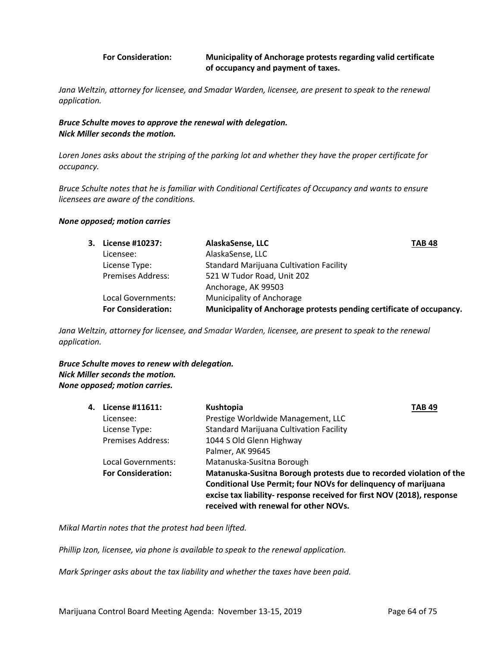### **For Consideration: Municipality of Anchorage protests regarding valid certificate of occupancy and payment of taxes.**

Jana Weltzin, attorney for licensee, and Smadar Warden, licensee, are present to speak to the renewal *application.*

*Bruce Schulte moves to approve the renewal with delegation. Nick Miller seconds the motion.* 

*Loren Jones asks about the striping of the parking lot and whether they have the proper certificate for occupancy.*

*Bruce Schulte notes that he is familiar with Conditional Certificates of Occupancy and wants to ensure licensees are aware of the conditions.*

#### *None opposed; motion carries*

| 3. License #10237:        | AlaskaSense, LLC<br><b>TAB 48</b>                                    |
|---------------------------|----------------------------------------------------------------------|
| Licensee:                 | AlaskaSense, LLC                                                     |
| License Type:             | <b>Standard Marijuana Cultivation Facility</b>                       |
| <b>Premises Address:</b>  | 521 W Tudor Road, Unit 202                                           |
|                           | Anchorage, AK 99503                                                  |
| Local Governments:        | <b>Municipality of Anchorage</b>                                     |
| <b>For Consideration:</b> | Municipality of Anchorage protests pending certificate of occupancy. |

*Jana Weltzin, attorney for licensee, and Smadar Warden, licensee, are present to speak to the renewal application.*

*Bruce Schulte moves to renew with delegation. Nick Miller seconds the motion. None opposed; motion carries.*

| 4. | License #11611:           | Kushtopia                                                                                                                                                                                                                                                | <b>TAB 49</b> |
|----|---------------------------|----------------------------------------------------------------------------------------------------------------------------------------------------------------------------------------------------------------------------------------------------------|---------------|
|    | Licensee:                 | Prestige Worldwide Management, LLC                                                                                                                                                                                                                       |               |
|    | License Type:             | <b>Standard Marijuana Cultivation Facility</b>                                                                                                                                                                                                           |               |
|    | <b>Premises Address:</b>  | 1044 S Old Glenn Highway                                                                                                                                                                                                                                 |               |
|    |                           | Palmer, AK 99645                                                                                                                                                                                                                                         |               |
|    | Local Governments:        | Matanuska-Susitna Borough                                                                                                                                                                                                                                |               |
|    | <b>For Consideration:</b> | Matanuska-Susitna Borough protests due to recorded violation of the<br>Conditional Use Permit; four NOVs for delinquency of marijuana<br>excise tax liability- response received for first NOV (2018), response<br>received with renewal for other NOVs. |               |

*Mikal Martin notes that the protest had been lifted.*

*Phillip Izon, licensee, via phone is available to speak to the renewal application.*

*Mark Springer asks about the tax liability and whether the taxes have been paid.*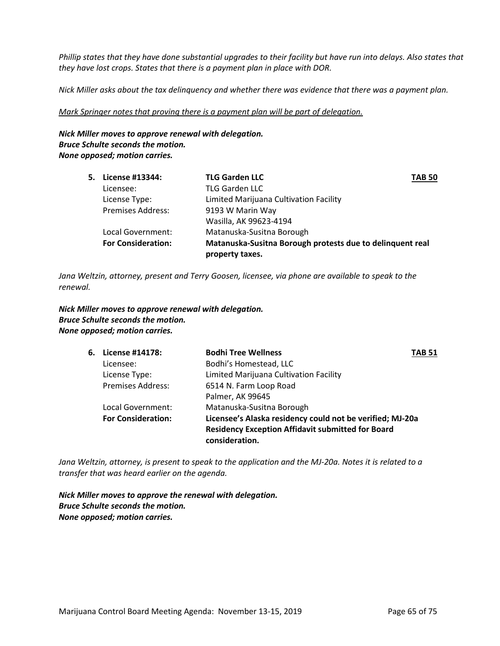*Phillip states that they have done substantial upgrades to their facility but have run into delays. Also states that they have lost crops. States that there is a payment plan in place with DOR.*

*Nick Miller asks about the tax delinquency and whether there was evidence that there was a payment plan.*

*Mark Springer notes that proving there is a payment plan will be part of delegation.*

*Nick Miller moves to approve renewal with delegation. Bruce Schulte seconds the motion. None opposed; motion carries.*

| 5. License #13344:        | <b>TLG Garden LLC</b>                                     | <b>TAB 50</b> |
|---------------------------|-----------------------------------------------------------|---------------|
| Licensee:                 | <b>TLG Garden LLC</b>                                     |               |
| License Type:             | Limited Marijuana Cultivation Facility                    |               |
| <b>Premises Address:</b>  | 9193 W Marin Way                                          |               |
|                           | Wasilla, AK 99623-4194                                    |               |
| Local Government:         | Matanuska-Susitna Borough                                 |               |
| <b>For Consideration:</b> | Matanuska-Susitna Borough protests due to delinquent real |               |
|                           | property taxes.                                           |               |

*Jana Weltzin, attorney, present and Terry Goosen, licensee, via phone are available to speak to the renewal.*

*Nick Miller moves to approve renewal with delegation. Bruce Schulte seconds the motion. None opposed; motion carries.*

| 6. License #14178:        | <b>Bodhi Tree Wellness</b>                                | TAB 51 |
|---------------------------|-----------------------------------------------------------|--------|
| Licensee:                 | Bodhi's Homestead, LLC                                    |        |
| License Type:             | Limited Marijuana Cultivation Facility                    |        |
| <b>Premises Address:</b>  | 6514 N. Farm Loop Road                                    |        |
|                           | Palmer, AK 99645                                          |        |
| Local Government:         | Matanuska-Susitna Borough                                 |        |
| <b>For Consideration:</b> | Licensee's Alaska residency could not be verified; MJ-20a |        |
|                           | <b>Residency Exception Affidavit submitted for Board</b>  |        |
|                           | consideration.                                            |        |

*Jana Weltzin, attorney, is present to speak to the application and the MJ-20a. Notes it is related to a transfer that was heard earlier on the agenda.*

*Nick Miller moves to approve the renewal with delegation. Bruce Schulte seconds the motion. None opposed; motion carries.*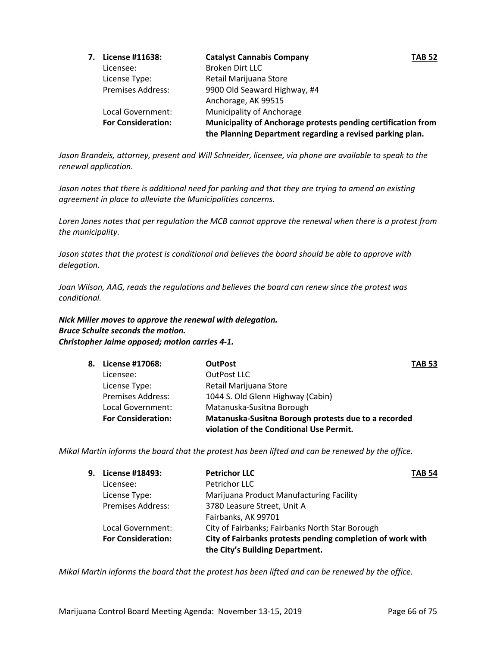| 7. | License #11638:           | <b>Catalyst Cannabis Company</b>                                                                                           | <b>TAB 52</b> |
|----|---------------------------|----------------------------------------------------------------------------------------------------------------------------|---------------|
|    | Licensee:                 | Broken Dirt LLC                                                                                                            |               |
|    | License Type:             | Retail Marijuana Store                                                                                                     |               |
|    | <b>Premises Address:</b>  | 9900 Old Seaward Highway, #4                                                                                               |               |
|    |                           | Anchorage, AK 99515                                                                                                        |               |
|    | Local Government:         | Municipality of Anchorage                                                                                                  |               |
|    | <b>For Consideration:</b> | Municipality of Anchorage protests pending certification from<br>the Planning Department regarding a revised parking plan. |               |

Jason Brandeis, attorney, present and Will Schneider, licensee, via phone are available to speak to the *renewal application.*

*Jason notes that there is additional need for parking and that they are trying to amend an existing agreement in place to alleviate the Municipalities concerns.*

*Loren Jones notes that per regulation the MCB cannot approve the renewal when there is a protest from the municipality.*

*Jason states that the protest is conditional and believes the board should be able to approve with delegation.*

*Joan Wilson, AAG, reads the regulations and believes the board can renew since the protest was conditional.*

*Nick Miller moves to approve the renewal with delegation. Bruce Schulte seconds the motion. Christopher Jaime opposed; motion carries 4-1.*

| 8. License #17068:        | <b>OutPost</b>                                       | <b>TAB 53</b> |
|---------------------------|------------------------------------------------------|---------------|
| Licensee:                 | OutPost LLC                                          |               |
| License Type:             | Retail Marijuana Store                               |               |
| <b>Premises Address:</b>  | 1044 S. Old Glenn Highway (Cabin)                    |               |
| Local Government:         | Matanuska-Susitna Borough                            |               |
| <b>For Consideration:</b> | Matanuska-Susitna Borough protests due to a recorded |               |
|                           | violation of the Conditional Use Permit.             |               |

*Mikal Martin informs the board that the protest has been lifted and can be renewed by the office.*

| 9. License #18493:        | <b>Petrichor LLC</b>                                       | <b>TAB 54</b> |
|---------------------------|------------------------------------------------------------|---------------|
| Licensee:                 | Petrichor LLC                                              |               |
| License Type:             | Marijuana Product Manufacturing Facility                   |               |
| <b>Premises Address:</b>  | 3780 Leasure Street, Unit A                                |               |
|                           | Fairbanks, AK 99701                                        |               |
| Local Government:         | City of Fairbanks; Fairbanks North Star Borough            |               |
| <b>For Consideration:</b> | City of Fairbanks protests pending completion of work with |               |
|                           | the City's Building Department.                            |               |

*Mikal Martin informs the board that the protest has been lifted and can be renewed by the office.*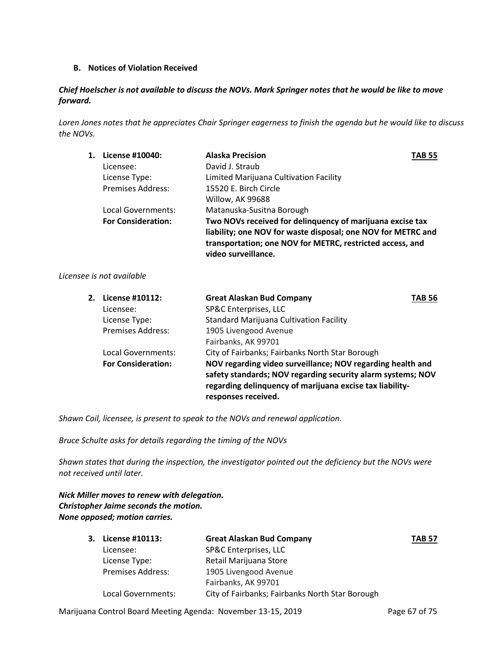# **B. Notices of Violation Received**

# *Chief Hoelscher is not available to discuss the NOVs. Mark Springer notes that he would be like to move forward.*

*Loren Jones notes that he appreciates Chair Springer eagerness to finish the agenda but he would like to discuss the NOVs.*

| 1. | License #10040:           | <b>Alaska Precision</b>                                      | TAB 55 |
|----|---------------------------|--------------------------------------------------------------|--------|
|    | Licensee:                 | David J. Straub                                              |        |
|    | License Type:             | Limited Marijuana Cultivation Facility                       |        |
|    | Premises Address:         | 15520 E. Birch Circle                                        |        |
|    |                           | Willow, AK 99688                                             |        |
|    | Local Governments:        | Matanuska-Susitna Borough                                    |        |
|    | <b>For Consideration:</b> | Two NOVs received for delinguency of marijuana excise tax    |        |
|    |                           | liability; one NOV for waste disposal; one NOV for METRC and |        |
|    |                           | transportation; one NOV for METRC, restricted access, and    |        |
|    |                           | video surveillance.                                          |        |

# *Licensee is not available*

| 2. License #10112:        | <b>Great Alaskan Bud Company</b>                                                                                                                                                                             | TAB 56 |
|---------------------------|--------------------------------------------------------------------------------------------------------------------------------------------------------------------------------------------------------------|--------|
| Licensee:                 | SP&C Enterprises, LLC                                                                                                                                                                                        |        |
| License Type:             | <b>Standard Marijuana Cultivation Facility</b>                                                                                                                                                               |        |
| <b>Premises Address:</b>  | 1905 Livengood Avenue                                                                                                                                                                                        |        |
|                           | Fairbanks, AK 99701                                                                                                                                                                                          |        |
| Local Governments:        | City of Fairbanks; Fairbanks North Star Borough                                                                                                                                                              |        |
| <b>For Consideration:</b> | NOV regarding video surveillance; NOV regarding health and<br>safety standards; NOV regarding security alarm systems; NOV<br>regarding delinquency of marijuana excise tax liability-<br>responses received. |        |

*Shawn Coil, licensee, is present to speak to the NOVs and renewal application.*

*Bruce Schulte asks for details regarding the timing of the NOVs*

*Shawn states that during the inspection, the investigator pointed out the deficiency but the NOVs were not received until later.*

*Nick Miller moves to renew with delegation. Christopher Jaime seconds the motion. None opposed; motion carries.*

| 3. License #10113:       | <b>Great Alaskan Bud Company</b>                | <b>TAB 57</b> |
|--------------------------|-------------------------------------------------|---------------|
| Licensee:                | SP&C Enterprises, LLC                           |               |
| License Type:            | Retail Marijuana Store                          |               |
| <b>Premises Address:</b> | 1905 Livengood Avenue                           |               |
|                          | Fairbanks, AK 99701                             |               |
| Local Governments:       | City of Fairbanks; Fairbanks North Star Borough |               |

Marijuana Control Board Meeting Agenda: November 13-15, 2019 Page 67 of 75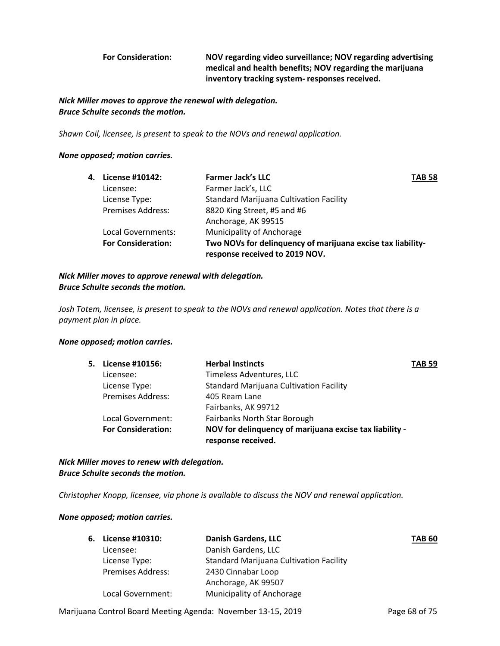**For Consideration: NOV regarding video surveillance; NOV regarding advertising medical and health benefits; NOV regarding the marijuana inventory tracking system- responses received.** 

# *Nick Miller moves to approve the renewal with delegation. Bruce Schulte seconds the motion.*

*Shawn Coil, licensee, is present to speak to the NOVs and renewal application.*

### *None opposed; motion carries.*

| 4. License #10142:        | <b>Farmer Jack's LLC</b>                                    | <b>TAB 58</b> |
|---------------------------|-------------------------------------------------------------|---------------|
| Licensee:                 | Farmer Jack's, LLC                                          |               |
| License Type:             | <b>Standard Marijuana Cultivation Facility</b>              |               |
| <b>Premises Address:</b>  | 8820 King Street, #5 and #6                                 |               |
|                           | Anchorage, AK 99515                                         |               |
| Local Governments:        | Municipality of Anchorage                                   |               |
| <b>For Consideration:</b> | Two NOVs for delinguency of marijuana excise tax liability- |               |
|                           | response received to 2019 NOV.                              |               |

*Nick Miller moves to approve renewal with delegation. Bruce Schulte seconds the motion.*

*Josh Totem, licensee, is present to speak to the NOVs and renewal application. Notes that there is a payment plan in place.*

#### *None opposed; motion carries.*

| 5. License #10156:        | <b>Herbal Instincts</b>                                                       | <b>TAB 59</b> |
|---------------------------|-------------------------------------------------------------------------------|---------------|
| Licensee:                 | Timeless Adventures, LLC                                                      |               |
| License Type:             | Standard Marijuana Cultivation Facility                                       |               |
| <b>Premises Address:</b>  | 405 Ream Lane                                                                 |               |
|                           | Fairbanks, AK 99712                                                           |               |
| Local Government:         | Fairbanks North Star Borough                                                  |               |
| <b>For Consideration:</b> | NOV for delinquency of marijuana excise tax liability -<br>response received. |               |
|                           |                                                                               |               |

*Nick Miller moves to renew with delegation. Bruce Schulte seconds the motion.*

*Christopher Knopp, licensee, via phone is available to discuss the NOV and renewal application.*

#### *None opposed; motion carries.*

| 6. | License #10310:          | <b>Danish Gardens, LLC</b>                     | <b>TAB 60</b> |
|----|--------------------------|------------------------------------------------|---------------|
|    | Licensee:                | Danish Gardens, LLC                            |               |
|    | License Type:            | <b>Standard Marijuana Cultivation Facility</b> |               |
|    | <b>Premises Address:</b> | 2430 Cinnabar Loop                             |               |
|    |                          | Anchorage, AK 99507                            |               |
|    | Local Government:        | Municipality of Anchorage                      |               |

Marijuana Control Board Meeting Agenda: November 13-15, 2019 Page 68 of 75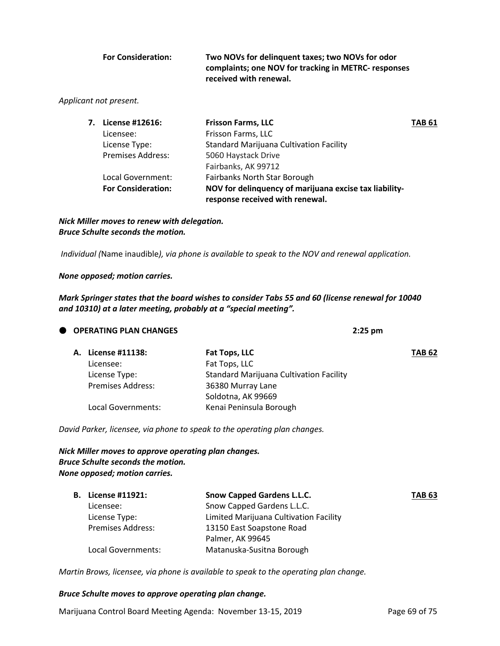| <b>For Consideration:</b> | Two NOVs for delinguent taxes; two NOVs for odor     |
|---------------------------|------------------------------------------------------|
|                           | complaints; one NOV for tracking in METRC- responses |
|                           | received with renewal.                               |

### *Applicant not present.*

| 7. License #12616:        | <b>Frisson Farms, LLC</b>                              | TAB 61 |
|---------------------------|--------------------------------------------------------|--------|
| Licensee:                 | Frisson Farms, LLC                                     |        |
| License Type:             | <b>Standard Marijuana Cultivation Facility</b>         |        |
| <b>Premises Address:</b>  | 5060 Haystack Drive                                    |        |
|                           | Fairbanks, AK 99712                                    |        |
| Local Government:         | Fairbanks North Star Borough                           |        |
| <b>For Consideration:</b> | NOV for delinquency of marijuana excise tax liability- |        |
|                           | response received with renewal.                        |        |

*Nick Miller moves to renew with delegation. Bruce Schulte seconds the motion.*

*Individual (*Name inaudible*), via phone is available to speak to the NOV and renewal application.*

*None opposed; motion carries.*

*Mark Springer states that the board wishes to consider Tabs 55 and 60 (license renewal for 10040 and 10310) at a later meeting, probably at a "special meeting".*

|  | <b>OPERATING PLAN CHANGES</b> |                                                | $2:25$ pm |               |
|--|-------------------------------|------------------------------------------------|-----------|---------------|
|  | License #11138:               | Fat Tops, LLC                                  |           | <b>TAB 62</b> |
|  | Licensee:                     | Fat Tops, LLC                                  |           |               |
|  | License Type:                 | <b>Standard Marijuana Cultivation Facility</b> |           |               |
|  | <b>Premises Address:</b>      | 36380 Murray Lane                              |           |               |
|  |                               | Soldotna, AK 99669                             |           |               |
|  | Local Governments:            | Kenai Peninsula Borough                        |           |               |
|  |                               |                                                |           |               |

*David Parker, licensee, via phone to speak to the operating plan changes.*

# *Nick Miller moves to approve operating plan changes. Bruce Schulte seconds the motion. None opposed; motion carries.*

| <b>B.</b> License #11921: | <b>Snow Capped Gardens L.L.C.</b>      | <b>TAB 63</b> |
|---------------------------|----------------------------------------|---------------|
| Licensee:                 | Snow Capped Gardens L.L.C.             |               |
| License Type:             | Limited Marijuana Cultivation Facility |               |
| <b>Premises Address:</b>  | 13150 East Soapstone Road              |               |
|                           | Palmer, AK 99645                       |               |
| Local Governments:        | Matanuska-Susitna Borough              |               |

*Martin Brows, licensee, via phone is available to speak to the operating plan change.*

#### *Bruce Schulte moves to approve operating plan change.*

Marijuana Control Board Meeting Agenda: November 13-15, 2019 Page 69 of 75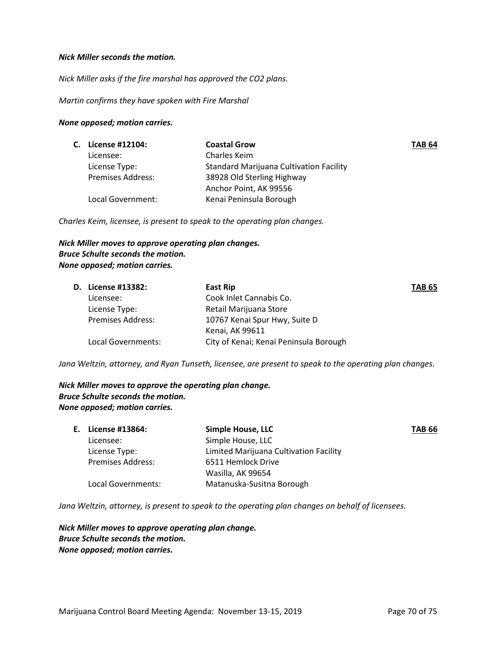#### *Nick Miller seconds the motion.*

*Nick Miller asks if the fire marshal has approved the CO2 plans.*

*Martin confirms they have spoken with Fire Marshal*

#### *None opposed; motion carries.*

| C. License #12104:       | <b>Coastal Grow</b>                            | <b>TAB 64</b> |
|--------------------------|------------------------------------------------|---------------|
| Licensee:                | Charles Keim                                   |               |
| License Type:            | <b>Standard Marijuana Cultivation Facility</b> |               |
| <b>Premises Address:</b> | 38928 Old Sterling Highway                     |               |
|                          | Anchor Point, AK 99556                         |               |
| Local Government:        | Kenai Peninsula Borough                        |               |
|                          |                                                |               |

*Charles Keim, licensee, is present to speak to the operating plan changes.*

# *Nick Miller moves to approve operating plan changes. Bruce Schulte seconds the motion. None opposed; motion carries.*

| <b>D.</b> License #13382: | East Rip                               | <b>TAB 65</b> |
|---------------------------|----------------------------------------|---------------|
| Licensee:                 | Cook Inlet Cannabis Co.                |               |
| License Type:             | Retail Marijuana Store                 |               |
| <b>Premises Address:</b>  | 10767 Kenai Spur Hwy, Suite D          |               |
|                           | Kenai, AK 99611                        |               |
| Local Governments:        | City of Kenai; Kenai Peninsula Borough |               |

*Jana Weltzin, attorney, and Ryan Tunseth, licensee, are present to speak to the operating plan changes.*

*Nick Miller moves to approve the operating plan change. Bruce Schulte seconds the motion. None opposed; motion carries.*

| E. License #13864:       | <b>Simple House, LLC</b>               | <b>TAB 66</b> |
|--------------------------|----------------------------------------|---------------|
| Licensee:                | Simple House, LLC                      |               |
| License Type:            | Limited Marijuana Cultivation Facility |               |
| <b>Premises Address:</b> | 6511 Hemlock Drive                     |               |
|                          | Wasilla, AK 99654                      |               |
| Local Governments:       | Matanuska-Susitna Borough              |               |

*Jana Weltzin, attorney, is present to speak to the operating plan changes on behalf of licensees.* 

*Nick Miller moves to approve operating plan change. Bruce Schulte seconds the motion. None opposed; motion carries.*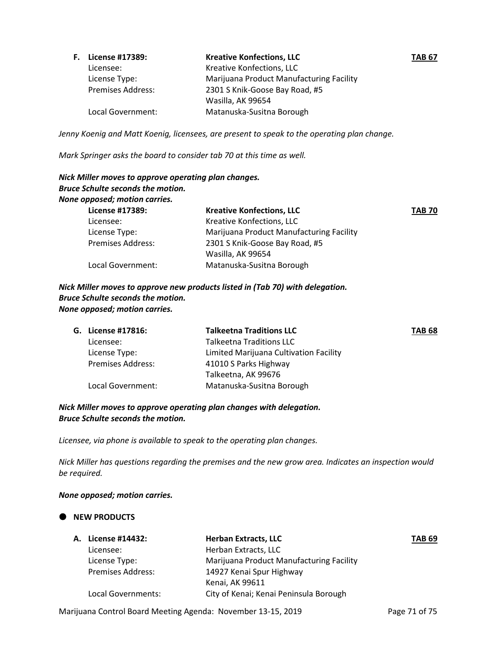| <b>F.</b> License #17389: | <b>Kreative Konfections, LLC</b>         | <b>TAB 67</b> |
|---------------------------|------------------------------------------|---------------|
| Licensee:                 | Kreative Konfections, LLC                |               |
| License Type:             | Marijuana Product Manufacturing Facility |               |
| <b>Premises Address:</b>  | 2301 S Knik-Goose Bay Road, #5           |               |
|                           | Wasilla, AK 99654                        |               |
| Local Government:         | Matanuska-Susitna Borough                |               |

*Jenny Koenig and Matt Koenig, licensees, are present to speak to the operating plan change.*

*Mark Springer asks the board to consider tab 70 at this time as well.*

# *Nick Miller moves to approve operating plan changes. Bruce Schulte seconds the motion. None opposed; motion carries.* **License #17389: Kreative Konfections, LLC TAB 70** Licensee: Kreative Konfections, LLC License Type: Marijuana Product Manufacturing Facility Premises Address: 2301 S Knik-Goose Bay Road, #5 Wasilla, AK 99654 Local Government: Matanuska-Susitna Borough

*Nick Miller moves to approve new products listed in (Tab 70) with delegation. Bruce Schulte seconds the motion. None opposed; motion carries.*

|  | G. License #17816:       | <b>Talkeetna Traditions LLC</b>        | <b>TAB 68</b> |
|--|--------------------------|----------------------------------------|---------------|
|  | Licensee:                | <b>Talkeetna Traditions LLC</b>        |               |
|  | License Type:            | Limited Marijuana Cultivation Facility |               |
|  | <b>Premises Address:</b> | 41010 S Parks Highway                  |               |
|  |                          | Talkeetna, AK 99676                    |               |
|  | Local Government:        | Matanuska-Susitna Borough              |               |

# *Nick Miller moves to approve operating plan changes with delegation. Bruce Schulte seconds the motion.*

*Licensee, via phone is available to speak to the operating plan changes.*

*Nick Miller has questions regarding the premises and the new grow area. Indicates an inspection would be required.*

# *None opposed; motion carries.*

# **NEW PRODUCTS**

| A. License #14432:       | <b>Herban Extracts, LLC</b>              | <b>TAB 69</b> |
|--------------------------|------------------------------------------|---------------|
| Licensee:                | Herban Extracts, LLC                     |               |
| License Type:            | Marijuana Product Manufacturing Facility |               |
| <b>Premises Address:</b> | 14927 Kenai Spur Highway                 |               |
|                          | Kenai, AK 99611                          |               |
| Local Governments:       | City of Kenai; Kenai Peninsula Borough   |               |

Marijuana Control Board Meeting Agenda: November 13-15, 2019 Page 71 of 75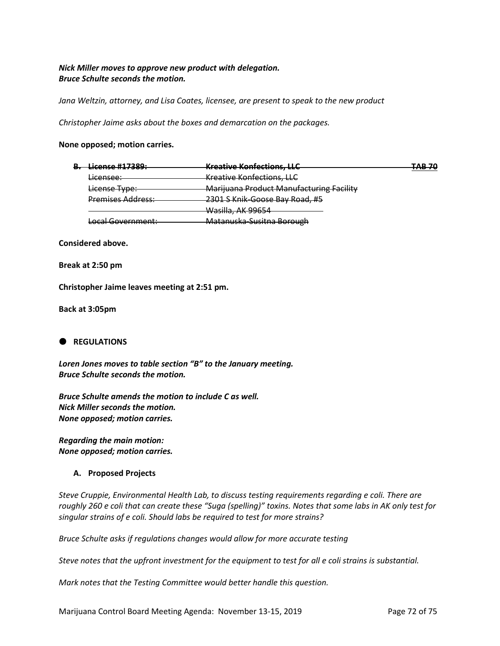# *Nick Miller moves to approve new product with delegation. Bruce Schulte seconds the motion.*

*Jana Weltzin, attorney, and Lisa Coates, licensee, are present to speak to the new product*

*Christopher Jaime asks about the boxes and demarcation on the packages.*

#### **None opposed; motion carries.**

| <del>License #17389:</del><br>D  | Kroative Konfections LLC<br><del>meauve nomecuons, LLC</del> | חל ם ד<br><del>no ro</del> |
|----------------------------------|--------------------------------------------------------------|----------------------------|
| Licancaa:<br><del>uccnscc.</del> | <b>Kreative Konfections, LLC</b>                             |                            |
| License Type:                    | <b>Marijuana Product Manufacturing Facility</b>              |                            |
| <b>Premises Address:</b>         | 2301 S Knik-Goose Bay Road, #5                               |                            |
|                                  | <del>Wasilla, AK 99654</del>                                 |                            |
| Local Government:                | Matanuska-Susitna Borough                                    |                            |

**Considered above.**

**Break at 2:50 pm**

**Christopher Jaime leaves meeting at 2:51 pm.**

**Back at 3:05pm**

# **C** REGULATIONS

*Loren Jones moves to table section "B" to the January meeting. Bruce Schulte seconds the motion.*

*Bruce Schulte amends the motion to include C as well. Nick Miller seconds the motion. None opposed; motion carries.*

*Regarding the main motion: None opposed; motion carries.*

#### **A. Proposed Projects**

*Steve Cruppie, Environmental Health Lab, to discuss testing requirements regarding e coli. There are roughly 260 e coli that can create these "Suga (spelling)" toxins. Notes that some labs in AK only test for singular strains of e coli. Should labs be required to test for more strains?* 

*Bruce Schulte asks if regulations changes would allow for more accurate testing*

*Steve notes that the upfront investment for the equipment to test for all e coli strains is substantial.*

*Mark notes that the Testing Committee would better handle this question.*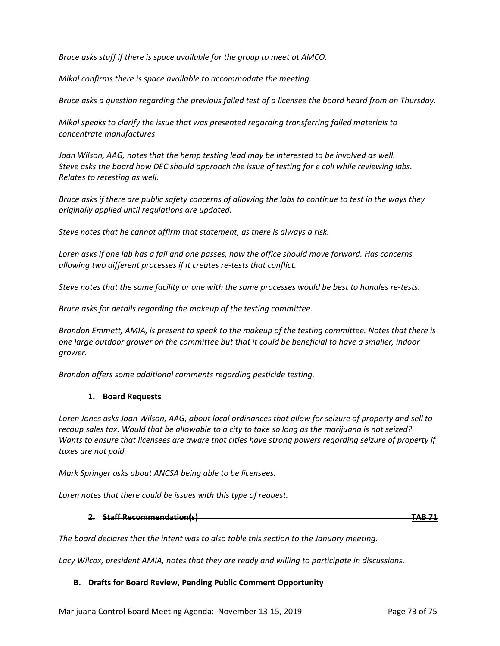*Bruce asks staff if there is space available for the group to meet at AMCO.*

*Mikal confirms there is space available to accommodate the meeting.*

*Bruce asks a question regarding the previous failed test of a licensee the board heard from on Thursday.*

*Mikal speaks to clarify the issue that was presented regarding transferring failed materials to concentrate manufactures* 

*Joan Wilson, AAG, notes that the hemp testing lead may be interested to be involved as well. Steve asks the board how DEC should approach the issue of testing for e coli while reviewing labs. Relates to retesting as well.*

*Bruce asks if there are public safety concerns of allowing the labs to continue to test in the ways they originally applied until regulations are updated.*

*Steve notes that he cannot affirm that statement, as there is always a risk.*

*Loren asks if one lab has a fail and one passes, how the office should move forward. Has concerns allowing two different processes if it creates re-tests that conflict.*

*Steve notes that the same facility or one with the same processes would be best to handles re-tests.*

*Bruce asks for details regarding the makeup of the testing committee.*

*Brandon Emmett, AMIA, is present to speak to the makeup of the testing committee. Notes that there is one large outdoor grower on the committee but that it could be beneficial to have a smaller, indoor grower.*

*Brandon offers some additional comments regarding pesticide testing.*

### **1. Board Requests**

*Loren Jones asks Joan Wilson, AAG, about local ordinances that allow for seizure of property and sell to recoup sales tax. Would that be allowable to a city to take so long as the marijuana is not seized? Wants to ensure that licensees are aware that cities have strong powers regarding seizure of property if taxes are not paid.*

*Mark Springer asks about ANCSA being able to be licensees.*

*Loren notes that there could be issues with this type of request.*

**2. Staff Recommendation(s) TAB 71**

*The board declares that the intent was to also table this section to the January meeting.* 

*Lacy Wilcox, president AMIA, notes that they are ready and willing to participate in discussions.*

### **B. Drafts for Board Review, Pending Public Comment Opportunity**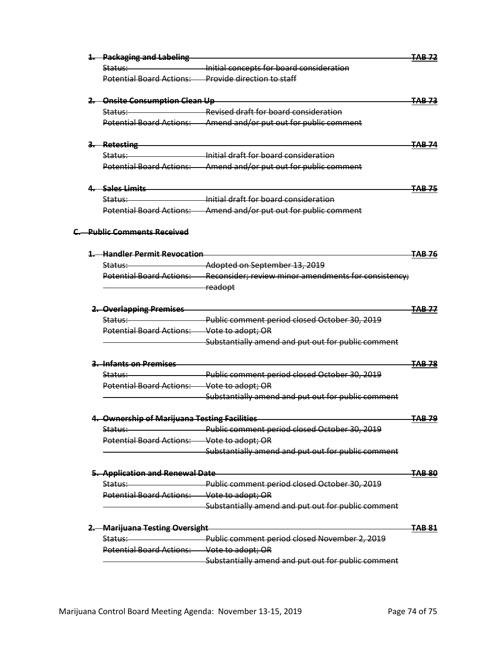|  | 1. Packaging and Labeling                    |                                                      | <del>FAB 72</del> |
|--|----------------------------------------------|------------------------------------------------------|-------------------|
|  | <del>Status:</del>                           | Initial concepts for board consideration             |                   |
|  | <b>Potential Board Actions:</b>              | <b>Provide direction to staff</b>                    |                   |
|  | 2. Onsite Consumption Clean Up               |                                                      |                   |
|  | <del>Status:</del>                           | <b>Revised draft for board consideration</b>         |                   |
|  | <b>Potential Board Actions:</b>              | Amend and/or put out for public comment              |                   |
|  | 3. Retesting                                 |                                                      | FAB 74            |
|  | Status:                                      | Initial draft for hoard consideration                |                   |
|  | <b>Potential Board Actions:</b>              | Amend and/or put out for public comment              |                   |
|  | 4 <del>. – Sales Limits</del>                |                                                      | <del>TAB 75</del> |
|  | <del>Status: -</del>                         | Initial draft for board consideration                |                   |
|  | <b>Potential Board Actions:</b>              | Amend and/or put out for public comment              |                   |
|  | C. Public Comments Received                  |                                                      |                   |
|  | <b>1. Handler Permit Revocation</b>          |                                                      |                   |
|  | Status: ____                                 | Adopted on September 13, 2019                        |                   |
|  | Potential Board Actions:                     | Reconsider; review minor amendments for consistency; |                   |
|  |                                              | readopt                                              |                   |
|  | 2. Overlapping Premises                      |                                                      |                   |
|  | Status:                                      | Public comment period closed October 30, 2019        |                   |
|  | <b>Potential Board Actions:</b>              | Vote to adopt; OR                                    |                   |
|  |                                              | Substantially amend and put out for public comment   |                   |
|  | 3. Infants on Premises                       |                                                      | <del>TAB 78</del> |
|  | <del>Status:-</del>                          | Public comment period closed October 30, 2019        |                   |
|  | <b>Potential Board Actions:</b>              | Vote to adopt; OR                                    |                   |
|  |                                              | Substantially amend and put out for public comment   |                   |
|  | 4. Ownership of Marijuana Testing Facilities |                                                      | <del>TAB 79</del> |
|  | <del>Status:-</del>                          | Public comment period closed October 30, 2019        |                   |
|  | Potential Board Actions: Vote to adopt; OR   |                                                      |                   |
|  |                                              | Substantially amend and put out for public comment   |                   |
|  | 5. Application and Renewal Date              |                                                      | FAB-80            |
|  | Status:                                      | Public comment period closed October 30, 2019        |                   |
|  | <b>Potential Board Actions:</b>              | Vote to adopt; OR                                    |                   |
|  |                                              | Substantially amend and put out for public comment   |                   |
|  | <b>Marijuana Testing Oversight</b>           |                                                      | <del>FAB 81</del> |
|  | Status:                                      | Public comment period closed November 2, 2019        |                   |
|  | <b>Potential Board Actions:</b>              | Vote to adopt; OR                                    |                   |
|  |                                              | Substantially amend and put out for public comment   |                   |